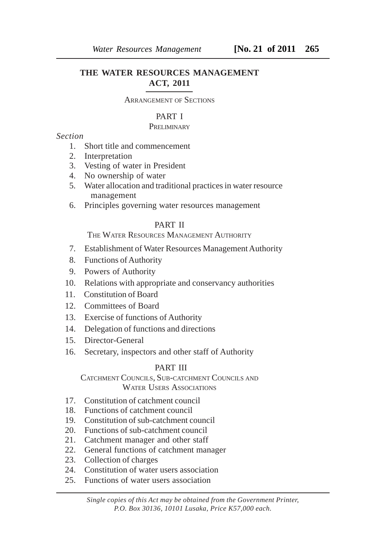# **THE WATER RESOURCES MANAGEMENT ACT, 2011**

#### ARRANGEMENT OF SECTIONS

#### PART I

# **PRELIMINARY**

*Section*

- 1. Short title and commencement
- 2. Interpretation
- 3. Vesting of water in President
- 4. No ownership of water
- 5. Water allocation and traditional practices in water resource management
- 6. Principles governing water resources management

# PART II

THE WATER RESOURCES MANAGEMENT AUTHORITY

- 7. Establishment of Water Resources Management Authority
- 8. Functions of Authority
- 9. Powers of Authority
- 10. Relations with appropriate and conservancy authorities
- 11. Constitution of Board
- 12. Committees of Board
- 13. Exercise of functions of Authority
- 14. Delegation of functions and directions
- 15. Director-General
- 16. Secretary, inspectors and other staff of Authority

## PART III

CATCHMENT COUNCILS, SUB-CATCHMENT COUNCILS AND WATER USERS ASSOCIATIONS

- 17. Constitution of catchment council
- 18. Functions of catchment council
- 19. Constitution of sub-catchment council
- 20. Functions of sub-catchment council
- 21. Catchment manager and other staff
- 22. General functions of catchment manager
- 23. Collection of charges
- 24. Constitution of water users association
- 25. Functions of water users association

*Single copies of this Act may be obtained from the Government Printer, P.O. Box 30136, 10101 Lusaka, Price K57,000 each.*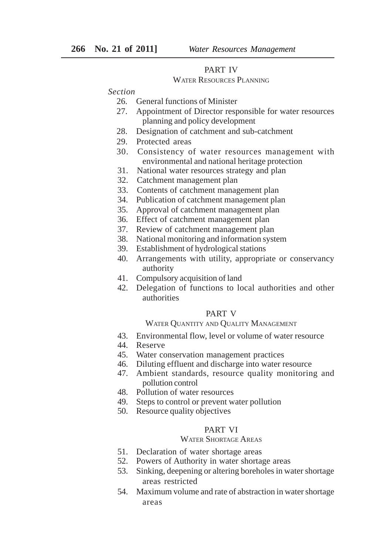# PART IV

#### WATER RESOURCES PLANNING

#### *Section*

- 26. General functions of Minister
- 27. Appointment of Director responsible for water resources planning and policy development
- 28. Designation of catchment and sub-catchment
- 29. Protected areas
- 30. Consistency of water resources management with environmental and national heritage protection
- 31. National water resources strategy and plan
- 32. Catchment management plan
- 33. Contents of catchment management plan
- 34. Publication of catchment management plan
- 35. Approval of catchment management plan
- 36. Effect of catchment management plan
- 37. Review of catchment management plan
- 38. National monitoring and information system
- 39. Establishment of hydrological stations
- 40. Arrangements with utility, appropriate or conservancy authority
- 41. Compulsory acquisition of land
- 42. Delegation of functions to local authorities and other authorities

## PART V

#### WATER QUANTITY AND QUALITY MANAGEMENT

- 43. Environmental flow, level or volume of water resource
- 44. Reserve
- 45. Water conservation management practices
- 46. Diluting effluent and discharge into water resource
- 47. Ambient standards, resource quality monitoring and pollution control
- 48. Pollution of water resources
- 49. Steps to control or prevent water pollution
- 50. Resource quality objectives

#### PART VI

## WATER SHORTAGE AREAS

- 51. Declaration of water shortage areas
- 52. Powers of Authority in water shortage areas
- 53. Sinking, deepening or altering boreholes in water shortage areas restricted
- 54. Maximum volume and rate of abstraction in water shortage areas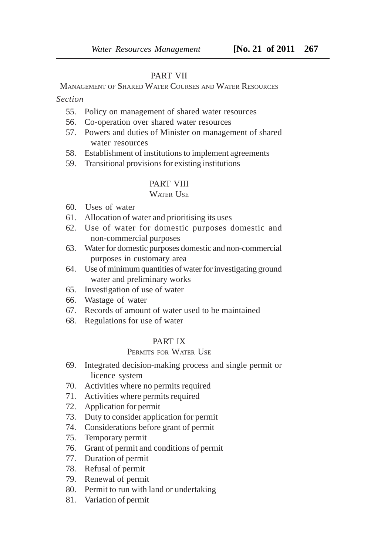#### PART VII

MANAGEMENT OF SHARED WATER COURSES AND WATER RESOURCES

*Section*

- 55. Policy on management of shared water resources
- 56. Co-operation over shared water resources
- 57. Powers and duties of Minister on management of shared water resources
- 58. Establishment of institutions to implement agreements
- 59. Transitional provisions for existing institutions

#### PART VIII

#### WATER USE

- 60. Uses of water
- 61. Allocation of water and prioritising its uses
- 62. Use of water for domestic purposes domestic and non-commercial purposes
- 63. Water for domestic purposes domestic and non-commercial purposes in customary area
- 64. Use of minimum quantities of water for investigating ground water and preliminary works
- 65. Investigation of use of water
- 66. Wastage of water
- 67. Records of amount of water used to be maintained
- 68. Regulations for use of water

## PART IX

## PERMITS FOR WATER USE

- 69. Integrated decision-making process and single permit or licence system
- 70. Activities where no permits required
- 71. Activities where permits required
- 72. Application for permit
- 73. Duty to consider application for permit
- 74. Considerations before grant of permit
- 75. Temporary permit
- 76. Grant of permit and conditions of permit
- 77. Duration of permit
- 78. Refusal of permit
- 79. Renewal of permit
- 80. Permit to run with land or undertaking
- 81. Variation of permit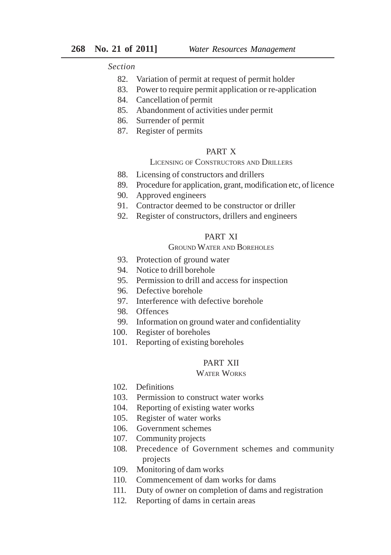*Section*

- 82. Variation of permit at request of permit holder
- 83. Power to require permit application or re-application
- 84. Cancellation of permit
- 85. Abandonment of activities under permit
- 86. Surrender of permit
- 87. Register of permits

#### PART X

#### LICENSING OF CONSTRUCTORS AND DRILLERS

- 88. Licensing of constructors and drillers
- 89. Procedure for application, grant, modification etc, of licence
- 90. Approved engineers
- 91. Contractor deemed to be constructor or driller
- 92. Register of constructors, drillers and engineers

## PART XI

#### GROUND WATER AND BOREHOLES

- 93. Protection of ground water
- 94. Notice to drill borehole
- 95. Permission to drill and access for inspection
- 96. Defective borehole
- 97. Interference with defective borehole
- 98. Offences
- 99. Information on ground water and confidentiality
- 100. Register of boreholes
- 101. Reporting of existing boreholes

## PART XII

#### WATER WORKS

- 102. Definitions
- 103. Permission to construct water works
- 104. Reporting of existing water works
- 105. Register of water works
- 106. Government schemes
- 107. Community projects
- 108. Precedence of Government schemes and community projects
- 109. Monitoring of dam works
- 110. Commencement of dam works for dams
- 111. Duty of owner on completion of dams and registration
- 112. Reporting of dams in certain areas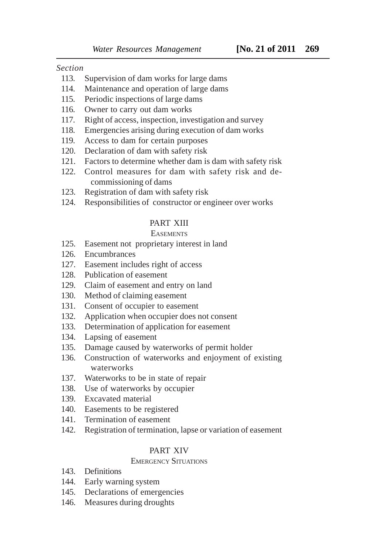#### *Section*

- 113. Supervision of dam works for large dams
- 114. Maintenance and operation of large dams
- 115. Periodic inspections of large dams
- 116. Owner to carry out dam works
- 117. Right of access, inspection, investigation and survey
- 118. Emergencies arising during execution of dam works
- 119. Access to dam for certain purposes
- 120. Declaration of dam with safety risk
- 121. Factors to determine whether dam is dam with safety risk
- 122. Control measures for dam with safety risk and decommissioning of dams
- 123. Registration of dam with safety risk
- 124. Responsibilities of constructor or engineer over works

## PART XIII

## **EASEMENTS**

- 125. Easement not proprietary interest in land
- 126. Encumbrances
- 127. Easement includes right of access
- 128. Publication of easement
- 129. Claim of easement and entry on land
- 130. Method of claiming easement
- 131. Consent of occupier to easement
- 132. Application when occupier does not consent
- 133. Determination of application for easement
- 134. Lapsing of easement
- 135. Damage caused by waterworks of permit holder
- 136. Construction of waterworks and enjoyment of existing waterworks
- 137. Waterworks to be in state of repair
- 138. Use of waterworks by occupier
- 139. Excavated material
- 140. Easements to be registered
- 141. Termination of easement
- 142. Registration of termination, lapse or variation of easement

# PART XIV

# EMERGENCY SITUATIONS

- 143. Definitions
- 144. Early warning system
- 145. Declarations of emergencies
- 146. Measures during droughts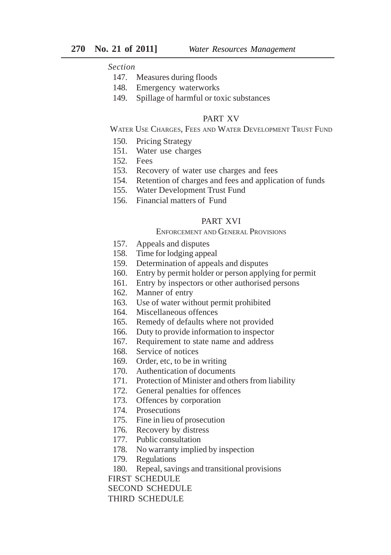# *Section*

- 147. Measures during floods
- 148. Emergency waterworks
- 149. Spillage of harmful or toxic substances

#### PART XV

WATER USE CHARGES, FEES AND WATER DEVELOPMENT TRUST FUND

- 150. Pricing Strategy
- 151. Water use charges
- 152. Fees
- 153. Recovery of water use charges and fees
- 154. Retention of charges and fees and application of funds
- 155. Water Development Trust Fund
- 156. Financial matters of Fund

#### PART XVI

#### ENFORCEMENT AND GENERAL PROVISIONS

- 157. Appeals and disputes
- 158. Time for lodging appeal
- 159. Determination of appeals and disputes
- 160. Entry by permit holder or person applying for permit
- 161. Entry by inspectors or other authorised persons
- 162. Manner of entry
- 163. Use of water without permit prohibited
- 164. Miscellaneous offences
- 165. Remedy of defaults where not provided
- 166. Duty to provide information to inspector
- 167. Requirement to state name and address
- 168. Service of notices
- 169. Order, etc, to be in writing
- 170. Authentication of documents
- 171. Protection of Minister and others from liability
- 172. General penalties for offences
- 173. Offences by corporation
- 174. Prosecutions
- 175. Fine in lieu of prosecution
- 176. Recovery by distress
- 177. Public consultation
- 178. No warranty implied by inspection
- 179. Regulations
- 180. Repeal, savings and transitional provisions

FIRST SCHEDULE

SECOND SCHEDULE

THIRD SCHEDULE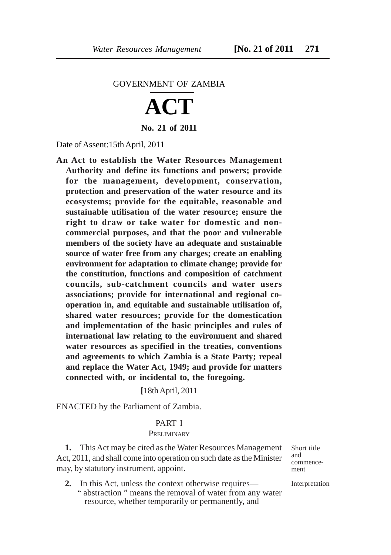#### GOVERNMENT OF ZAMBIA

# **ACT**

**No. 21 of 2011**

Date of Assent:15th April, 2011

**An Act to establish the Water Resources Management Authority and define its functions and powers; provide for the management, development, conservation, protection and preservation of the water resource and its ecosystems; provide for the equitable, reasonable and sustainable utilisation of the water resource; ensure the right to draw or take water for domestic and noncommercial purposes, and that the poor and vulnerable members of the society have an adequate and sustainable source of water free from any charges; create an enabling environment for adaptation to climate change; provide for the constitution, functions and composition of catchment councils, sub-catchment councils and water users associations; provide for international and regional cooperation in, and equitable and sustainable utilisation of, shared water resources; provide for the domestication and implementation of the basic principles and rules of international law relating to the environment and shared water resources as specified in the treaties, conventions and agreements to which Zambia is a State Party; repeal and replace the Water Act, 1949; and provide for matters connected with, or incidental to, the foregoing.**

**[**18th April, 2011

ENACTED by the Parliament of Zambia.

#### PART I

#### **PRELIMINARY**

**1.** This Act may be cited as the Water Resources Management Act, 2011, and shall come into operation on such date as the Minister may, by statutory instrument, appoint.

**2.** In this Act, unless the context otherwise requires— " abstraction " means the removal of water from any water resource, whether temporarily or permanently, and

Short title and commencement

Interpretation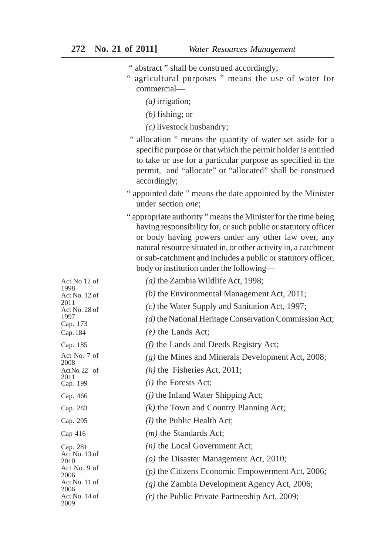- " abstract " shall be construed accordingly;
- " agricultural purposes " means the use of water for commercial—
	- *(a)* irrigation;
	- *(b)* fishing; or
	- *(c)* livestock husbandry;
- " allocation " means the quantity of water set aside for a specific purpose or that which the permit holder is entitled to take or use for a particular purpose as specified in the permit, and "allocate" or "allocated" shall be construed accordingly;
- " appointed date " means the date appointed by the Minister under section *one*;
- " appropriate authority " means the Minister for the time being having responsibility for, or such public or statutory officer or body having powers under any other law over, any natural resource situated in, or other activity in, a catchment or sub-catchment and includes a public or statutory officer, body or institution under the following—

| Act No 12 of          | (a) the Zambia Wildlife Act, 1998;                     |
|-----------------------|--------------------------------------------------------|
| 1998<br>Act No. 12 of | (b) the Environmental Management Act, $2011$ ;         |
| 2011<br>Act No. 28 of | $(c)$ the Water Supply and Sanitation Act, 1997;       |
| 1997<br>Cap. 173      | (d) the National Heritage Conservation Commission Act; |
| Cap. 184              | $(e)$ the Lands Act;                                   |
| Cap. 185              | (f) the Lands and Deeds Registry Act;                  |
| Act No. 7 of<br>2008  | $(g)$ the Mines and Minerals Development Act, 2008;    |
| Act No. 22 of         | $(h)$ the Fisheries Act, 2011;                         |
| 2011<br>Cap. 199      | $(i)$ the Forests Act;                                 |
| Cap. 466              | $(i)$ the Inland Water Shipping Act;                   |
| Cap. 283              | $(k)$ the Town and Country Planning Act;               |
| Cap. 295              | $(l)$ the Public Health Act;                           |
| $Cap$ 416             | $(m)$ the Standards Act;                               |
| Cap. 281              | $(n)$ the Local Government Act;                        |
| Act No. 13 of<br>2010 | ( $o$ ) the Disaster Management Act, 2010;             |
| Act No. 9 of<br>2006  | $(p)$ the Citizens Economic Empowerment Act, 2006;     |
| Act No. 11 of<br>2006 | $(q)$ the Zambia Development Agency Act, 2006;         |
| Act No. 14 of<br>2009 | $(r)$ the Public Private Partnership Act, 2009;        |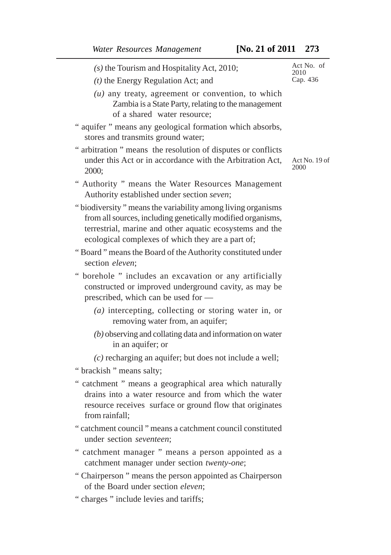*(s)* the Tourism and Hospitality Act, 2010; *(t)* the Energy Regulation Act; and *(u)* any treaty, agreement or convention, to which Zambia is a State Party, relating to the management of a shared water resource; " aquifer " means any geological formation which absorbs, stores and transmits ground water; " arbitration " means the resolution of disputes or conflicts

- under this Act or in accordance with the Arbitration Act, 2000;
- " Authority " means the Water Resources Management Authority established under section *seven*;
- " biodiversity " means the variability among living organisms from all sources, including genetically modified organisms, terrestrial, marine and other aquatic ecosystems and the ecological complexes of which they are a part of;
- " Board " means the Board of the Authority constituted under section *eleven*;
- " borehole " includes an excavation or any artificially constructed or improved underground cavity, as may be prescribed, which can be used for —
	- *(a)* intercepting, collecting or storing water in, or removing water from, an aquifer;
	- *(b)* observing and collating data and information on water in an aquifer; or
	- *(c)* recharging an aquifer; but does not include a well;
- " brackish " means salty;
- " catchment " means a geographical area which naturally drains into a water resource and from which the water resource receives surface or ground flow that originates from rainfall;
- " catchment council " means a catchment council constituted under section *seventeen*;
- " catchment manager " means a person appointed as a catchment manager under section *twenty-one*;
- " Chairperson " means the person appointed as Chairperson of the Board under section *eleven*;
- " charges " include levies and tariffs;

Act No. of 2010 Cap. 436

Act No. 19 of 2000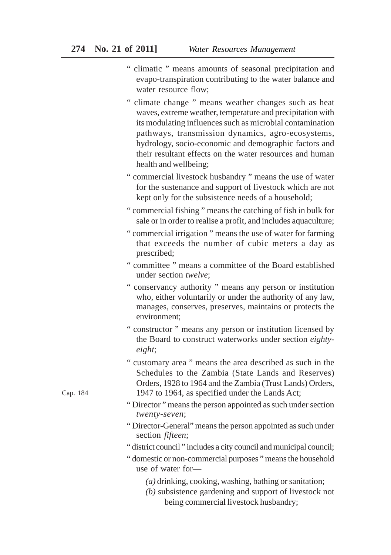- " climatic " means amounts of seasonal precipitation and evapo-transpiration contributing to the water balance and water resource flow;
- " climate change " means weather changes such as heat waves, extreme weather, temperature and precipitation with its modulating influences such as microbial contamination pathways, transmission dynamics, agro-ecosystems, hydrology, socio-economic and demographic factors and their resultant effects on the water resources and human health and wellbeing;
- " commercial livestock husbandry " means the use of water for the sustenance and support of livestock which are not kept only for the subsistence needs of a household;
- " commercial fishing " means the catching of fish in bulk for sale or in order to realise a profit, and includes aquaculture;
- " commercial irrigation " means the use of water for farming that exceeds the number of cubic meters a day as prescribed;
- " committee " means a committee of the Board established under section *twelve*;
- " conservancy authority " means any person or institution who, either voluntarily or under the authority of any law, manages, conserves, preserves, maintains or protects the environment;
- " constructor " means any person or institution licensed by the Board to construct waterworks under section *eightyeight*;
- " customary area " means the area described as such in the Schedules to the Zambia (State Lands and Reserves) Orders, 1928 to 1964 and the Zambia (Trust Lands) Orders, 1947 to 1964, as specified under the Lands Act;
- " Director " means the person appointed as such under section *twenty-seven*;
- " Director-General" means the person appointed as such under section *fifteen*;
- " district council " includes a city council and municipal council;
- " domestic or non-commercial purposes " means the household use of water for—
	- *(a)* drinking, cooking, washing, bathing or sanitation;
	- *(b)* subsistence gardening and support of livestock not being commercial livestock husbandry;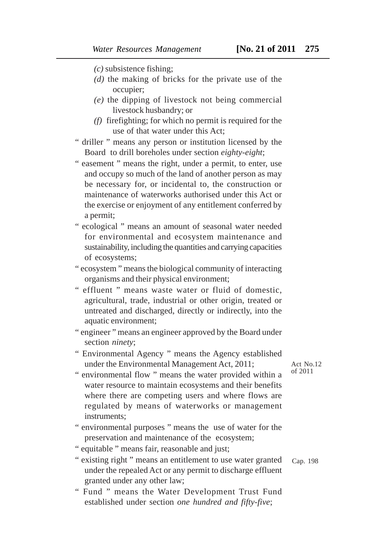- *(c)* subsistence fishing;
- *(d)* the making of bricks for the private use of the occupier;
- *(e)* the dipping of livestock not being commercial livestock husbandry; or
- *(f)* firefighting; for which no permit is required for the use of that water under this Act;
- " driller " means any person or institution licensed by the Board to drill boreholes under section *eighty-eight*;

" easement " means the right, under a permit, to enter, use and occupy so much of the land of another person as may be necessary for, or incidental to, the construction or maintenance of waterworks authorised under this Act or the exercise or enjoyment of any entitlement conferred by a permit;

" ecological " means an amount of seasonal water needed for environmental and ecosystem maintenance and sustainability, including the quantities and carrying capacities of ecosystems;

- " ecosystem " means the biological community of interacting organisms and their physical environment;
- " effluent " means waste water or fluid of domestic, agricultural, trade, industrial or other origin, treated or untreated and discharged, directly or indirectly, into the aquatic environment;
- " engineer " means an engineer approved by the Board under section *ninety*;
- " Environmental Agency " means the Agency established under the Environmental Management Act, 2011;

Act No.12 of 2011

- " environmental flow " means the water provided within a water resource to maintain ecosystems and their benefits where there are competing users and where flows are regulated by means of waterworks or management instruments;
- " environmental purposes " means the use of water for the preservation and maintenance of the ecosystem;
- " equitable " means fair, reasonable and just;
- " existing right " means an entitlement to use water granted under the repealed Act or any permit to discharge effluent granted under any other law;
- " Fund " means the Water Development Trust Fund established under section *one hundred and fifty-five*;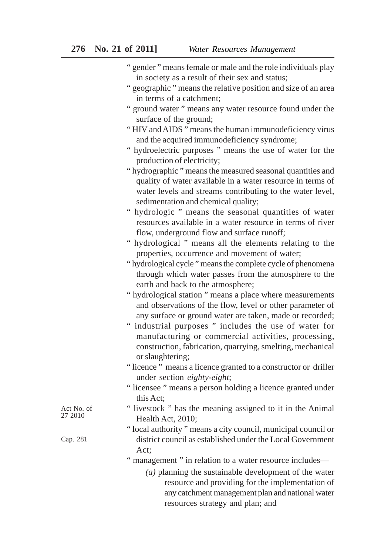| " gender" means female or male and the role individuals play |  |
|--------------------------------------------------------------|--|
| in society as a result of their sex and status;              |  |

- " geographic " means the relative position and size of an area in terms of a catchment;
- " ground water " means any water resource found under the surface of the ground;
- " HIV and AIDS " means the human immunodeficiency virus and the acquired immunodeficiency syndrome;
- " hydroelectric purposes " means the use of water for the production of electricity;
- " hydrographic " means the measured seasonal quantities and quality of water available in a water resource in terms of water levels and streams contributing to the water level, sedimentation and chemical quality;
- " hydrologic " means the seasonal quantities of water resources available in a water resource in terms of river flow, underground flow and surface runoff;
- " hydrological " means all the elements relating to the properties, occurrence and movement of water;
- " hydrological cycle " means the complete cycle of phenomena through which water passes from the atmosphere to the earth and back to the atmosphere;
- " hydrological station " means a place where measurements and observations of the flow, level or other parameter of any surface or ground water are taken, made or recorded;
- " industrial purposes " includes the use of water for manufacturing or commercial activities, processing, construction, fabrication, quarrying, smelting, mechanical or slaughtering;
- " licence " means a licence granted to a constructor or driller under section *eighty-eight*;
- " licensee " means a person holding a licence granted under this Act;
- " livestock " has the meaning assigned to it in the Animal Health Act, 2010;
- " local authority " means a city council, municipal council or district council as established under the Local Government Act;
- " management " in relation to a water resource includes—
	- *(a)* planning the sustainable development of the water resource and providing for the implementation of any catchment management plan and national water resources strategy and plan; and

Act No. of 27 2010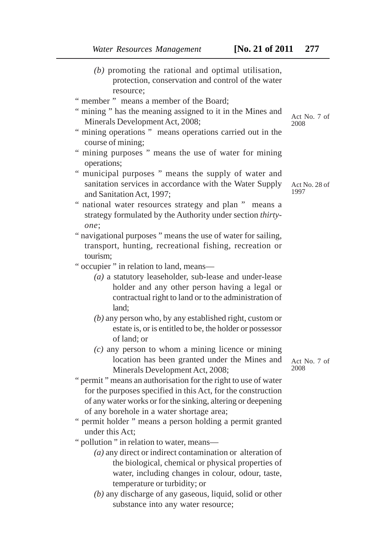- *(b)* promoting the rational and optimal utilisation, protection, conservation and control of the water resource;
- " member " means a member of the Board:
- " mining " has the meaning assigned to it in the Mines and Minerals Development Act, 2008;
- " mining operations " means operations carried out in the course of mining;
- " mining purposes " means the use of water for mining operations;
- " municipal purposes " means the supply of water and sanitation services in accordance with the Water Supply and Sanitation Act, 1997;
- " national water resources strategy and plan " means a strategy formulated by the Authority under section *thirtyone*;
- " navigational purposes " means the use of water for sailing, transport, hunting, recreational fishing, recreation or tourism;
- " occupier " in relation to land, means—
	- *(a)* a statutory leaseholder, sub-lease and under-lease holder and any other person having a legal or contractual right to land or to the administration of land;
	- *(b)* any person who, by any established right, custom or estate is, or is entitled to be, the holder or possessor of land; or
	- *(c)* any person to whom a mining licence or mining location has been granted under the Mines and Minerals Development Act, 2008;
- " permit " means an authorisation for the right to use of water for the purposes specified in this Act, for the construction of any water works or for the sinking, altering or deepening of any borehole in a water shortage area;
- " permit holder " means a person holding a permit granted under this Act;

" pollution " in relation to water, means—

- *(a)* any direct or indirect contamination or alteration of the biological, chemical or physical properties of water, including changes in colour, odour, taste, temperature or turbidity; or
- *(b)* any discharge of any gaseous, liquid, solid or other substance into any water resource;

Act No. 7 of 2008

Act No. 28 of 1997

Act No. 7 of 2008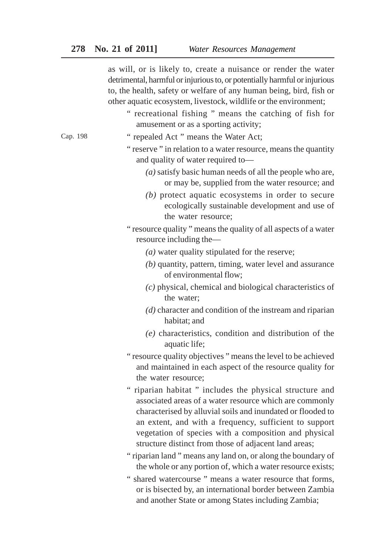as will, or is likely to, create a nuisance or render the water detrimental, harmful or injurious to, or potentially harmful or injurious to, the health, safety or welfare of any human being, bird, fish or other aquatic ecosystem, livestock, wildlife or the environment;

- " recreational fishing " means the catching of fish for amusement or as a sporting activity;
- " repealed Act " means the Water Act;
- " reserve " in relation to a water resource, means the quantity and quality of water required to—
	- *(a)* satisfy basic human needs of all the people who are, or may be, supplied from the water resource; and
	- *(b)* protect aquatic ecosystems in order to secure ecologically sustainable development and use of the water resource;
- " resource quality " means the quality of all aspects of a water resource including the—
	- *(a)* water quality stipulated for the reserve;
	- *(b)* quantity, pattern, timing, water level and assurance of environmental flow;
	- *(c)* physical, chemical and biological characteristics of the water;
	- *(d)* character and condition of the instream and riparian habitat; and
	- *(e)* characteristics, condition and distribution of the aquatic life;
- " resource quality objectives " means the level to be achieved and maintained in each aspect of the resource quality for the water resource;
- " riparian habitat " includes the physical structure and associated areas of a water resource which are commonly characterised by alluvial soils and inundated or flooded to an extent, and with a frequency, sufficient to support vegetation of species with a composition and physical structure distinct from those of adjacent land areas;
- " riparian land " means any land on, or along the boundary of the whole or any portion of, which a water resource exists;
- " shared watercourse " means a water resource that forms, or is bisected by, an international border between Zambia and another State or among States including Zambia;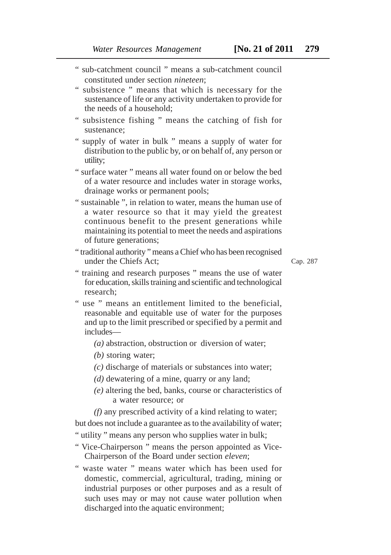- " sub-catchment council " means a sub-catchment council constituted under section *nineteen*;
- " subsistence " means that which is necessary for the sustenance of life or any activity undertaken to provide for the needs of a household;
- " subsistence fishing " means the catching of fish for sustenance;
- " supply of water in bulk " means a supply of water for distribution to the public by, or on behalf of, any person or utility;
- " surface water " means all water found on or below the bed of a water resource and includes water in storage works, drainage works or permanent pools;
- " sustainable ", in relation to water, means the human use of a water resource so that it may yield the greatest continuous benefit to the present generations while maintaining its potential to meet the needs and aspirations of future generations;
- " traditional authority " means a Chief who has been recognised under the Chiefs Act;

Cap. 287

- " training and research purposes " means the use of water for education, skills training and scientific and technological research;
- " use " means an entitlement limited to the beneficial, reasonable and equitable use of water for the purposes and up to the limit prescribed or specified by a permit and includes—
	- *(a)* abstraction, obstruction or diversion of water;
	- *(b)* storing water;
	- *(c)* discharge of materials or substances into water;
	- *(d)* dewatering of a mine, quarry or any land;
	- *(e)* altering the bed, banks, course or characteristics of a water resource; or
	- *(f)* any prescribed activity of a kind relating to water;

but does not include a guarantee as to the availability of water;

- " utility " means any person who supplies water in bulk;
- " Vice-Chairperson " means the person appointed as Vice-Chairperson of the Board under section *eleven*;
- " waste water " means water which has been used for domestic, commercial, agricultural, trading, mining or industrial purposes or other purposes and as a result of such uses may or may not cause water pollution when discharged into the aquatic environment;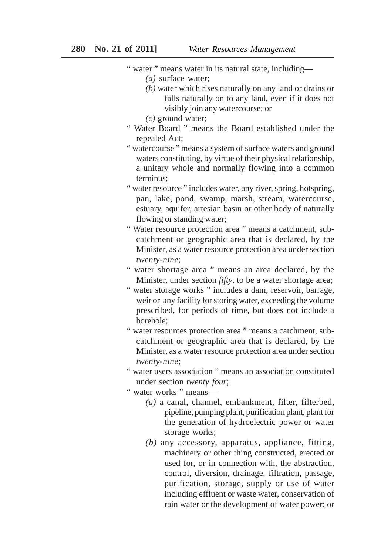- *(a)* surface water;
- *(b)* water which rises naturally on any land or drains or falls naturally on to any land, even if it does not visibly join any watercourse; or
- *(c)* ground water;
- " Water Board " means the Board established under the repealed Act;
- " watercourse " means a system of surface waters and ground waters constituting, by virtue of their physical relationship, a unitary whole and normally flowing into a common terminus;
- " water resource " includes water, any river, spring, hotspring, pan, lake, pond, swamp, marsh, stream, watercourse, estuary, aquifer, artesian basin or other body of naturally flowing or standing water;
- " Water resource protection area " means a catchment, subcatchment or geographic area that is declared, by the Minister, as a water resource protection area under section *twenty-nine*;
- " water shortage area " means an area declared, by the Minister, under section *fifty*, to be a water shortage area;
- " water storage works " includes a dam, reservoir, barrage, weir or any facility for storing water, exceeding the volume prescribed, for periods of time, but does not include a borehole;
- " water resources protection area " means a catchment, subcatchment or geographic area that is declared, by the Minister, as a water resource protection area under section *twenty-nine*;
- " water users association " means an association constituted under section *twenty four*;
- " water works " means—
	- *(a)* a canal, channel, embankment, filter, filterbed, pipeline, pumping plant, purification plant, plant for the generation of hydroelectric power or water storage works;
	- *(b)* any accessory, apparatus, appliance, fitting, machinery or other thing constructed, erected or used for, or in connection with, the abstraction, control, diversion, drainage, filtration, passage, purification, storage, supply or use of water including effluent or waste water, conservation of rain water or the development of water power; or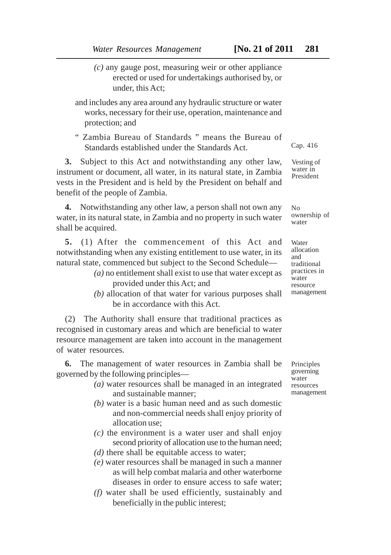- *(c)* any gauge post, measuring weir or other appliance erected or used for undertakings authorised by, or under, this Act;
- and includes any area around any hydraulic structure or water works, necessary for their use, operation, maintenance and protection; and
- " Zambia Bureau of Standards " means the Bureau of Standards established under the Standards Act.

**3.** Subject to this Act and notwithstanding any other law, instrument or document, all water, in its natural state, in Zambia vests in the President and is held by the President on behalf and benefit of the people of Zambia.

**4.** Notwithstanding any other law, a person shall not own any water, in its natural state, in Zambia and no property in such water shall be acquired.

**5.** (1) After the commencement of this Act and notwithstanding when any existing entitlement to use water, in its natural state, commenced but subject to the Second Schedule—

- *(a)* no entitlement shall exist to use that water except as provided under this Act; and
- *(b)* allocation of that water for various purposes shall be in accordance with this Act.

(2) The Authority shall ensure that traditional practices as recognised in customary areas and which are beneficial to water resource management are taken into account in the management of water resources.

**6.** The management of water resources in Zambia shall be governed by the following principles—

- *(a)* water resources shall be managed in an integrated and sustainable manner;
- *(b)* water is a basic human need and as such domestic and non-commercial needs shall enjoy priority of allocation use;
- *(c)* the environment is a water user and shall enjoy second priority of allocation use to the human need;
- *(d)* there shall be equitable access to water;
- *(e)* water resources shall be managed in such a manner as will help combat malaria and other waterborne diseases in order to ensure access to safe water;
- *(f)* water shall be used efficiently, sustainably and beneficially in the public interest;

Principles governing water resources management

Cap. 416

Vesting of water in President

 $N<sub>0</sub>$ ownership of water

Water allocation and traditional practices in water resource management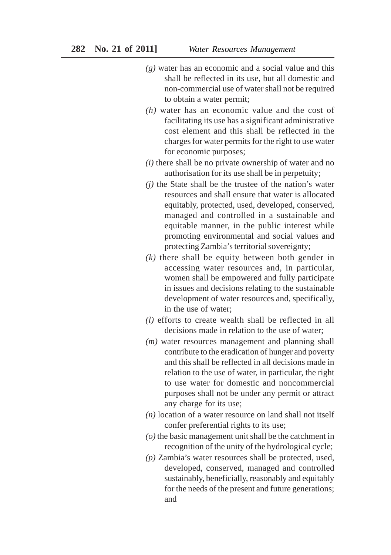- *(g)* water has an economic and a social value and this shall be reflected in its use, but all domestic and non-commercial use of water shall not be required to obtain a water permit;
- *(h)* water has an economic value and the cost of facilitating its use has a significant administrative cost element and this shall be reflected in the charges for water permits for the right to use water for economic purposes;
- *(i)* there shall be no private ownership of water and no authorisation for its use shall be in perpetuity;
- *(j)* the State shall be the trustee of the nation's water resources and shall ensure that water is allocated equitably, protected, used, developed, conserved, managed and controlled in a sustainable and equitable manner, in the public interest while promoting environmental and social values and protecting Zambia's territorial sovereignty;
- *(k)* there shall be equity between both gender in accessing water resources and, in particular, women shall be empowered and fully participate in issues and decisions relating to the sustainable development of water resources and, specifically, in the use of water;
- *(l)* efforts to create wealth shall be reflected in all decisions made in relation to the use of water;
- *(m)* water resources management and planning shall contribute to the eradication of hunger and poverty and this shall be reflected in all decisions made in relation to the use of water, in particular, the right to use water for domestic and noncommercial purposes shall not be under any permit or attract any charge for its use;
- *(n)* location of a water resource on land shall not itself confer preferential rights to its use;
- *(o)* the basic management unit shall be the catchment in recognition of the unity of the hydrological cycle;
- *(p)* Zambia's water resources shall be protected, used, developed, conserved, managed and controlled sustainably, beneficially, reasonably and equitably for the needs of the present and future generations; and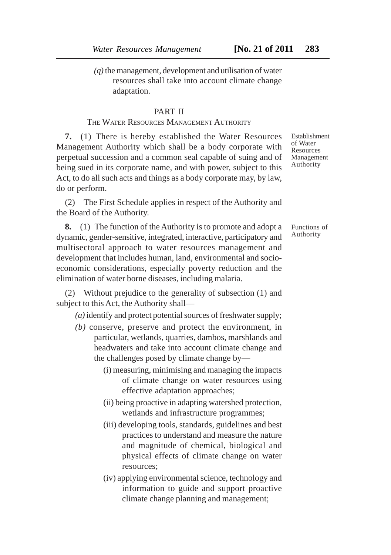*(q)* the management, development and utilisation of water resources shall take into account climate change adaptation.

#### PART II

#### THE WATER RESOURCES MANAGEMENT AUTHORITY

**7.** (1) There is hereby established the Water Resources Management Authority which shall be a body corporate with perpetual succession and a common seal capable of suing and of being sued in its corporate name, and with power, subject to this Act, to do all such acts and things as a body corporate may, by law, do or perform.

(2) The First Schedule applies in respect of the Authority and the Board of the Authority.

**8.** (1) The function of the Authority is to promote and adopt a dynamic, gender-sensitive, integrated, interactive, participatory and multisectoral approach to water resources management and development that includes human, land, environmental and socioeconomic considerations, especially poverty reduction and the elimination of water borne diseases, including malaria.

(2) Without prejudice to the generality of subsection (1) and subject to this Act, the Authority shall—

*(a)* identify and protect potential sources of freshwater supply;

- *(b)* conserve, preserve and protect the environment, in particular, wetlands, quarries, dambos, marshlands and headwaters and take into account climate change and the challenges posed by climate change by—
	- (i) measuring, minimising and managing the impacts of climate change on water resources using effective adaptation approaches;
	- (ii) being proactive in adapting watershed protection, wetlands and infrastructure programmes;
	- (iii) developing tools, standards, guidelines and best practices to understand and measure the nature and magnitude of chemical, biological and physical effects of climate change on water resources;
	- (iv) applying environmental science, technology and information to guide and support proactive climate change planning and management;

Establishment of Water Resources Management Authority

Functions of Authority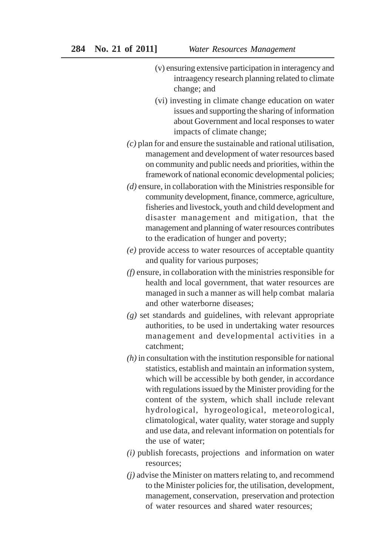- (v) ensuring extensive participation in interagency and intraagency research planning related to climate change; and
- (vi) investing in climate change education on water issues and supporting the sharing of information about Government and local responses to water impacts of climate change;
- *(c)* plan for and ensure the sustainable and rational utilisation, management and development of water resources based on community and public needs and priorities, within the framework of national economic developmental policies;
- *(d)* ensure, in collaboration with the Ministries responsible for community development, finance, commerce, agriculture, fisheries and livestock, youth and child development and disaster management and mitigation, that the management and planning of water resources contributes to the eradication of hunger and poverty;
- *(e)* provide access to water resources of acceptable quantity and quality for various purposes;
- *(f)* ensure, in collaboration with the ministries responsible for health and local government, that water resources are managed in such a manner as will help combat malaria and other waterborne diseases;
- *(g)* set standards and guidelines, with relevant appropriate authorities, to be used in undertaking water resources management and developmental activities in a catchment;
- *(h)* in consultation with the institution responsible for national statistics, establish and maintain an information system, which will be accessible by both gender, in accordance with regulations issued by the Minister providing for the content of the system, which shall include relevant hydrological, hyrogeological, meteorological, climatological, water quality, water storage and supply and use data, and relevant information on potentials for the use of water;
- *(i)* publish forecasts, projections and information on water resources;
- *(j)* advise the Minister on matters relating to, and recommend to the Minister policies for, the utilisation, development, management, conservation, preservation and protection of water resources and shared water resources;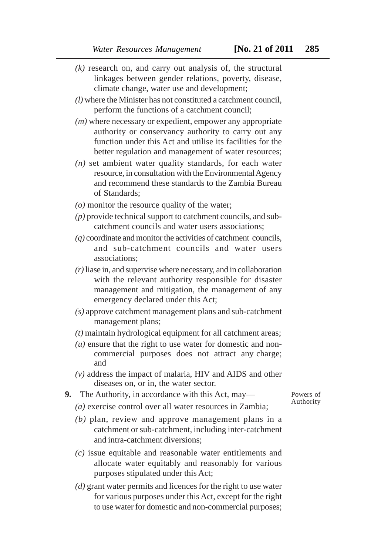- *(k)* research on, and carry out analysis of, the structural linkages between gender relations, poverty, disease, climate change, water use and development;
- *(l)* where the Minister has not constituted a catchment council, perform the functions of a catchment council;
- *(m)* where necessary or expedient, empower any appropriate authority or conservancy authority to carry out any function under this Act and utilise its facilities for the better regulation and management of water resources;
- *(n)* set ambient water quality standards, for each water resource, in consultation with the Environmental Agency and recommend these standards to the Zambia Bureau of Standards;
- *(o)* monitor the resource quality of the water;
- *(p)* provide technical support to catchment councils, and subcatchment councils and water users associations;
- *(q)* coordinate and monitor the activities of catchment councils, and sub-catchment councils and water users associations;
- *(r)* liase in, and supervise where necessary, and in collaboration with the relevant authority responsible for disaster management and mitigation, the management of any emergency declared under this Act;
- *(s)* approve catchment management plans and sub-catchment management plans;
- *(t)* maintain hydrological equipment for all catchment areas;
- *(u)* ensure that the right to use water for domestic and noncommercial purposes does not attract any charge; and
- *(v)* address the impact of malaria, HIV and AIDS and other diseases on, or in, the water sector.
- **9.** The Authority, in accordance with this Act, may—
- Powers of Authority
- *(a)* exercise control over all water resources in Zambia;
- *(b)* plan, review and approve management plans in a catchment or sub-catchment, including inter-catchment and intra-catchment diversions;
- *(c)* issue equitable and reasonable water entitlements and allocate water equitably and reasonably for various purposes stipulated under this Act;
- *(d)* grant water permits and licences for the right to use water for various purposes under this Act, except for the right to use water for domestic and non-commercial purposes;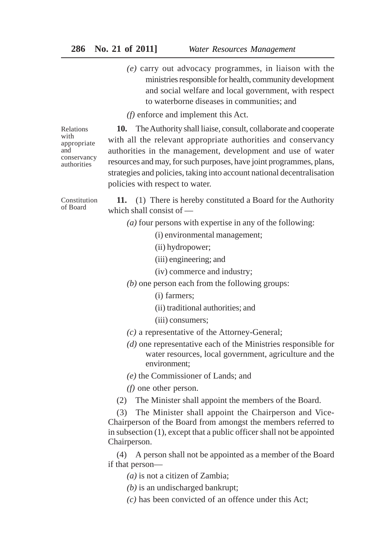*(e)* carry out advocacy programmes, in liaison with the ministries responsible for health, community development and social welfare and local government, with respect to waterborne diseases in communities; and

*(f)* enforce and implement this Act.

Relations with appropriate and conservancy authorities

**10.** The Authority shall liaise, consult, collaborate and cooperate with all the relevant appropriate authorities and conservancy authorities in the management, development and use of water resources and may, for such purposes, have joint programmes, plans, strategies and policies, taking into account national decentralisation policies with respect to water.

Constitution of Board

**11.** (1) There is hereby constituted a Board for the Authority which shall consist of —

*(a)* four persons with expertise in any of the following:

(i) environmental management;

- (ii) hydropower;
- (iii) engineering; and
- (iv) commerce and industry;
- *(b)* one person each from the following groups:
	- (i) farmers;
	- (ii) traditional authorities; and
	- (iii) consumers;
- *(c)* a representative of the Attorney-General;
- *(d)* one representative each of the Ministries responsible for water resources, local government, agriculture and the environment;

*(e)* the Commissioner of Lands; and

*(f)* one other person.

(2) The Minister shall appoint the members of the Board.

(3) The Minister shall appoint the Chairperson and Vice-Chairperson of the Board from amongst the members referred to in subsection (1), except that a public officer shall not be appointed Chairperson.

(4) A person shall not be appointed as a member of the Board if that person—

*(a)* is not a citizen of Zambia;

*(b)* is an undischarged bankrupt;

*(c)* has been convicted of an offence under this Act;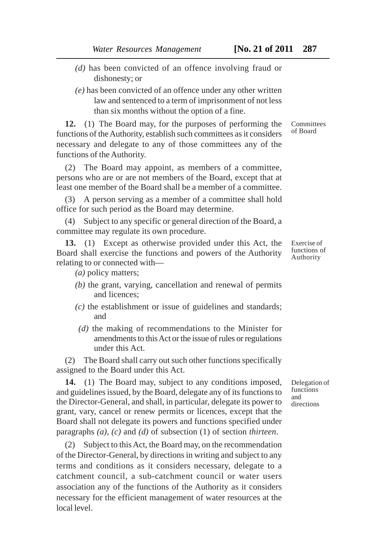- *(d)* has been convicted of an offence involving fraud or dishonesty; or
- *(e)* has been convicted of an offence under any other written law and sentenced to a term of imprisonment of not less than six months without the option of a fine.

**12.** (1) The Board may, for the purposes of performing the functions of the Authority, establish such committees as it considers necessary and delegate to any of those committees any of the functions of the Authority.

(2) The Board may appoint, as members of a committee, persons who are or are not members of the Board, except that at least one member of the Board shall be a member of a committee.

(3) A person serving as a member of a committee shall hold office for such period as the Board may determine.

(4) Subject to any specific or general direction of the Board, a committee may regulate its own procedure.

**13.** (1) Except as otherwise provided under this Act, the Board shall exercise the functions and powers of the Authority relating to or connected with—

*(a)* policy matters;

- *(b)* the grant, varying, cancellation and renewal of permits and licences;
- *(c)* the establishment or issue of guidelines and standards; and
- *(d)* the making of recommendations to the Minister for amendments to this Act or the issue of rules or regulations under this Act.

(2) The Board shall carry out such other functions specifically assigned to the Board under this Act.

**14.** (1) The Board may, subject to any conditions imposed, and guidelines issued, by the Board, delegate any of its functions to the Director-General, and shall, in particular, delegate its power to grant, vary, cancel or renew permits or licences, except that the Board shall not delegate its powers and functions specified under paragraphs *(a)*, *(c)* and *(d)* of subsection (1) of section *thirteen*.

(2) Subject to this Act, the Board may, on the recommendation of the Director-General, by directions in writing and subject to any terms and conditions as it considers necessary, delegate to a catchment council, a sub-catchment council or water users association any of the functions of the Authority as it considers necessary for the efficient management of water resources at the local level.

**Committees** of Board

Exercise of functions of Authority

Delegation of functions and directions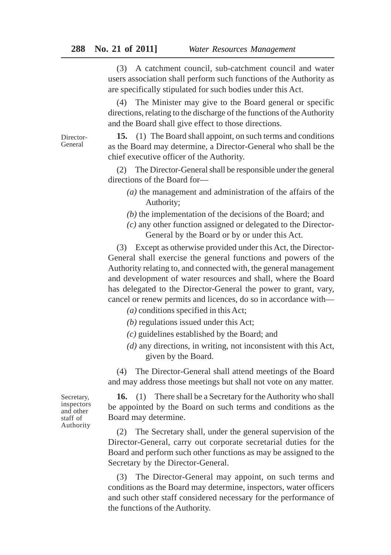(3) A catchment council, sub-catchment council and water users association shall perform such functions of the Authority as are specifically stipulated for such bodies under this Act.

(4) The Minister may give to the Board general or specific directions, relating to the discharge of the functions of the Authority and the Board shall give effect to those directions.

**15.** (1) The Board shall appoint, on such terms and conditions as the Board may determine, a Director-General who shall be the chief executive officer of the Authority.

(2) The Director-General shall be responsible under the general directions of the Board for—

- *(a)* the management and administration of the affairs of the Authority;
- *(b)* the implementation of the decisions of the Board; and
- *(c)* any other function assigned or delegated to the Director-General by the Board or by or under this Act.

(3) Except as otherwise provided under this Act, the Director-General shall exercise the general functions and powers of the Authority relating to, and connected with, the general management and development of water resources and shall, where the Board has delegated to the Director-General the power to grant, vary, cancel or renew permits and licences, do so in accordance with—

*(a)* conditions specified in this Act;

- *(b)* regulations issued under this Act;
- *(c)* guidelines established by the Board; and
- *(d)* any directions, in writing, not inconsistent with this Act, given by the Board.

(4) The Director-General shall attend meetings of the Board and may address those meetings but shall not vote on any matter.

**16.** (1) There shall be a Secretary for the Authority who shall be appointed by the Board on such terms and conditions as the Board may determine.

(2) The Secretary shall, under the general supervision of the Director-General, carry out corporate secretarial duties for the Board and perform such other functions as may be assigned to the Secretary by the Director-General.

(3) The Director-General may appoint, on such terms and conditions as the Board may determine, inspectors, water officers and such other staff considered necessary for the performance of the functions of the Authority.

Secretary, inspectors and other staff of Authority

Director-General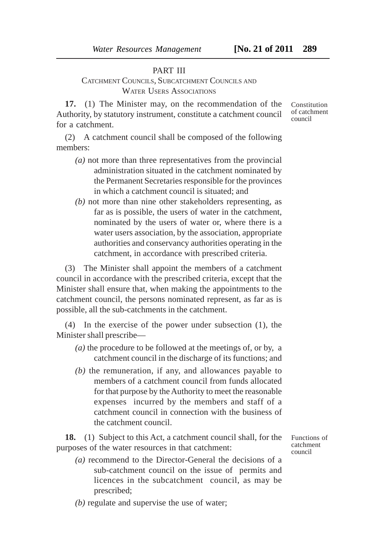#### PART III

# CATCHMENT COUNCILS, SUBCATCHMENT COUNCILS AND WATER USERS ASSOCIATIONS

**17.** (1) The Minister may, on the recommendation of the Authority, by statutory instrument, constitute a catchment council for a catchment.

(2) A catchment council shall be composed of the following members:

- *(a)* not more than three representatives from the provincial administration situated in the catchment nominated by the Permanent Secretaries responsible for the provinces in which a catchment council is situated; and
- *(b)* not more than nine other stakeholders representing, as far as is possible, the users of water in the catchment, nominated by the users of water or, where there is a water users association, by the association, appropriate authorities and conservancy authorities operating in the catchment, in accordance with prescribed criteria.

(3) The Minister shall appoint the members of a catchment council in accordance with the prescribed criteria, except that the Minister shall ensure that, when making the appointments to the catchment council, the persons nominated represent, as far as is possible, all the sub-catchments in the catchment.

(4) In the exercise of the power under subsection (1), the Minister shall prescribe—

- *(a)* the procedure to be followed at the meetings of, or by, a catchment council in the discharge of its functions; and
- *(b)* the remuneration, if any, and allowances payable to members of a catchment council from funds allocated for that purpose by the Authority to meet the reasonable expenses incurred by the members and staff of a catchment council in connection with the business of the catchment council.

**18.** (1) Subject to this Act, a catchment council shall, for the purposes of the water resources in that catchment:

- *(a)* recommend to the Director-General the decisions of a sub-catchment council on the issue of permits and licences in the subcatchment council, as may be prescribed;
- *(b)* regulate and supervise the use of water;

Functions of catchment council

Constitution of catchment council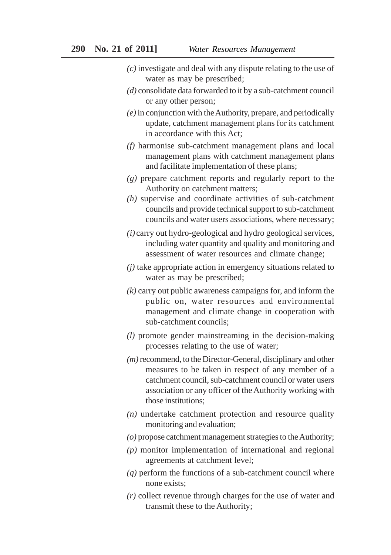- *(c)* investigate and deal with any dispute relating to the use of water as may be prescribed;
- *(d)* consolidate data forwarded to it by a sub-catchment council or any other person;
- *(e)* in conjunction with the Authority, prepare, and periodically update, catchment management plans for its catchment in accordance with this Act;
- *(f)* harmonise sub-catchment management plans and local management plans with catchment management plans and facilitate implementation of these plans;
- *(g)* prepare catchment reports and regularly report to the Authority on catchment matters;
- *(h)* supervise and coordinate activities of sub-catchment councils and provide technical support to sub-catchment councils and water users associations, where necessary;
- *(i)* carry out hydro-geological and hydro geological services, including water quantity and quality and monitoring and assessment of water resources and climate change;
- *(j)* take appropriate action in emergency situations related to water as may be prescribed;
- *(k)* carry out public awareness campaigns for, and inform the public on, water resources and environmental management and climate change in cooperation with sub-catchment councils;
- *(l)* promote gender mainstreaming in the decision-making processes relating to the use of water;
- *(m)* recommend, to the Director-General, disciplinary and other measures to be taken in respect of any member of a catchment council, sub-catchment council or water users association or any officer of the Authority working with those institutions;
- *(n)* undertake catchment protection and resource quality monitoring and evaluation;
- *(o)* propose catchment management strategies to the Authority;
- *(p)* monitor implementation of international and regional agreements at catchment level;
- *(q)* perform the functions of a sub-catchment council where none exists;
- *(r)* collect revenue through charges for the use of water and transmit these to the Authority;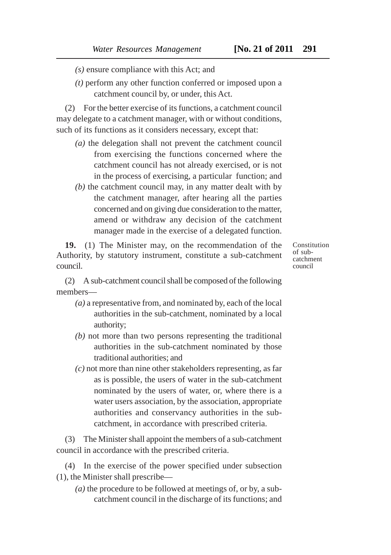- *(s)* ensure compliance with this Act; and
- *(t)* perform any other function conferred or imposed upon a catchment council by, or under, this Act.

(2) For the better exercise of its functions, a catchment council may delegate to a catchment manager, with or without conditions, such of its functions as it considers necessary, except that:

- *(a)* the delegation shall not prevent the catchment council from exercising the functions concerned where the catchment council has not already exercised, or is not in the process of exercising, a particular function; and
- *(b)* the catchment council may, in any matter dealt with by the catchment manager, after hearing all the parties concerned and on giving due consideration to the matter, amend or withdraw any decision of the catchment manager made in the exercise of a delegated function.

**19.** (1) The Minister may, on the recommendation of the Authority, by statutory instrument, constitute a sub-catchment council.

Constitution of subcatchment council

(2) A sub-catchment council shall be composed of the following members—

- *(a)* a representative from, and nominated by, each of the local authorities in the sub-catchment, nominated by a local authority;
- *(b)* not more than two persons representing the traditional authorities in the sub-catchment nominated by those traditional authorities; and
- *(c)* not more than nine other stakeholders representing, as far as is possible, the users of water in the sub-catchment nominated by the users of water, or, where there is a water users association, by the association, appropriate authorities and conservancy authorities in the subcatchment, in accordance with prescribed criteria.

(3) The Minister shall appoint the members of a sub-catchment council in accordance with the prescribed criteria.

(4) In the exercise of the power specified under subsection (1), the Minister shall prescribe—

*(a)* the procedure to be followed at meetings of, or by, a subcatchment council in the discharge of its functions; and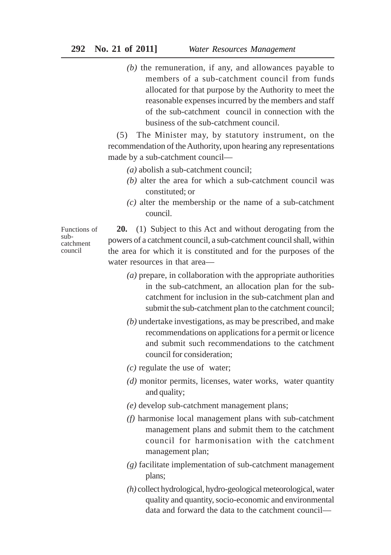*(b)* the remuneration, if any, and allowances payable to members of a sub-catchment council from funds allocated for that purpose by the Authority to meet the reasonable expenses incurred by the members and staff of the sub-catchment council in connection with the business of the sub-catchment council.

(5) The Minister may, by statutory instrument, on the recommendation of the Authority, upon hearing any representations made by a sub-catchment council—

- *(a)* abolish a sub-catchment council;
- *(b)* alter the area for which a sub-catchment council was constituted; or
- *(c)* alter the membership or the name of a sub-catchment council.

Functions of subcatchment council

**20.** (1) Subject to this Act and without derogating from the powers of a catchment council, a sub-catchment council shall, within the area for which it is constituted and for the purposes of the water resources in that area—

- *(a)* prepare, in collaboration with the appropriate authorities in the sub-catchment, an allocation plan for the subcatchment for inclusion in the sub-catchment plan and submit the sub-catchment plan to the catchment council;
- *(b)* undertake investigations, as may be prescribed, and make recommendations on applications for a permit or licence and submit such recommendations to the catchment council for consideration;
- *(c)* regulate the use of water;
- *(d)* monitor permits, licenses, water works, water quantity and quality;
- *(e)* develop sub-catchment management plans;
- *(f)* harmonise local management plans with sub-catchment management plans and submit them to the catchment council for harmonisation with the catchment management plan;
- *(g)* facilitate implementation of sub-catchment management plans;
- *(h)* collect hydrological, hydro-geological meteorological, water quality and quantity, socio-economic and environmental data and forward the data to the catchment council—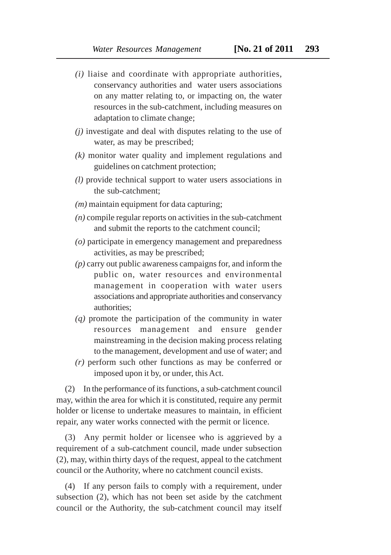- *(i)* liaise and coordinate with appropriate authorities, conservancy authorities and water users associations on any matter relating to, or impacting on, the water resources in the sub-catchment, including measures on adaptation to climate change;
- *(j)* investigate and deal with disputes relating to the use of water, as may be prescribed;
- *(k)* monitor water quality and implement regulations and guidelines on catchment protection;
- *(l)* provide technical support to water users associations in the sub-catchment;
- *(m)* maintain equipment for data capturing;
- *(n)* compile regular reports on activities in the sub-catchment and submit the reports to the catchment council;
- *(o)* participate in emergency management and preparedness activities, as may be prescribed;
- *(p)* carry out public awareness campaigns for, and inform the public on, water resources and environmental management in cooperation with water users associations and appropriate authorities and conservancy authorities;
- *(q)* promote the participation of the community in water resources management and ensure gender mainstreaming in the decision making process relating to the management, development and use of water; and
- *(r)* perform such other functions as may be conferred or imposed upon it by, or under, this Act.

(2) In the performance of its functions, a sub-catchment council may, within the area for which it is constituted, require any permit holder or license to undertake measures to maintain, in efficient repair, any water works connected with the permit or licence.

(3) Any permit holder or licensee who is aggrieved by a requirement of a sub-catchment council, made under subsection (2), may, within thirty days of the request, appeal to the catchment council or the Authority, where no catchment council exists.

(4) If any person fails to comply with a requirement, under subsection (2), which has not been set aside by the catchment council or the Authority, the sub-catchment council may itself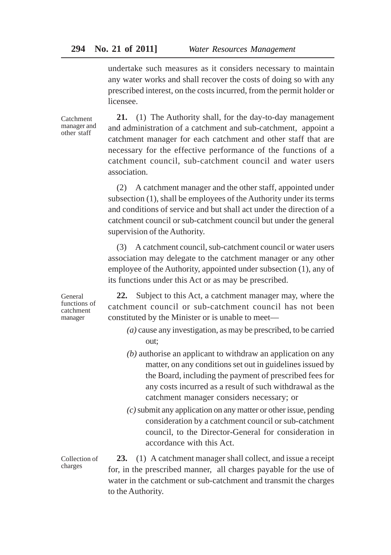undertake such measures as it considers necessary to maintain any water works and shall recover the costs of doing so with any prescribed interest, on the costs incurred, from the permit holder or licensee.

Catchment manager and other staff

**21.** (1) The Authority shall, for the day-to-day management and administration of a catchment and sub-catchment, appoint a catchment manager for each catchment and other staff that are necessary for the effective performance of the functions of a catchment council, sub-catchment council and water users association.

(2) A catchment manager and the other staff, appointed under subsection (1), shall be employees of the Authority under its terms and conditions of service and but shall act under the direction of a catchment council or sub-catchment council but under the general supervision of the Authority.

(3) A catchment council, sub-catchment council or water users association may delegate to the catchment manager or any other employee of the Authority, appointed under subsection (1), any of its functions under this Act or as may be prescribed.

**22.** Subject to this Act, a catchment manager may, where the catchment council or sub-catchment council has not been constituted by the Minister or is unable to meet—

- *(a)* cause any investigation, as may be prescribed, to be carried out;
- *(b)* authorise an applicant to withdraw an application on any matter, on any conditions set out in guidelines issued by the Board, including the payment of prescribed fees for any costs incurred as a result of such withdrawal as the catchment manager considers necessary; or
- *(c)* submit any application on any matter or other issue, pending consideration by a catchment council or sub-catchment council, to the Director-General for consideration in accordance with this Act.

Collection of charges

**23.** (1) A catchment manager shall collect, and issue a receipt for, in the prescribed manner, all charges payable for the use of water in the catchment or sub-catchment and transmit the charges to the Authority.

General functions of catchment manager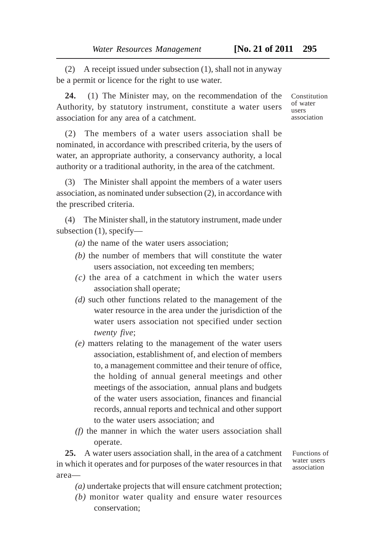(2) A receipt issued under subsection (1), shall not in anyway be a permit or licence for the right to use water.

**24.** (1) The Minister may, on the recommendation of the Authority, by statutory instrument, constitute a water users association for any area of a catchment.

(2) The members of a water users association shall be nominated, in accordance with prescribed criteria, by the users of water, an appropriate authority, a conservancy authority, a local authority or a traditional authority, in the area of the catchment.

(3) The Minister shall appoint the members of a water users association, as nominated under subsection (2), in accordance with the prescribed criteria.

(4) The Minister shall, in the statutory instrument, made under subsection (1), specify—

*(a)* the name of the water users association;

- *(b)* the number of members that will constitute the water users association, not exceeding ten members;
- *(c)* the area of a catchment in which the water users association shall operate;
- *(d)* such other functions related to the management of the water resource in the area under the jurisdiction of the water users association not specified under section *twenty five*;
- *(e)* matters relating to the management of the water users association, establishment of, and election of members to, a management committee and their tenure of office, the holding of annual general meetings and other meetings of the association, annual plans and budgets of the water users association, finances and financial records, annual reports and technical and other support to the water users association; and
- *(f)* the manner in which the water users association shall operate.

**25.** A water users association shall, in the area of a catchment in which it operates and for purposes of the water resources in that area—

Functions of water users association

- *(a)* undertake projects that will ensure catchment protection;
- *(b)* monitor water quality and ensure water resources conservation;

Constitution of water users association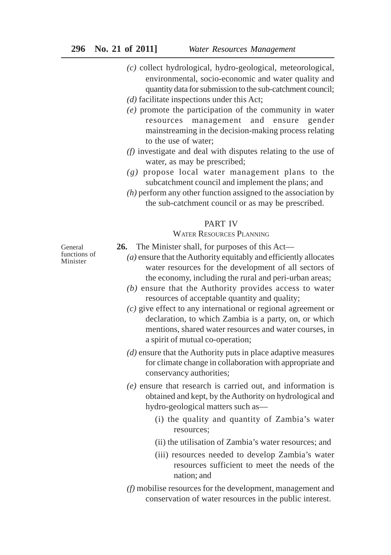- *(c)* collect hydrological, hydro-geological, meteorological, environmental, socio-economic and water quality and quantity data for submission to the sub-catchment council;
- *(d)* facilitate inspections under this Act;
- *(e)* promote the participation of the community in water resources management and ensure gender mainstreaming in the decision-making process relating to the use of water;
- *(f)* investigate and deal with disputes relating to the use of water, as may be prescribed;
- *(g)* propose local water management plans to the subcatchment council and implement the plans; and
- *(h)* perform any other function assigned to the association by the sub-catchment council or as may be prescribed.

#### PART IV

#### WATER RESOURCES PLANNING

General functions of Minister

- **26.** The Minister shall, for purposes of this Act—
	- *(a)* ensure that the Authority equitably and efficiently allocates water resources for the development of all sectors of the economy, including the rural and peri-urban areas;
	- *(b)* ensure that the Authority provides access to water resources of acceptable quantity and quality;
	- *(c)* give effect to any international or regional agreement or declaration, to which Zambia is a party, on, or which mentions, shared water resources and water courses, in a spirit of mutual co-operation;
	- *(d)* ensure that the Authority puts in place adaptive measures for climate change in collaboration with appropriate and conservancy authorities;
	- *(e)* ensure that research is carried out, and information is obtained and kept, by the Authority on hydrological and hydro-geological matters such as—
		- (i) the quality and quantity of Zambia's water resources;
		- (ii) the utilisation of Zambia's water resources; and
		- (iii) resources needed to develop Zambia's water resources sufficient to meet the needs of the nation; and
	- *(f)* mobilise resources for the development, management and conservation of water resources in the public interest.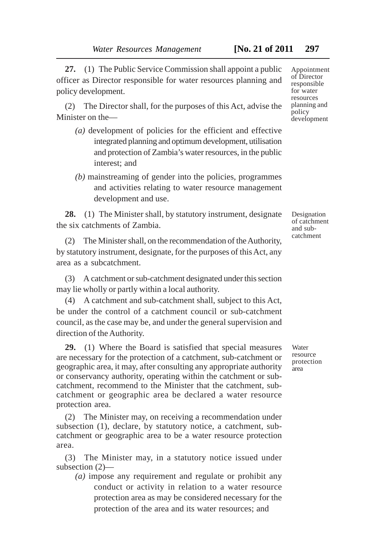**27.** (1) The Public Service Commission shall appoint a public officer as Director responsible for water resources planning and policy development.

(2) The Director shall, for the purposes of this Act, advise the Minister on the—

- *(a)* development of policies for the efficient and effective integrated planning and optimum development, utilisation and protection of Zambia's water resources, in the public interest; and
- *(b)* mainstreaming of gender into the policies, programmes and activities relating to water resource management development and use.

**28.** (1) The Minister shall, by statutory instrument, designate the six catchments of Zambia.

(2) The Minister shall, on the recommendation of the Authority, by statutory instrument, designate, for the purposes of this Act, any area as a subcatchment.

(3) A catchment or sub-catchment designated under this section may lie wholly or partly within a local authority.

(4) A catchment and sub-catchment shall, subject to this Act, be under the control of a catchment council or sub-catchment council, as the case may be, and under the general supervision and direction of the Authority.

**29.** (1) Where the Board is satisfied that special measures are necessary for the protection of a catchment, sub-catchment or geographic area, it may, after consulting any appropriate authority or conservancy authority, operating within the catchment or subcatchment, recommend to the Minister that the catchment, subcatchment or geographic area be declared a water resource protection area.

(2) The Minister may, on receiving a recommendation under subsection (1), declare, by statutory notice, a catchment, subcatchment or geographic area to be a water resource protection area.

(3) The Minister may, in a statutory notice issued under subsection (2)—

*(a)* impose any requirement and regulate or prohibit any conduct or activity in relation to a water resource protection area as may be considered necessary for the protection of the area and its water resources; and

Appointment of Director responsible for water resources planning and policy development

Designation of catchment and subcatchment

Water resource protection area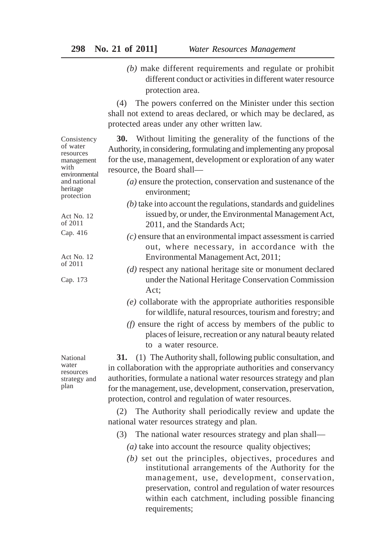*(b)* make different requirements and regulate or prohibit different conduct or activities in different water resource protection area.

(4) The powers conferred on the Minister under this section shall not extend to areas declared, or which may be declared, as protected areas under any other written law.

**30.** Without limiting the generality of the functions of the Authority, in considering, formulating and implementing any proposal for the use, management, development or exploration of any water resource, the Board shall—

- *(a)* ensure the protection, conservation and sustenance of the environment;
- *(b)* take into account the regulations, standards and guidelines issued by, or under, the Environmental Management Act, 2011, and the Standards Act;
- *(c)* ensure that an environmental impact assessment is carried out, where necessary, in accordance with the Environmental Management Act, 2011;
- *(d)* respect any national heritage site or monument declared under the National Heritage Conservation Commission Act;
- *(e)* collaborate with the appropriate authorities responsible for wildlife, natural resources, tourism and forestry; and
- *(f)* ensure the right of access by members of the public to places of leisure, recreation or any natural beauty related to a water resource.

**31.** (1) The Authority shall, following public consultation, and in collaboration with the appropriate authorities and conservancy authorities, formulate a national water resources strategy and plan for the management, use, development, conservation, preservation, protection, control and regulation of water resources.

(2) The Authority shall periodically review and update the national water resources strategy and plan.

- (3) The national water resources strategy and plan shall—
	- *(a)* take into account the resource quality objectives;
	- *(b)* set out the principles, objectives, procedures and institutional arrangements of the Authority for the management, use, development, conservation, preservation, control and regulation of water resources within each catchment, including possible financing requirements;

National water resources strategy and plan

Consistency of water resources management with environmental and national heritage protection

Act No. 12 of 2011 Cap. 416

Act No. 12 of 2011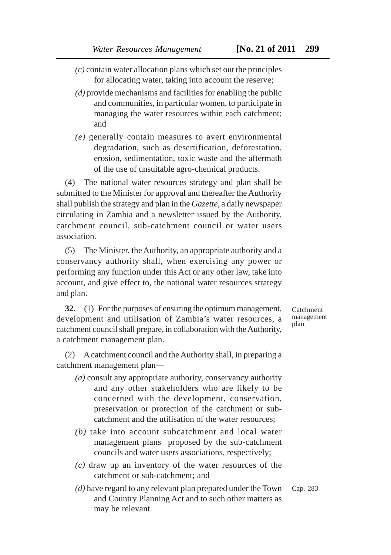- *(c)* contain water allocation plans which set out the principles for allocating water, taking into account the reserve;
- *(d)* provide mechanisms and facilities for enabling the public and communities, in particular women, to participate in managing the water resources within each catchment; and
- *(e)* generally contain measures to avert environmental degradation, such as desertification, deforestation, erosion, sedimentation, toxic waste and the aftermath of the use of unsuitable agro-chemical products.

(4) The national water resources strategy and plan shall be submitted to the Minister for approval and thereafter the Authority shall publish the strategy and plan in the *Gazette*, a daily newspaper circulating in Zambia and a newsletter issued by the Authority, catchment council, sub-catchment council or water users association.

(5) The Minister, the Authority, an appropriate authority and a conservancy authority shall, when exercising any power or performing any function under this Act or any other law, take into account, and give effect to, the national water resources strategy and plan.

**32.** (1) For the purposes of ensuring the optimum management, development and utilisation of Zambia's water resources, a catchment council shall prepare, in collaboration with the Authority, a catchment management plan.

(2) A catchment council and the Authority shall, in preparing a catchment management plan—

- *(a)* consult any appropriate authority, conservancy authority and any other stakeholders who are likely to be concerned with the development, conservation, preservation or protection of the catchment or subcatchment and the utilisation of the water resources;
- *(b)* take into account subcatchment and local water management plans proposed by the sub-catchment councils and water users associations, respectively;
- *(c)* draw up an inventory of the water resources of the catchment or sub-catchment; and
- *(d)* have regard to any relevant plan prepared under the Town and Country Planning Act and to such other matters as may be relevant. Cap. 283

Catchment management plan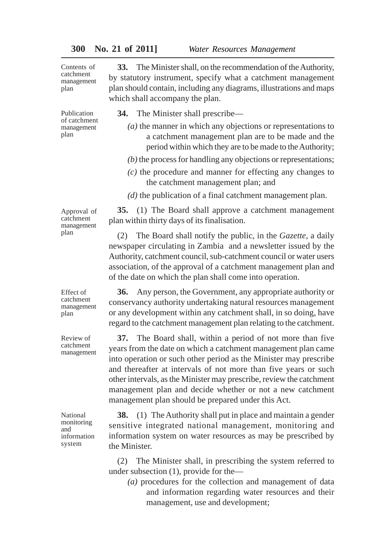| Contents of<br>catchment<br>management<br>plan    | The Minister shall, on the recommendation of the Authority,<br>33.<br>by statutory instrument, specify what a catchment management<br>plan should contain, including any diagrams, illustrations and maps<br>which shall accompany the plan.                                                                                                                                                                                                                      |
|---------------------------------------------------|-------------------------------------------------------------------------------------------------------------------------------------------------------------------------------------------------------------------------------------------------------------------------------------------------------------------------------------------------------------------------------------------------------------------------------------------------------------------|
| Publication<br>of catchment<br>management<br>plan | <b>34.</b> The Minister shall prescribe—                                                                                                                                                                                                                                                                                                                                                                                                                          |
|                                                   | $(a)$ the manner in which any objections or representations to<br>a catchment management plan are to be made and the<br>period within which they are to be made to the Authority;                                                                                                                                                                                                                                                                                 |
|                                                   | $(b)$ the process for handling any objections or representations;                                                                                                                                                                                                                                                                                                                                                                                                 |
|                                                   | $(c)$ the procedure and manner for effecting any changes to<br>the catchment management plan; and                                                                                                                                                                                                                                                                                                                                                                 |
|                                                   | $(d)$ the publication of a final catchment management plan.                                                                                                                                                                                                                                                                                                                                                                                                       |
| Approval of<br>catchment<br>management<br>plan    | 35. (1) The Board shall approve a catchment management<br>plan within thirty days of its finalisation.                                                                                                                                                                                                                                                                                                                                                            |
|                                                   | The Board shall notify the public, in the <i>Gazette</i> , a daily<br>(2)<br>newspaper circulating in Zambia and a newsletter issued by the<br>Authority, catchment council, sub-catchment council or water users<br>association, of the approval of a catchment management plan and<br>of the date on which the plan shall come into operation.                                                                                                                  |
| Effect of<br>catchment<br>management<br>plan      | Any person, the Government, any appropriate authority or<br>36.<br>conservancy authority undertaking natural resources management<br>or any development within any catchment shall, in so doing, have<br>regard to the catchment management plan relating to the catchment.                                                                                                                                                                                       |
| Review of<br>catchment<br>management              | The Board shall, within a period of not more than five<br>37.<br>years from the date on which a catchment management plan came<br>into operation or such other period as the Minister may prescribe<br>and thereafter at intervals of not more than five years or such<br>other intervals, as the Minister may prescribe, review the catchment<br>management plan and decide whether or not a new catchment<br>management plan should be prepared under this Act. |

National monitoring and information system

**38.** (1) The Authority shall put in place and maintain a gender sensitive integrated national management, monitoring and information system on water resources as may be prescribed by the Minister.

(2) The Minister shall, in prescribing the system referred to under subsection (1), provide for the—

*(a)* procedures for the collection and management of data and information regarding water resources and their management, use and development;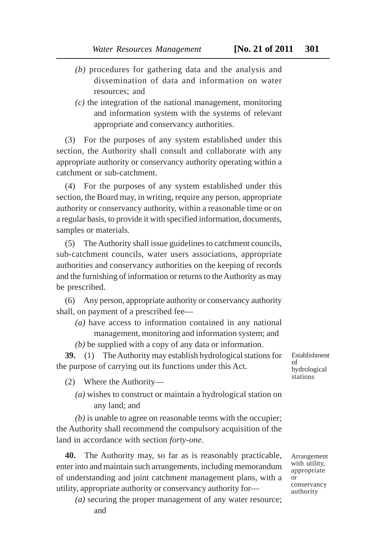- *(b)* procedures for gathering data and the analysis and dissemination of data and information on water resources; and
- *(c)* the integration of the national management, monitoring and information system with the systems of relevant appropriate and conservancy authorities.

(3) For the purposes of any system established under this section, the Authority shall consult and collaborate with any appropriate authority or conservancy authority operating within a catchment or sub-catchment.

(4) For the purposes of any system established under this section, the Board may, in writing, require any person, appropriate authority or conservancy authority, within a reasonable time or on a regular basis, to provide it with specified information, documents, samples or materials.

(5) The Authority shall issue guidelines to catchment councils, sub-catchment councils, water users associations, appropriate authorities and conservancy authorities on the keeping of records and the furnishing of information or returns to the Authority as may be prescribed.

(6) Any person, appropriate authority or conservancy authority shall, on payment of a prescribed fee—

*(a)* have access to information contained in any national management, monitoring and information system; and *(b)* be supplied with a copy of any data or information.

**39.** (1) The Authority may establish hydrological stations for the purpose of carrying out its functions under this Act.

(2) Where the Authority—

*(a)* wishes to construct or maintain a hydrological station on any land; and

*(b)* is unable to agree on reasonable terms with the occupier; the Authority shall recommend the compulsory acquisition of the land in accordance with section *forty-one*.

**40.** The Authority may, so far as is reasonably practicable, enter into and maintain such arrangements, including memorandum of understanding and joint catchment management plans, with a utility, appropriate authority or conservancy authority for—

*(a)* securing the proper management of any water resource; and

Establishment of hydrological stations

Arrangement with utility, appropriate or conservancy authority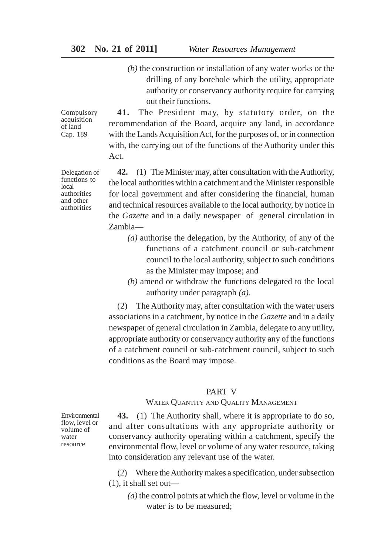## **302 No. 21 of 2011]** *Water Resources Management*

*(b)* the construction or installation of any water works or the drilling of any borehole which the utility, appropriate authority or conservancy authority require for carrying out their functions.

Compulsory acquisition of land Cap. 189

Delegation of functions to local authorities and other authorities

**41.** The President may, by statutory order, on the recommendation of the Board, acquire any land, in accordance with the Lands Acquisition Act, for the purposes of, or in connection with, the carrying out of the functions of the Authority under this Act.

**42.** (1) The Minister may, after consultation with the Authority, the local authorities within a catchment and the Minister responsible for local government and after considering the financial, human and technical resources available to the local authority, by notice in the *Gazette* and in a daily newspaper of general circulation in Zambia—

- *(a)* authorise the delegation, by the Authority, of any of the functions of a catchment council or sub-catchment council to the local authority, subject to such conditions as the Minister may impose; and
- *(b)* amend or withdraw the functions delegated to the local authority under paragraph *(a)*.

(2) The Authority may, after consultation with the water users associations in a catchment, by notice in the *Gazette* and in a daily newspaper of general circulation in Zambia, delegate to any utility, appropriate authority or conservancy authority any of the functions of a catchment council or sub-catchment council, subject to such conditions as the Board may impose.

## PART V

## WATER QUANTITY AND QUALITY MANAGEMENT

**43.** (1) The Authority shall, where it is appropriate to do so, and after consultations with any appropriate authority or conservancy authority operating within a catchment, specify the environmental flow, level or volume of any water resource, taking into consideration any relevant use of the water.

(2) Where the Authority makes a specification, under subsection (1), it shall set out—

*(a)* the control points at which the flow, level or volume in the water is to be measured;

Environmental flow, level or volume of water resource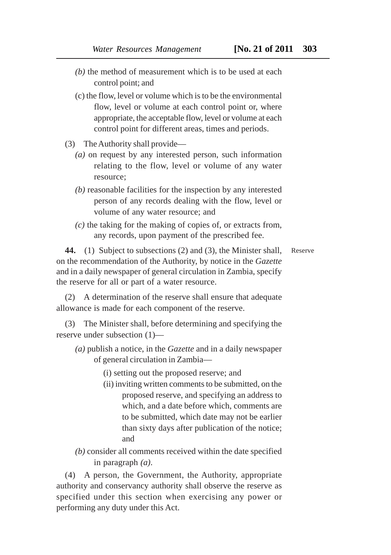- *(b)* the method of measurement which is to be used at each control point; and
- (c) the flow, level or volume which is to be the environmental flow, level or volume at each control point or, where appropriate, the acceptable flow, level or volume at each control point for different areas, times and periods.
- (3) The Authority shall provide—
	- *(a)* on request by any interested person, such information relating to the flow, level or volume of any water resource;
	- *(b)* reasonable facilities for the inspection by any interested person of any records dealing with the flow, level or volume of any water resource; and
	- *(c)* the taking for the making of copies of, or extracts from, any records, upon payment of the prescribed fee.

**44.** (1) Subject to subsections (2) and (3), the Minister shall, on the recommendation of the Authority, by notice in the *Gazette* and in a daily newspaper of general circulation in Zambia, specify the reserve for all or part of a water resource. Reserve

(2) A determination of the reserve shall ensure that adequate allowance is made for each component of the reserve.

(3) The Minister shall, before determining and specifying the reserve under subsection (1)—

- *(a)* publish a notice, in the *Gazette* and in a daily newspaper of general circulation in Zambia—
	- (i) setting out the proposed reserve; and
	- (ii) inviting written comments to be submitted, on the proposed reserve, and specifying an address to which, and a date before which, comments are to be submitted, which date may not be earlier than sixty days after publication of the notice; and
- *(b)* consider all comments received within the date specified in paragraph *(a)*.

(4) A person, the Government, the Authority, appropriate authority and conservancy authority shall observe the reserve as specified under this section when exercising any power or performing any duty under this Act.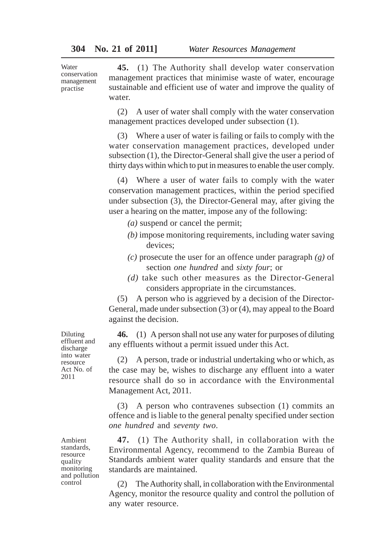Water conservation management practise

**45.** (1) The Authority shall develop water conservation management practices that minimise waste of water, encourage sustainable and efficient use of water and improve the quality of water.

(2) A user of water shall comply with the water conservation management practices developed under subsection (1).

(3) Where a user of water is failing or fails to comply with the water conservation management practices, developed under subsection (1), the Director-General shall give the user a period of thirty days within which to put in measures to enable the user comply.

(4) Where a user of water fails to comply with the water conservation management practices, within the period specified under subsection (3), the Director-General may, after giving the user a hearing on the matter, impose any of the following:

- *(a)* suspend or cancel the permit;
- *(b)* impose monitoring requirements, including water saving devices;
- *(c)* prosecute the user for an offence under paragraph *(g)* of section *one hundred* and *sixty four*; or
- *(d)* take such other measures as the Director-General considers appropriate in the circumstances.

(5) A person who is aggrieved by a decision of the Director-General, made under subsection (3) or (4), may appeal to the Board against the decision.

**46.** (1) A person shall not use any water for purposes of diluting any effluents without a permit issued under this Act.

(2) A person, trade or industrial undertaking who or which, as the case may be, wishes to discharge any effluent into a water resource shall do so in accordance with the Environmental Management Act, 2011.

(3) A person who contravenes subsection (1) commits an offence and is liable to the general penalty specified under section *one hundred* and *seventy two*.

**47.** (1) The Authority shall, in collaboration with the Environmental Agency, recommend to the Zambia Bureau of Standards ambient water quality standards and ensure that the standards are maintained.

(2) The Authority shall, in collaboration with the Environmental Agency, monitor the resource quality and control the pollution of any water resource.

Diluting effluent and discharge into water resource Act No. of 2011

Ambient standards, resource quality monitoring and pollution control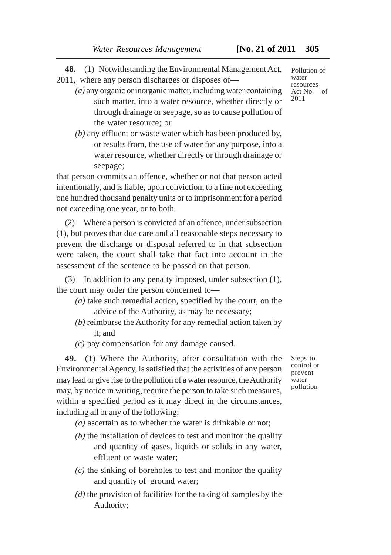**48.** (1) Notwithstanding the Environmental Management Act,

2011, where any person discharges or disposes of—

- *(a)* any organic or inorganic matter, including water containing such matter, into a water resource, whether directly or through drainage or seepage, so as to cause pollution of the water resource; or
- *(b)* any effluent or waste water which has been produced by, or results from, the use of water for any purpose, into a water resource, whether directly or through drainage or seepage;

that person commits an offence, whether or not that person acted intentionally, and is liable, upon conviction, to a fine not exceeding one hundred thousand penalty units or to imprisonment for a period not exceeding one year, or to both.

(2) Where a person is convicted of an offence, under subsection (1), but proves that due care and all reasonable steps necessary to prevent the discharge or disposal referred to in that subsection were taken, the court shall take that fact into account in the assessment of the sentence to be passed on that person.

(3) In addition to any penalty imposed, under subsection (1), the court may order the person concerned to—

- *(a)* take such remedial action, specified by the court, on the advice of the Authority, as may be necessary;
- *(b)* reimburse the Authority for any remedial action taken by it; and
- *(c)* pay compensation for any damage caused.

**49.** (1) Where the Authority, after consultation with the Environmental Agency, is satisfied that the activities of any person may lead or give rise to the pollution of a water resource, the Authority may, by notice in writing, require the person to take such measures, within a specified period as it may direct in the circumstances, including all or any of the following:

*(a)* ascertain as to whether the water is drinkable or not;

- *(b)* the installation of devices to test and monitor the quality and quantity of gases, liquids or solids in any water, effluent or waste water;
- *(c)* the sinking of boreholes to test and monitor the quality and quantity of ground water;
- *(d)* the provision of facilities for the taking of samples by the Authority;

Steps to control or prevent water pollution

Pollution of water resources Act No. of 2011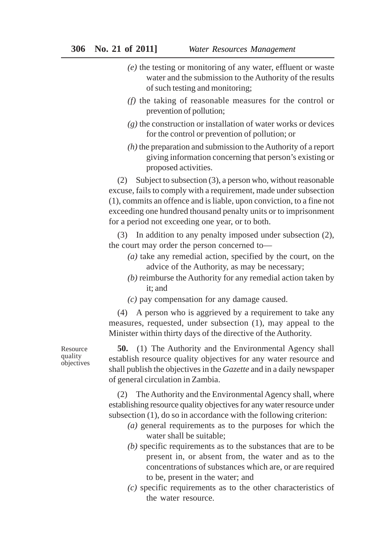- *(e)* the testing or monitoring of any water, effluent or waste water and the submission to the Authority of the results of such testing and monitoring;
- *(f)* the taking of reasonable measures for the control or prevention of pollution;
- *(g)* the construction or installation of water works or devices for the control or prevention of pollution; or
- *(h)* the preparation and submission to the Authority of a report giving information concerning that person's existing or proposed activities.

(2) Subject to subsection (3), a person who, without reasonable excuse, fails to comply with a requirement, made under subsection (1), commits an offence and is liable, upon conviction, to a fine not exceeding one hundred thousand penalty units or to imprisonment for a period not exceeding one year, or to both.

(3) In addition to any penalty imposed under subsection (2), the court may order the person concerned to—

- *(a)* take any remedial action, specified by the court, on the advice of the Authority, as may be necessary;
- *(b)* reimburse the Authority for any remedial action taken by it; and
- *(c)* pay compensation for any damage caused.

(4) A person who is aggrieved by a requirement to take any measures, requested, under subsection (1), may appeal to the Minister within thirty days of the directive of the Authority.

**50.** (1) The Authority and the Environmental Agency shall establish resource quality objectives for any water resource and shall publish the objectives in the *Gazette* and in a daily newspaper of general circulation in Zambia.

(2) The Authority and the Environmental Agency shall, where establishing resource quality objectives for any water resource under subsection (1), do so in accordance with the following criterion:

- *(a)* general requirements as to the purposes for which the water shall be suitable;
- *(b)* specific requirements as to the substances that are to be present in, or absent from, the water and as to the concentrations of substances which are, or are required to be, present in the water; and
- *(c)* specific requirements as to the other characteristics of the water resource.

Resource quality objectives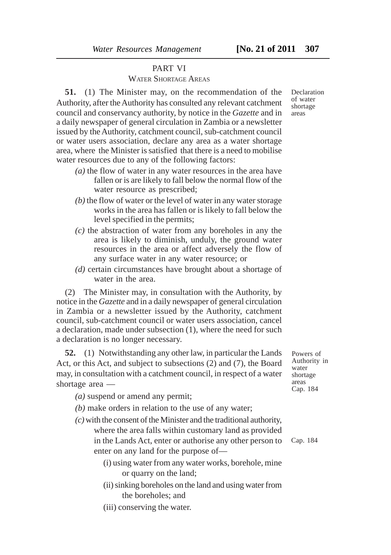PART VI WATER SHORTAGE AREAS

**51.** (1) The Minister may, on the recommendation of the Authority, after the Authority has consulted any relevant catchment council and conservancy authority, by notice in the *Gazette* and in a daily newspaper of general circulation in Zambia or a newsletter issued by the Authority, catchment council, sub-catchment council or water users association, declare any area as a water shortage area, where the Minister is satisfied that there is a need to mobilise water resources due to any of the following factors:

- *(a)* the flow of water in any water resources in the area have fallen or is are likely to fall below the normal flow of the water resource as prescribed;
- *(b)* the flow of water or the level of water in any water storage works in the area has fallen or is likely to fall below the level specified in the permits;
- *(c)* the abstraction of water from any boreholes in any the area is likely to diminish, unduly, the ground water resources in the area or affect adversely the flow of any surface water in any water resource; or
- *(d)* certain circumstances have brought about a shortage of water in the area.

(2) The Minister may, in consultation with the Authority, by notice in the *Gazette* and in a daily newspaper of general circulation in Zambia or a newsletter issued by the Authority, catchment council, sub-catchment council or water users association, cancel a declaration, made under subsection (1), where the need for such a declaration is no longer necessary.

**52.** (1) Notwithstanding any other law, in particular the Lands Act, or this Act, and subject to subsections (2) and (7), the Board may, in consultation with a catchment council, in respect of a water shortage area —

*(a)* suspend or amend any permit;

- *(b)* make orders in relation to the use of any water;
- *(c)* with the consent of the Minister and the traditional authority, where the area falls within customary land as provided in the Lands Act, enter or authorise any other person to enter on any land for the purpose of—
	- (i) using water from any water works, borehole, mine or quarry on the land;
	- (ii) sinking boreholes on the land and using water from the boreholes; and
	- (iii) conserving the water.

Powers of Authority in water shortage areas Cap. 184

Cap. 184

Declaration of water shortage areas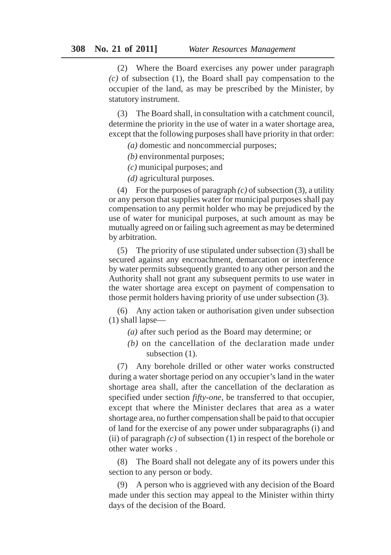(2) Where the Board exercises any power under paragraph *(c)* of subsection (1), the Board shall pay compensation to the occupier of the land, as may be prescribed by the Minister, by statutory instrument.

(3) The Board shall, in consultation with a catchment council, determine the priority in the use of water in a water shortage area, except that the following purposes shall have priority in that order:

*(a)* domestic and noncommercial purposes;

*(b)* environmental purposes;

*(c)* municipal purposes; and

*(d)* agricultural purposes.

(4) For the purposes of paragraph *(c)* of subsection (3), a utility or any person that supplies water for municipal purposes shall pay compensation to any permit holder who may be prejudiced by the use of water for municipal purposes, at such amount as may be mutually agreed on or failing such agreement as may be determined by arbitration.

(5) The priority of use stipulated under subsection (3) shall be secured against any encroachment, demarcation or interference by water permits subsequently granted to any other person and the Authority shall not grant any subsequent permits to use water in the water shortage area except on payment of compensation to those permit holders having priority of use under subsection (3).

(6) Any action taken or authorisation given under subsection (1) shall lapse—

- *(a)* after such period as the Board may determine; or
- *(b)* on the cancellation of the declaration made under subsection  $(1)$ .

(7) Any borehole drilled or other water works constructed during a water shortage period on any occupier's land in the water shortage area shall, after the cancellation of the declaration as specified under section *fifty-one*, be transferred to that occupier, except that where the Minister declares that area as a water shortage area, no further compensation shall be paid to that occupier of land for the exercise of any power under subparagraphs (i) and (ii) of paragraph *(c)* of subsection (1) in respect of the borehole or other water works .

(8) The Board shall not delegate any of its powers under this section to any person or body.

(9) A person who is aggrieved with any decision of the Board made under this section may appeal to the Minister within thirty days of the decision of the Board.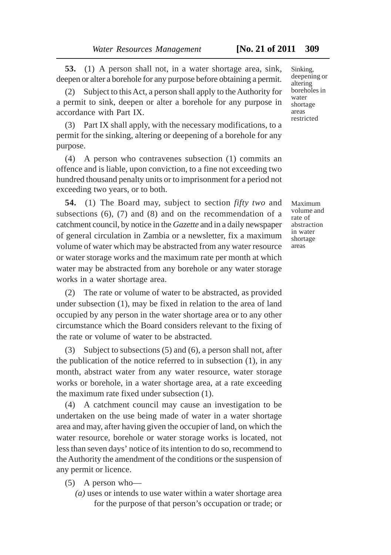**53.** (1) A person shall not, in a water shortage area, sink, deepen or alter a borehole for any purpose before obtaining a permit.

(2) Subject to this Act, a person shall apply to the Authority for a permit to sink, deepen or alter a borehole for any purpose in accordance with Part IX.

(3) Part IX shall apply, with the necessary modifications, to a permit for the sinking, altering or deepening of a borehole for any purpose.

(4) A person who contravenes subsection (1) commits an offence and is liable, upon conviction, to a fine not exceeding two hundred thousand penalty units or to imprisonment for a period not exceeding two years, or to both.

**54.** (1) The Board may, subject to section *fifty two* and subsections (6), (7) and (8) and on the recommendation of a catchment council, by notice in the *Gazette* and in a daily newspaper of general circulation in Zambia or a newsletter, fix a maximum volume of water which may be abstracted from any water resource or water storage works and the maximum rate per month at which water may be abstracted from any borehole or any water storage works in a water shortage area.

(2) The rate or volume of water to be abstracted, as provided under subsection (1), may be fixed in relation to the area of land occupied by any person in the water shortage area or to any other circumstance which the Board considers relevant to the fixing of the rate or volume of water to be abstracted.

(3) Subject to subsections (5) and (6), a person shall not, after the publication of the notice referred to in subsection (1), in any month, abstract water from any water resource, water storage works or borehole, in a water shortage area, at a rate exceeding the maximum rate fixed under subsection (1).

(4) A catchment council may cause an investigation to be undertaken on the use being made of water in a water shortage area and may, after having given the occupier of land, on which the water resource, borehole or water storage works is located, not less than seven days' notice of its intention to do so, recommend to the Authority the amendment of the conditions or the suspension of any permit or licence.

- (5) A person who—
	- *(a)* uses or intends to use water within a water shortage area for the purpose of that person's occupation or trade; or

Sinking, deepening or altering boreholes in water shortage areas restricted

Maximum volume and rate of abstraction in water shortage areas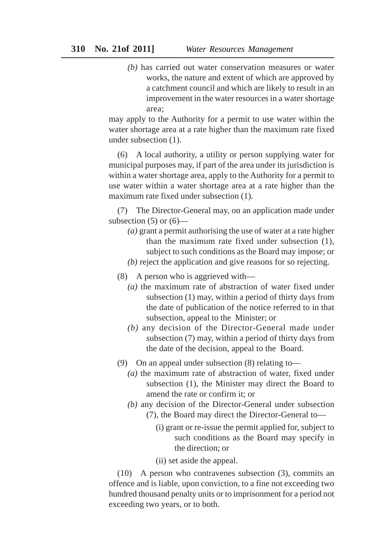*(b)* has carried out water conservation measures or water works, the nature and extent of which are approved by a catchment council and which are likely to result in an improvement in the water resources in a water shortage area;

may apply to the Authority for a permit to use water within the water shortage area at a rate higher than the maximum rate fixed under subsection (1).

(6) A local authority, a utility or person supplying water for municipal purposes may, if part of the area under its jurisdiction is within a water shortage area, apply to the Authority for a permit to use water within a water shortage area at a rate higher than the maximum rate fixed under subsection (1).

(7) The Director-General may, on an application made under subsection  $(5)$  or  $(6)$ —

- *(a)* grant a permit authorising the use of water at a rate higher than the maximum rate fixed under subsection (1), subject to such conditions as the Board may impose; or
- *(b)* reject the application and give reasons for so rejecting.
- (8) A person who is aggrieved with—
	- *(a)* the maximum rate of abstraction of water fixed under subsection (1) may, within a period of thirty days from the date of publication of the notice referred to in that subsection, appeal to the Minister; or
	- *(b)* any decision of the Director-General made under subsection (7) may, within a period of thirty days from the date of the decision, appeal to the Board.
- (9) On an appeal under subsection (8) relating to—
	- *(a)* the maximum rate of abstraction of water, fixed under subsection (1), the Minister may direct the Board to amend the rate or confirm it; or
	- *(b)* any decision of the Director-General under subsection (7), the Board may direct the Director-General to—
		- (i) grant or re-issue the permit applied for, subject to such conditions as the Board may specify in the direction; or
		- (ii) set aside the appeal.

(10) A person who contravenes subsection (3), commits an offence and is liable, upon conviction, to a fine not exceeding two hundred thousand penalty units or to imprisonment for a period not exceeding two years, or to both.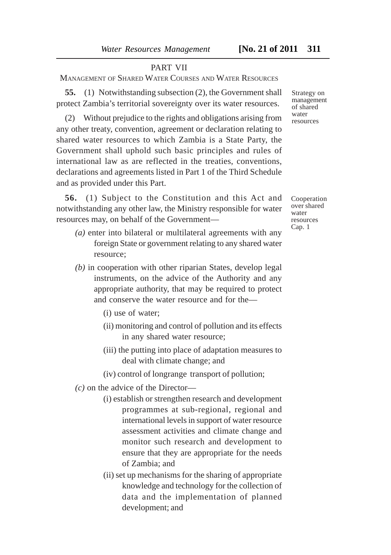#### PART VII

MANAGEMENT OF SHARED WATER COURSES AND WATER RESOURCES

**55.** (1) Notwithstanding subsection (2), the Government shall protect Zambia's territorial sovereignty over its water resources.

(2) Without prejudice to the rights and obligations arising from any other treaty, convention, agreement or declaration relating to shared water resources to which Zambia is a State Party, the Government shall uphold such basic principles and rules of international law as are reflected in the treaties, conventions, declarations and agreements listed in Part 1 of the Third Schedule and as provided under this Part.

**56.** (1) Subject to the Constitution and this Act and notwithstanding any other law, the Ministry responsible for water resources may, on behalf of the Government—

- *(a)* enter into bilateral or multilateral agreements with any foreign State or government relating to any shared water resource;
- *(b)* in cooperation with other riparian States, develop legal instruments, on the advice of the Authority and any appropriate authority, that may be required to protect and conserve the water resource and for the—
	- (i) use of water;
	- (ii) monitoring and control of pollution and its effects in any shared water resource;
	- (iii) the putting into place of adaptation measures to deal with climate change; and
	- (iv) control of longrange transport of pollution;
- *(c)* on the advice of the Director—
	- (i) establish or strengthen research and development programmes at sub-regional, regional and international levels in support of water resource assessment activities and climate change and monitor such research and development to ensure that they are appropriate for the needs of Zambia; and
	- (ii) set up mechanisms for the sharing of appropriate knowledge and technology for the collection of data and the implementation of planned development; and

Strategy on management of shared water resources

Cooperation over shared water resources Cap. 1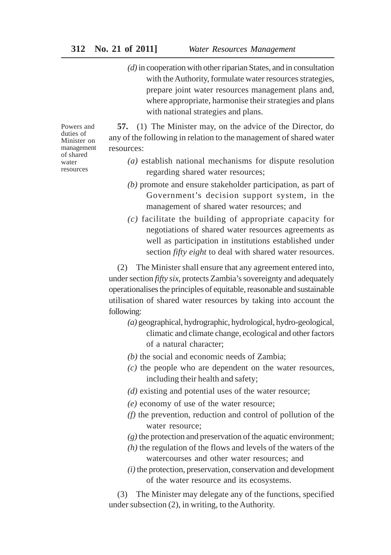*(d)* in cooperation with other riparian States, and in consultation with the Authority, formulate water resources strategies, prepare joint water resources management plans and, where appropriate, harmonise their strategies and plans with national strategies and plans.

Powers and duties of Minister on management of shared water resources

**57.** (1) The Minister may, on the advice of the Director, do any of the following in relation to the management of shared water resources:

- *(a)* establish national mechanisms for dispute resolution regarding shared water resources;
- *(b)* promote and ensure stakeholder participation, as part of Government's decision support system, in the management of shared water resources; and
- *(c)* facilitate the building of appropriate capacity for negotiations of shared water resources agreements as well as participation in institutions established under section *fifty eight* to deal with shared water resources.

(2) The Minister shall ensure that any agreement entered into, under section *fifty six*, protects Zambia's sovereignty and adequately operationalises the principles of equitable, reasonable and sustainable utilisation of shared water resources by taking into account the following:

- *(a)* geographical, hydrographic, hydrological, hydro-geological, climatic and climate change, ecological and other factors of a natural character;
- *(b)* the social and economic needs of Zambia;
- *(c)* the people who are dependent on the water resources, including their health and safety;
- *(d)* existing and potential uses of the water resource;
- *(e)* economy of use of the water resource;
- *(f)* the prevention, reduction and control of pollution of the water resource;
- *(g)* the protection and preservation of the aquatic environment;
- *(h)* the regulation of the flows and levels of the waters of the watercourses and other water resources; and
- *(i)* the protection, preservation, conservation and development of the water resource and its ecosystems.

(3) The Minister may delegate any of the functions, specified under subsection (2), in writing, to the Authority.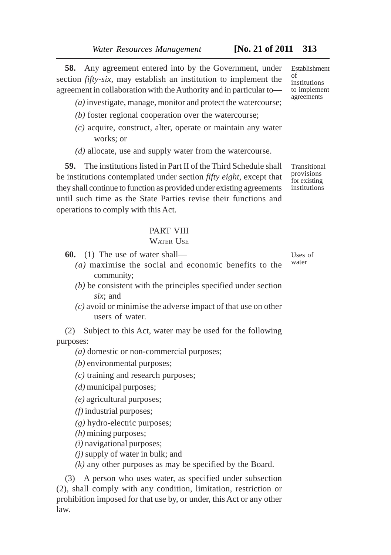**58.** Any agreement entered into by the Government, under section *fifty-six*, may establish an institution to implement the agreement in collaboration with the Authority and in particular to—

*(a)* investigate, manage, monitor and protect the watercourse;

- *(b)* foster regional cooperation over the watercourse;
- *(c)* acquire, construct, alter, operate or maintain any water works; or
- *(d)* allocate, use and supply water from the watercourse.

**59.** The institutions listed in Part II of the Third Schedule shall be institutions contemplated under section *fifty eight*, except that they shall continue to function as provided under existing agreements until such time as the State Parties revise their functions and operations to comply with this Act.

# PART VIII

#### WATER USE

**60.** (1) The use of water shall—

- *(a)* maximise the social and economic benefits to the community;
- *(b)* be consistent with the principles specified under section *six*; and
- *(c)* avoid or minimise the adverse impact of that use on other users of water.

(2) Subject to this Act, water may be used for the following purposes:

*(a)* domestic or non-commercial purposes;

*(b)* environmental purposes;

- *(c)* training and research purposes;
- *(d)* municipal purposes;
- *(e)* agricultural purposes;
- *(f)* industrial purposes;

*(g)* hydro-electric purposes;

- *(h)* mining purposes;
- *(i)* navigational purposes;
- *(j)* supply of water in bulk; and

*(k)* any other purposes as may be specified by the Board.

(3) A person who uses water, as specified under subsection (2), shall comply with any condition, limitation, restriction or prohibition imposed for that use by, or under, this Act or any other law.

Establishment of institutions to implement agreements

Transitional provisions for existing institutions

Uses of water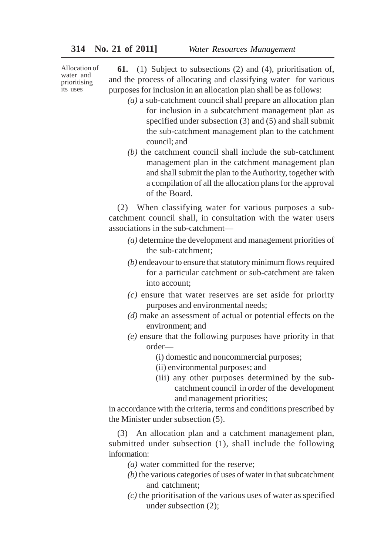Allocation of water and prioritising its uses

**61.** (1) Subject to subsections (2) and (4), prioritisation of, and the process of allocating and classifying water for various purposes for inclusion in an allocation plan shall be as follows:

- *(a)* a sub-catchment council shall prepare an allocation plan for inclusion in a subcatchment management plan as specified under subsection  $(3)$  and  $(5)$  and shall submit the sub-catchment management plan to the catchment council; and
- *(b)* the catchment council shall include the sub-catchment management plan in the catchment management plan and shall submit the plan to the Authority, together with a compilation of all the allocation plans for the approval of the Board.

(2) When classifying water for various purposes a subcatchment council shall, in consultation with the water users associations in the sub-catchment—

- *(a)* determine the development and management priorities of the sub-catchment;
- *(b)* endeavour to ensure that statutory minimum flows required for a particular catchment or sub-catchment are taken into account;
- *(c)* ensure that water reserves are set aside for priority purposes and environmental needs;
- *(d)* make an assessment of actual or potential effects on the environment; and
- *(e)* ensure that the following purposes have priority in that order—
	- (i) domestic and noncommercial purposes;
	- (ii) environmental purposes; and
	- (iii) any other purposes determined by the subcatchment council in order of the development and management priorities;

in accordance with the criteria, terms and conditions prescribed by the Minister under subsection (5).

(3) An allocation plan and a catchment management plan, submitted under subsection (1), shall include the following information:

- *(a)* water committed for the reserve;
- *(b)* the various categories of uses of water in that subcatchment and catchment;
- *(c)* the prioritisation of the various uses of water as specified under subsection (2);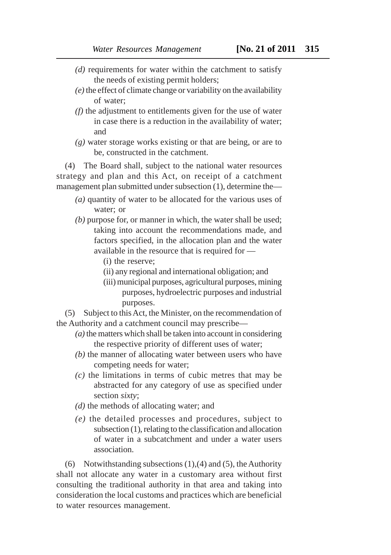- *(d)* requirements for water within the catchment to satisfy the needs of existing permit holders;
- *(e)* the effect of climate change or variability on the availability of water;
- *(f)* the adjustment to entitlements given for the use of water in case there is a reduction in the availability of water; and
- *(g)* water storage works existing or that are being, or are to be, constructed in the catchment.

(4) The Board shall, subject to the national water resources strategy and plan and this Act, on receipt of a catchment management plan submitted under subsection (1), determine the—

- *(a)* quantity of water to be allocated for the various uses of water; or
- *(b)* purpose for, or manner in which, the water shall be used; taking into account the recommendations made, and factors specified, in the allocation plan and the water available in the resource that is required for —
	- (i) the reserve;
	- (ii) any regional and international obligation; and
	- (iii) municipal purposes, agricultural purposes, mining purposes, hydroelectric purposes and industrial purposes.

(5) Subject to this Act, the Minister, on the recommendation of the Authority and a catchment council may prescribe—

- *(a)* the matters which shall be taken into account in considering the respective priority of different uses of water;
- *(b)* the manner of allocating water between users who have competing needs for water;
- *(c)* the limitations in terms of cubic metres that may be abstracted for any category of use as specified under section *sixty*;
- *(d)* the methods of allocating water; and
- *(e)* the detailed processes and procedures, subject to subsection (1), relating to the classification and allocation of water in a subcatchment and under a water users association.

(6) Notwithstanding subsections  $(1)$ ,  $(4)$  and  $(5)$ , the Authority shall not allocate any water in a customary area without first consulting the traditional authority in that area and taking into consideration the local customs and practices which are beneficial to water resources management.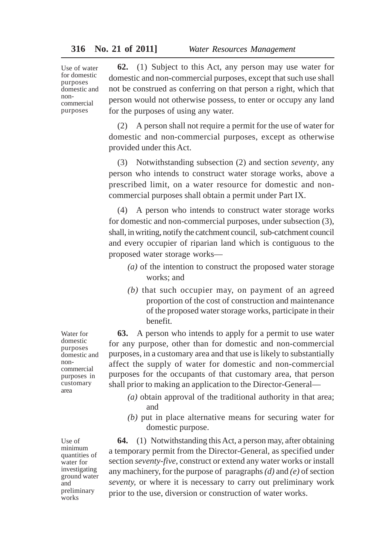Use of water for domestic purposes domestic and noncommercial purposes

**62.** (1) Subject to this Act, any person may use water for domestic and non-commercial purposes, except that such use shall not be construed as conferring on that person a right, which that person would not otherwise possess, to enter or occupy any land for the purposes of using any water.

(2) A person shall not require a permit for the use of water for domestic and non-commercial purposes, except as otherwise provided under this Act.

(3) Notwithstanding subsection (2) and section *seventy*, any person who intends to construct water storage works, above a prescribed limit, on a water resource for domestic and noncommercial purposes shall obtain a permit under Part IX.

(4) A person who intends to construct water storage works for domestic and non-commercial purposes, under subsection (3), shall, in writing, notify the catchment council, sub-catchment council and every occupier of riparian land which is contiguous to the proposed water storage works—

- *(a)* of the intention to construct the proposed water storage works; and
- *(b)* that such occupier may, on payment of an agreed proportion of the cost of construction and maintenance of the proposed water storage works, participate in their benefit.

**63.** A person who intends to apply for a permit to use water for any purpose, other than for domestic and non-commercial purposes, in a customary area and that use is likely to substantially affect the supply of water for domestic and non-commercial purposes for the occupants of that customary area, that person shall prior to making an application to the Director-General—

- *(a)* obtain approval of the traditional authority in that area; and
- *(b)* put in place alternative means for securing water for domestic purpose.

**64.** (1) Notwithstanding this Act, a person may, after obtaining a temporary permit from the Director-General, as specified under section *seventy-five*, construct or extend any water works or install any machinery, for the purpose of paragraphs *(d)* and *(e)* of section *seventy,* or where it is necessary to carry out preliminary work prior to the use, diversion or construction of water works.

Water for domestic purposes domestic and noncommercial purposes in customary area

Use of minimum quantities of water for investigating ground water and preliminary works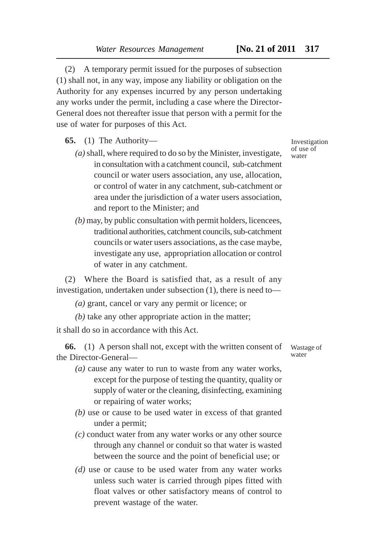(2) A temporary permit issued for the purposes of subsection (1) shall not, in any way, impose any liability or obligation on the Authority for any expenses incurred by any person undertaking any works under the permit, including a case where the Director-General does not thereafter issue that person with a permit for the use of water for purposes of this Act.

**65.** (1) The Authority—

- *(a)* shall, where required to do so by the Minister, investigate, in consultation with a catchment council, sub-catchment council or water users association, any use, allocation, or control of water in any catchment, sub-catchment or area under the jurisdiction of a water users association, and report to the Minister; and
- *(b)* may, by public consultation with permit holders, licencees, traditional authorities, catchment councils, sub-catchment councils or water users associations, as the case maybe, investigate any use, appropriation allocation or control of water in any catchment.

(2) Where the Board is satisfied that, as a result of any investigation, undertaken under subsection (1), there is need to—

*(a)* grant, cancel or vary any permit or licence; or

*(b)* take any other appropriate action in the matter;

it shall do so in accordance with this Act.

**66.** (1) A person shall not, except with the written consent of the Director-General—

- *(a)* cause any water to run to waste from any water works, except for the purpose of testing the quantity, quality or supply of water or the cleaning, disinfecting, examining or repairing of water works;
- *(b)* use or cause to be used water in excess of that granted under a permit;
- *(c)* conduct water from any water works or any other source through any channel or conduit so that water is wasted between the source and the point of beneficial use; or
- *(d)* use or cause to be used water from any water works unless such water is carried through pipes fitted with float valves or other satisfactory means of control to prevent wastage of the water.

Investigation of use of water

Wastage of water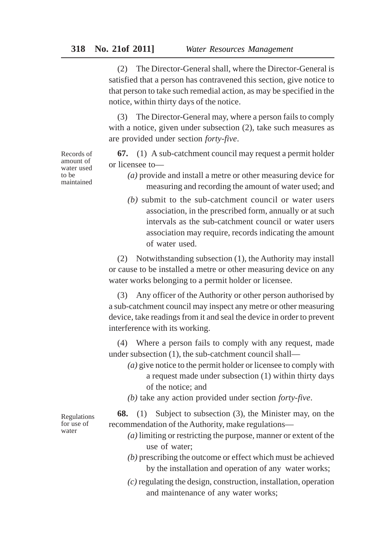(2) The Director-General shall, where the Director-General is satisfied that a person has contravened this section, give notice to that person to take such remedial action, as may be specified in the notice, within thirty days of the notice.

(3) The Director-General may, where a person fails to comply with a notice, given under subsection  $(2)$ , take such measures as are provided under section *forty-five*.

**67.** (1) A sub-catchment council may request a permit holder or licensee to—

- *(a)* provide and install a metre or other measuring device for measuring and recording the amount of water used; and
- *(b)* submit to the sub-catchment council or water users association, in the prescribed form, annually or at such intervals as the sub-catchment council or water users association may require, records indicating the amount of water used.

(2) Notwithstanding subsection (1), the Authority may install or cause to be installed a metre or other measuring device on any water works belonging to a permit holder or licensee.

(3) Any officer of the Authority or other person authorised by a sub-catchment council may inspect any metre or other measuring device, take readings from it and seal the device in order to prevent interference with its working.

(4) Where a person fails to comply with any request, made under subsection (1), the sub-catchment council shall—

- *(a)* give notice to the permit holder or licensee to comply with a request made under subsection (1) within thirty days of the notice; and
- *(b)* take any action provided under section *forty-five*.

Regulations for use of water

**68.** (1) Subject to subsection (3), the Minister may, on the recommendation of the Authority, make regulations—

- *(a)* limiting or restricting the purpose, manner or extent of the use of water;
- *(b)* prescribing the outcome or effect which must be achieved by the installation and operation of any water works;
- *(c)* regulating the design, construction, installation, operation and maintenance of any water works;

Records of amount of water used to be maintained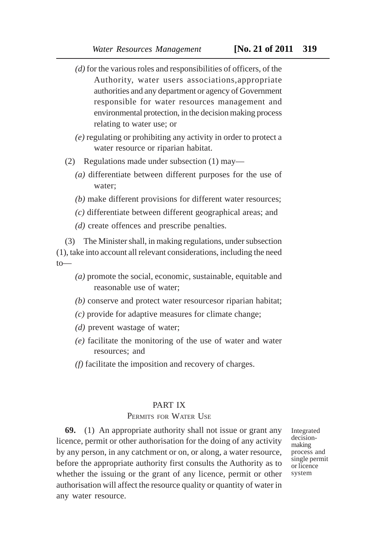- *(d)* for the various roles and responsibilities of officers, of the Authority, water users associations,appropriate authorities and any department or agency of Government responsible for water resources management and environmental protection, in the decision making process relating to water use; or
- *(e)* regulating or prohibiting any activity in order to protect a water resource or riparian habitat.
- (2) Regulations made under subsection (1) may—
	- *(a)* differentiate between different purposes for the use of water;
	- *(b)* make different provisions for different water resources;
	- *(c)* differentiate between different geographical areas; and
	- *(d)* create offences and prescribe penalties.

(3) The Minister shall, in making regulations, under subsection (1), take into account all relevant considerations, including the need to—

- *(a)* promote the social, economic, sustainable, equitable and reasonable use of water;
- *(b)* conserve and protect water resourcesor riparian habitat;
- *(c)* provide for adaptive measures for climate change;
- *(d)* prevent wastage of water;
- *(e)* facilitate the monitoring of the use of water and water resources; and
- *(f)* facilitate the imposition and recovery of charges.

#### PART IX

# PERMITS FOR WATER USE

**69.** (1) An appropriate authority shall not issue or grant any licence, permit or other authorisation for the doing of any activity by any person, in any catchment or on, or along, a water resource, before the appropriate authority first consults the Authority as to whether the issuing or the grant of any licence, permit or other authorisation will affect the resource quality or quantity of water in any water resource.

Integrated decisionmaking process and single permit or licence system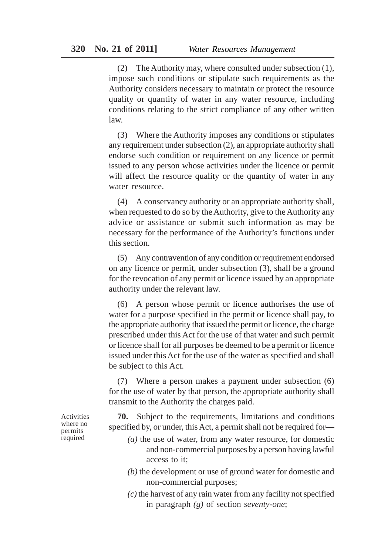(2) The Authority may, where consulted under subsection (1), impose such conditions or stipulate such requirements as the Authority considers necessary to maintain or protect the resource quality or quantity of water in any water resource, including conditions relating to the strict compliance of any other written law.

(3) Where the Authority imposes any conditions or stipulates any requirement under subsection (2), an appropriate authority shall endorse such condition or requirement on any licence or permit issued to any person whose activities under the licence or permit will affect the resource quality or the quantity of water in any water resource.

(4) A conservancy authority or an appropriate authority shall, when requested to do so by the Authority, give to the Authority any advice or assistance or submit such information as may be necessary for the performance of the Authority's functions under this section.

(5) Any contravention of any condition or requirement endorsed on any licence or permit, under subsection (3), shall be a ground for the revocation of any permit or licence issued by an appropriate authority under the relevant law.

(6) A person whose permit or licence authorises the use of water for a purpose specified in the permit or licence shall pay, to the appropriate authority that issued the permit or licence, the charge prescribed under this Act for the use of that water and such permit or licence shall for all purposes be deemed to be a permit or licence issued under this Act for the use of the water as specified and shall be subject to this Act.

(7) Where a person makes a payment under subsection (6) for the use of water by that person, the appropriate authority shall transmit to the Authority the charges paid.

**70.** Subject to the requirements, limitations and conditions specified by, or under, this Act, a permit shall not be required for—

- *(a)* the use of water, from any water resource, for domestic and non-commercial purposes by a person having lawful access to it;
- *(b)* the development or use of ground water for domestic and non-commercial purposes;
- *(c)* the harvest of any rain water from any facility not specified in paragraph *(g)* of section *seventy-one*;

Activities where no permits required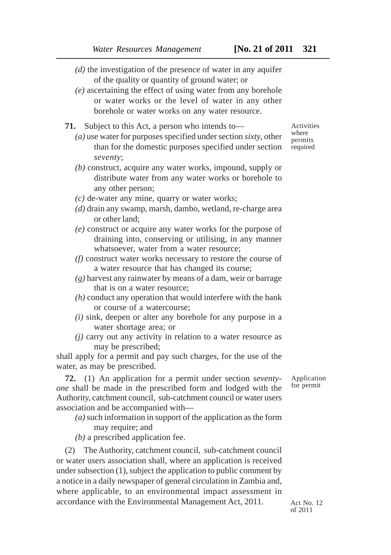- *(d)* the investigation of the presence of water in any aquifer of the quality or quantity of ground water; or
- *(e)* ascertaining the effect of using water from any borehole or water works or the level of water in any other borehole or water works on any water resource.

**71.** Subject to this Act, a person who intends to—

- *(a)* use water for purposes specified under section *sixty*, other than for the domestic purposes specified under section *seventy*;
- *(b)* construct, acquire any water works, impound, supply or distribute water from any water works or borehole to any other person;
- *(c)* de-water any mine, quarry or water works;
- *(d)* drain any swamp, marsh, dambo, wetland, re-charge area or other land;
- *(e)* construct or acquire any water works for the purpose of draining into, conserving or utilising, in any manner whatsoever, water from a water resource;
- *(f)* construct water works necessary to restore the course of a water resource that has changed its course;
- *(g)* harvest any rainwater by means of a dam, weir or barrage that is on a water resource;
- *(h)* conduct any operation that would interfere with the bank or course of a watercourse;
- *(i)* sink, deepen or alter any borehole for any purpose in a water shortage area; or
- *(j)* carry out any activity in relation to a water resource as may be prescribed;

shall apply for a permit and pay such charges, for the use of the water, as may be prescribed.

**72.** (1) An application for a permit under section *seventyone* shall be made in the prescribed form and lodged with the Authority, catchment council, sub-catchment council or water users association and be accompanied with—

*(a)* such information in support of the application as the form may require; and

*(b)* a prescribed application fee.

(2) The Authority, catchment council, sub-catchment council or water users association shall, where an application is received under subsection (1), subject the application to public comment by a notice in a daily newspaper of general circulation in Zambia and, where applicable, to an environmental impact assessment in accordance with the Environmental Management Act, 2011.

Application for permit

Activities where permits required

Act  $N_0$  12 of 2011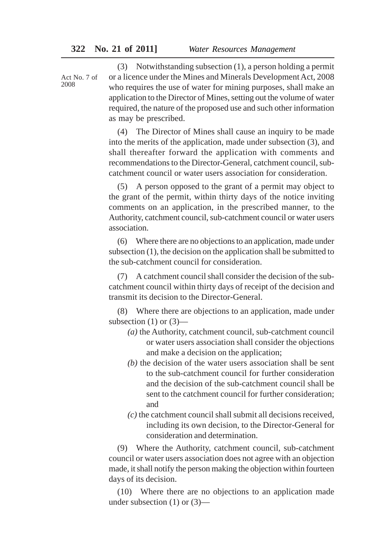Act No. 7 of 2008

(3) Notwithstanding subsection (1), a person holding a permit or a licence under the Mines and Minerals Development Act, 2008 who requires the use of water for mining purposes, shall make an application to the Director of Mines, setting out the volume of water required, the nature of the proposed use and such other information as may be prescribed.

(4) The Director of Mines shall cause an inquiry to be made into the merits of the application, made under subsection (3), and shall thereafter forward the application with comments and recommendations to the Director-General, catchment council, subcatchment council or water users association for consideration.

(5) A person opposed to the grant of a permit may object to the grant of the permit, within thirty days of the notice inviting comments on an application, in the prescribed manner, to the Authority, catchment council, sub-catchment council or water users association.

(6) Where there are no objections to an application, made under subsection (1), the decision on the application shall be submitted to the sub-catchment council for consideration.

(7) A catchment council shall consider the decision of the subcatchment council within thirty days of receipt of the decision and transmit its decision to the Director-General.

(8) Where there are objections to an application, made under subsection  $(1)$  or  $(3)$ —

- *(a)* the Authority, catchment council, sub-catchment council or water users association shall consider the objections and make a decision on the application;
- *(b)* the decision of the water users association shall be sent to the sub-catchment council for further consideration and the decision of the sub-catchment council shall be sent to the catchment council for further consideration; and
- *(c)* the catchment council shall submit all decisions received, including its own decision, to the Director-General for consideration and determination.

(9) Where the Authority, catchment council, sub-catchment council or water users association does not agree with an objection made, it shall notify the person making the objection within fourteen days of its decision.

(10) Where there are no objections to an application made under subsection (1) or (3)—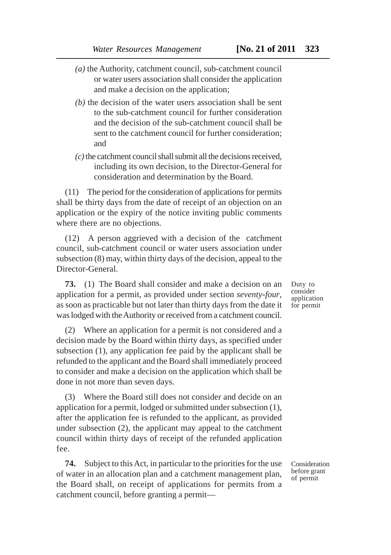- *(a)* the Authority, catchment council, sub-catchment council or water users association shall consider the application and make a decision on the application;
- *(b)* the decision of the water users association shall be sent to the sub-catchment council for further consideration and the decision of the sub-catchment council shall be sent to the catchment council for further consideration; and
- *(c)* the catchment council shall submit all the decisions received, including its own decision, to the Director-General for consideration and determination by the Board.

(11) The period for the consideration of applications for permits shall be thirty days from the date of receipt of an objection on an application or the expiry of the notice inviting public comments where there are no objections.

(12) A person aggrieved with a decision of the catchment council, sub-catchment council or water users association under subsection (8) may, within thirty days of the decision, appeal to the Director-General.

**73.** (1) The Board shall consider and make a decision on an application for a permit, as provided under section *seventy-four*, as soon as practicable but not later than thirty days from the date it was lodged with the Authority or received from a catchment council.

(2) Where an application for a permit is not considered and a decision made by the Board within thirty days, as specified under subsection (1), any application fee paid by the applicant shall be refunded to the applicant and the Board shall immediately proceed to consider and make a decision on the application which shall be done in not more than seven days.

(3) Where the Board still does not consider and decide on an application for a permit, lodged or submitted under subsection (1), after the application fee is refunded to the applicant, as provided under subsection (2), the applicant may appeal to the catchment council within thirty days of receipt of the refunded application fee.

**74.** Subject to this Act, in particular to the priorities for the use of water in an allocation plan and a catchment management plan, the Board shall, on receipt of applications for permits from a catchment council, before granting a permitDuty to consider application for permit

Consideration before grant of permit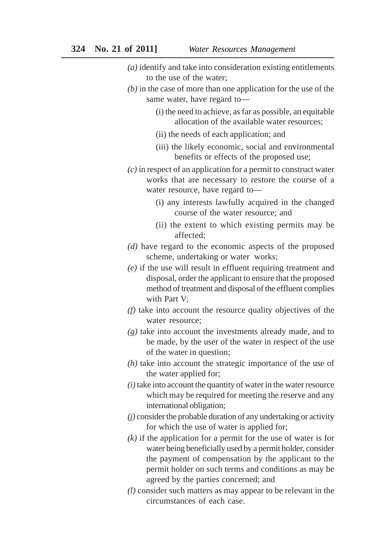- *(a)* identify and take into consideration existing entitlements to the use of the water;
- *(b)* in the case of more than one application for the use of the same water, have regard to—
	- (i) the need to achieve, as far as possible, an equitable allocation of the available water resources;
	- (ii) the needs of each application; and
	- (iii) the likely economic, social and environmental benefits or effects of the proposed use;
- *(c)* in respect of an application for a permit to construct water works that are necessary to restore the course of a water resource, have regard to—
	- (i) any interests lawfully acquired in the changed course of the water resource; and
	- (ii) the extent to which existing permits may be affected;
- *(d)* have regard to the economic aspects of the proposed scheme, undertaking or water works;
- *(e)* if the use will result in effluent requiring treatment and disposal, order the applicant to ensure that the proposed method of treatment and disposal of the effluent complies with Part V;
- *(f)* take into account the resource quality objectives of the water resource;
- *(g)* take into account the investments already made, and to be made, by the user of the water in respect of the use of the water in question;
- *(h)* take into account the strategic importance of the use of the water applied for;
- *(i)* take into account the quantity of water in the water resource which may be required for meeting the reserve and any international obligation;
- *(j)* consider the probable duration of any undertaking or activity for which the use of water is applied for;
- *(k)* if the application for a permit for the use of water is for water being beneficially used by a permit holder, consider the payment of compensation by the applicant to the permit holder on such terms and conditions as may be agreed by the parties concerned; and
- *(l)* consider such matters as may appear to be relevant in the circumstances of each case.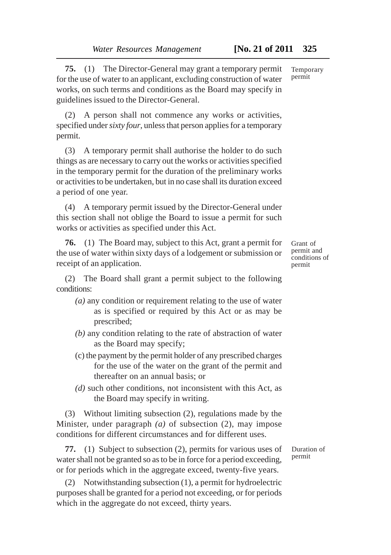**75.** (1) The Director-General may grant a temporary permit for the use of water to an applicant, excluding construction of water works, on such terms and conditions as the Board may specify in guidelines issued to the Director-General.

(2) A person shall not commence any works or activities, specified under *sixty four*, unless that person applies for a temporary permit.

(3) A temporary permit shall authorise the holder to do such things as are necessary to carry out the works or activities specified in the temporary permit for the duration of the preliminary works or activities to be undertaken, but in no case shall its duration exceed a period of one year.

(4) A temporary permit issued by the Director-General under this section shall not oblige the Board to issue a permit for such works or activities as specified under this Act.

**76.** (1) The Board may, subject to this Act, grant a permit for the use of water within sixty days of a lodgement or submission or receipt of an application.

(2) The Board shall grant a permit subject to the following conditions:

- *(a)* any condition or requirement relating to the use of water as is specified or required by this Act or as may be prescribed;
- *(b)* any condition relating to the rate of abstraction of water as the Board may specify;
- (c) the payment by the permit holder of any prescribed charges for the use of the water on the grant of the permit and thereafter on an annual basis; or
- *(d)* such other conditions, not inconsistent with this Act, as the Board may specify in writing.

(3) Without limiting subsection (2), regulations made by the Minister, under paragraph *(a)* of subsection (2), may impose conditions for different circumstances and for different uses.

**77.** (1) Subject to subsection (2), permits for various uses of water shall not be granted so as to be in force for a period exceeding, or for periods which in the aggregate exceed, twenty-five years.

(2) Notwithstanding subsection (1), a permit for hydroelectric purposes shall be granted for a period not exceeding, or for periods which in the aggregate do not exceed, thirty years.

Duration of permit

Grant of permit and conditions of permit

Temporary permit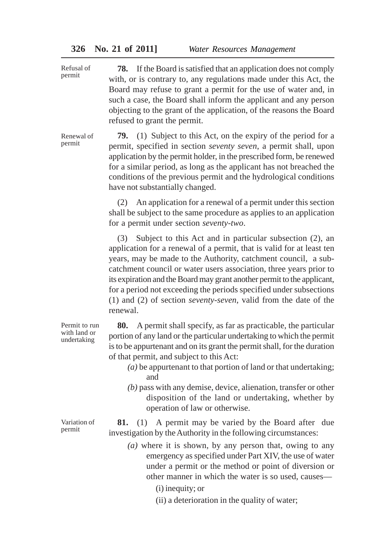**78.** If the Board is satisfied that an application does not comply with, or is contrary to, any regulations made under this Act, the Board may refuse to grant a permit for the use of water and, in such a case, the Board shall inform the applicant and any person objecting to the grant of the application, of the reasons the Board refused to grant the permit. Refusal of permit

**79.** (1) Subject to this Act, on the expiry of the period for a permit, specified in section *seventy seven*, a permit shall, upon application by the permit holder, in the prescribed form, be renewed for a similar period, as long as the applicant has not breached the conditions of the previous permit and the hydrological conditions have not substantially changed. Renewal of permit

> (2) An application for a renewal of a permit under this section shall be subject to the same procedure as applies to an application for a permit under section *seventy-two*.

> (3) Subject to this Act and in particular subsection (2), an application for a renewal of a permit, that is valid for at least ten years, may be made to the Authority, catchment council, a subcatchment council or water users association, three years prior to its expiration and the Board may grant another permit to the applicant, for a period not exceeding the periods specified under subsections (1) and (2) of section *seventy-seven*, valid from the date of the renewal.

> **80.** A permit shall specify, as far as practicable, the particular portion of any land or the particular undertaking to which the permit is to be appurtenant and on its grant the permit shall, for the duration of that permit, and subject to this Act:

- *(a)* be appurtenant to that portion of land or that undertaking; and
- *(b)* pass with any demise, device, alienation, transfer or other disposition of the land or undertaking, whether by operation of law or otherwise.

**81.** (1) A permit may be varied by the Board after due investigation by the Authority in the following circumstances:

- *(a)* where it is shown, by any person that, owing to any emergency as specified under Part XIV, the use of water under a permit or the method or point of diversion or other manner in which the water is so used, causes—
	- (i) inequity; or
	- (ii) a deterioration in the quality of water;

Permit to run with land or undertaking

Variation of permit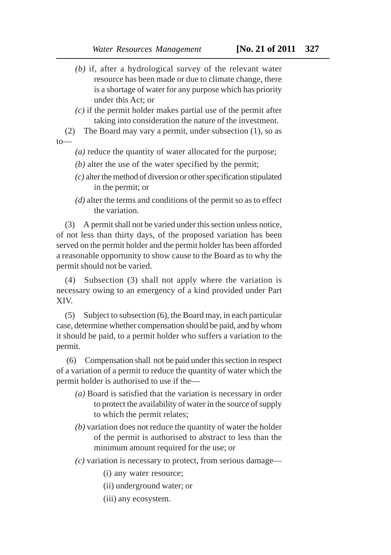- *(b)* if, after a hydrological survey of the relevant water resource has been made or due to climate change, there is a shortage of water for any purpose which has priority under this Act; or
- *(c)* if the permit holder makes partial use of the permit after taking into consideration the nature of the investment.
- (2) The Board may vary a permit, under subsection (1), so as  $t_0$ 
	- *(a)* reduce the quantity of water allocated for the purpose;
	- *(b)* alter the use of the water specified by the permit;
	- *(c)* alter the method of diversion or other specification stipulated in the permit; or
	- *(d)* alter the terms and conditions of the permit so as to effect the variation.

(3) A permit shall not be varied under this section unless notice, of not less than thirty days, of the proposed variation has been served on the permit holder and the permit holder has been afforded a reasonable opportunity to show cause to the Board as to why the permit should not be varied.

(4) Subsection (3) shall not apply where the variation is necessary owing to an emergency of a kind provided under Part XIV.

(5) Subject to subsection (6), the Board may, in each particular case, determine whether compensation should be paid, and by whom it should be paid, to a permit holder who suffers a variation to the permit.

 (6) Compensation shall not be paid under this section in respect of a variation of a permit to reduce the quantity of water which the permit holder is authorised to use if the—

- *(a)* Board is satisfied that the variation is necessary in order to protect the availability of water in the source of supply to which the permit relates;
- *(b)* variation does not reduce the quantity of water the holder of the permit is authorised to abstract to less than the minimum amount required for the use; or
- *(c)* variation is necessary to protect, from serious damage—
	- (i) any water resource;
	- (ii) underground water; or
	- (iii) any ecosystem.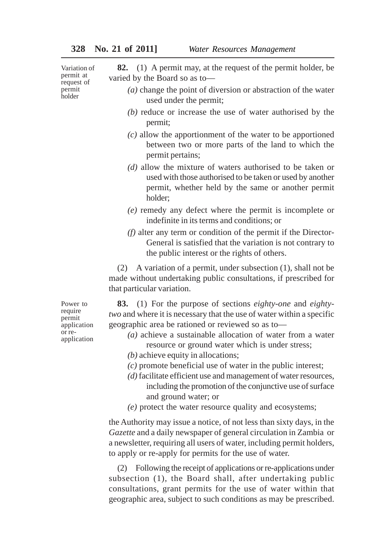Variation of permit at request of permit holder

**82.** (1) A permit may, at the request of the permit holder, be varied by the Board so as to—

- *(a)* change the point of diversion or abstraction of the water used under the permit;
- *(b)* reduce or increase the use of water authorised by the permit;
- *(c)* allow the apportionment of the water to be apportioned between two or more parts of the land to which the permit pertains;
- *(d)* allow the mixture of waters authorised to be taken or used with those authorised to be taken or used by another permit, whether held by the same or another permit holder;
- *(e)* remedy any defect where the permit is incomplete or indefinite in its terms and conditions; or
- *(f)* alter any term or condition of the permit if the Director-General is satisfied that the variation is not contrary to the public interest or the rights of others.

(2) A variation of a permit, under subsection (1), shall not be made without undertaking public consultations, if prescribed for that particular variation.

**83.** (1) For the purpose of sections *eighty-one* and *eightytwo* and where it is necessary that the use of water within a specific geographic area be rationed or reviewed so as to—

- *(a)* achieve a sustainable allocation of water from a water resource or ground water which is under stress;
- *(b)* achieve equity in allocations;
- *(c)* promote beneficial use of water in the public interest;
- *(d)* facilitate efficient use and management of water resources, including the promotion of the conjunctive use of surface and ground water; or
- *(e)* protect the water resource quality and ecosystems;

the Authority may issue a notice, of not less than sixty days, in the *Gazette* and a daily newspaper of general circulation in Zambia or a newsletter, requiring all users of water, including permit holders, to apply or re-apply for permits for the use of water.

(2) Following the receipt of applications or re-applications under subsection (1), the Board shall, after undertaking public consultations, grant permits for the use of water within that geographic area, subject to such conditions as may be prescribed.

Power to require permit application or reapplication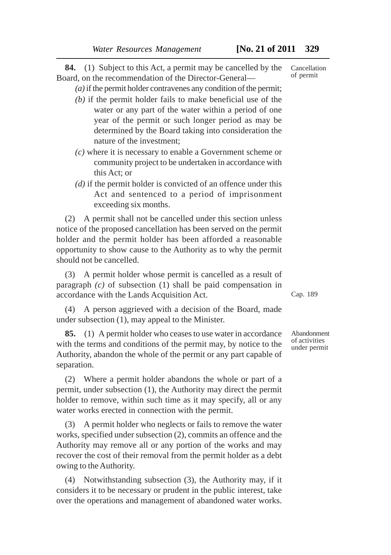**84.** (1) Subject to this Act, a permit may be cancelled by the Board, on the recommendation of the Director-General—

*(a)* if the permit holder contravenes any condition of the permit;

- *(b)* if the permit holder fails to make beneficial use of the water or any part of the water within a period of one year of the permit or such longer period as may be determined by the Board taking into consideration the nature of the investment;
- *(c)* where it is necessary to enable a Government scheme or community project to be undertaken in accordance with this Act; or
- *(d)* if the permit holder is convicted of an offence under this Act and sentenced to a period of imprisonment exceeding six months.

(2) A permit shall not be cancelled under this section unless notice of the proposed cancellation has been served on the permit holder and the permit holder has been afforded a reasonable opportunity to show cause to the Authority as to why the permit should not be cancelled.

(3) A permit holder whose permit is cancelled as a result of paragraph *(c)* of subsection (1) shall be paid compensation in accordance with the Lands Acquisition Act.

(4) A person aggrieved with a decision of the Board, made under subsection (1), may appeal to the Minister.

**85.** (1) A permit holder who ceases to use water in accordance with the terms and conditions of the permit may, by notice to the Authority, abandon the whole of the permit or any part capable of separation.

(2) Where a permit holder abandons the whole or part of a permit, under subsection (1), the Authority may direct the permit holder to remove, within such time as it may specify, all or any water works erected in connection with the permit.

(3) A permit holder who neglects or fails to remove the water works, specified under subsection (2), commits an offence and the Authority may remove all or any portion of the works and may recover the cost of their removal from the permit holder as a debt owing to the Authority.

(4) Notwithstanding subsection (3), the Authority may, if it considers it to be necessary or prudent in the public interest, take over the operations and management of abandoned water works. Cap. 189

Abandonment of activities under permit

Cancellation of permit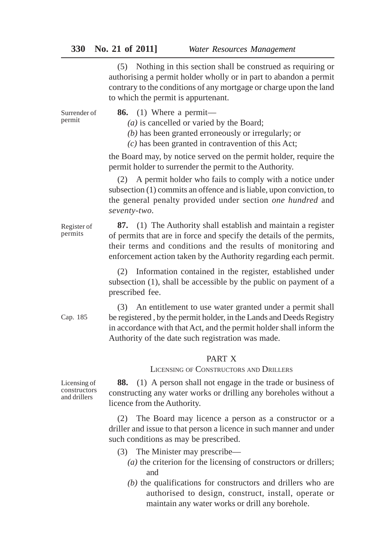# **330 No. 21 of 2011]** *Water Resources Management*

(5) Nothing in this section shall be construed as requiring or authorising a permit holder wholly or in part to abandon a permit contrary to the conditions of any mortgage or charge upon the land to which the permit is appurtenant.

**86.** (1) Where a permit— *(a)* is cancelled or varied by the Board; *(b)* has been granted erroneously or irregularly; or *(c)* has been granted in contravention of this Act; the Board may, by notice served on the permit holder, require the permit holder to surrender the permit to the Authority. (2) A permit holder who fails to comply with a notice under subsection (1) commits an offence and is liable, upon conviction, to the general penalty provided under section *one hundred* and *seventy-two.* **87.** (1) The Authority shall establish and maintain a register of permits that are in force and specify the details of the permits, their terms and conditions and the results of monitoring and enforcement action taken by the Authority regarding each permit. (2) Information contained in the register, established under subsection (1), shall be accessible by the public on payment of a prescribed fee. (3) An entitlement to use water granted under a permit shall be registered , by the permit holder, in the Lands and Deeds Registry in accordance with that Act, and the permit holder shall inform the Authority of the date such registration was made. PART X LICENSING OF CONSTRUCTORS AND DRILLERS **88.** (1) A person shall not engage in the trade or business of constructing any water works or drilling any boreholes without a licence from the Authority. (2) The Board may licence a person as a constructor or a driller and issue to that person a licence in such manner and under such conditions as may be prescribed. Surrender of permit Register of permits Licensing of Cap. 185

- (3) The Minister may prescribe—
	- *(a)* the criterion for the licensing of constructors or drillers; and
	- *(b)* the qualifications for constructors and drillers who are authorised to design, construct, install, operate or maintain any water works or drill any borehole.

constructors and drillers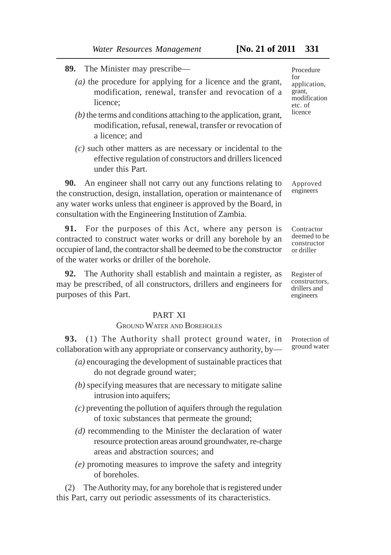- **89.** The Minister may prescribe—
	- *(a)* the procedure for applying for a licence and the grant, modification, renewal, transfer and revocation of a licence;
	- *(b)* the terms and conditions attaching to the application, grant, modification, refusal, renewal, transfer or revocation of a licence; and
	- *(c)* such other matters as are necessary or incidental to the effective regulation of constructors and drillers licenced under this Part.

**90.** An engineer shall not carry out any functions relating to the construction, design, installation, operation or maintenance of any water works unless that engineer is approved by the Board, in consultation with the Engineering Institution of Zambia.

**91.** For the purposes of this Act, where any person is contracted to construct water works or drill any borehole by an occupier of land, the contractor shall be deemed to be the constructor of the water works or driller of the borehole.

**92.** The Authority shall establish and maintain a register, as may be prescribed, of all constructors, drillers and engineers for purposes of this Part.

# PART XI

# GROUND WATER AND BOREHOLES

**93.** (1) The Authority shall protect ground water, in collaboration with any appropriate or conservancy authority, by—

- *(a)* encouraging the development of sustainable practices that do not degrade ground water;
- *(b)* specifying measures that are necessary to mitigate saline intrusion into aquifers;
- *(c)* preventing the pollution of aquifers through the regulation of toxic substances that permeate the ground;
- *(d)* recommending to the Minister the declaration of water resource protection areas around groundwater, re-charge areas and abstraction sources; and
- *(e)* promoting measures to improve the safety and integrity of boreholes.

(2) The Authority may, for any borehole that is registered under this Part, carry out periodic assessments of its characteristics.

Procedure for application, grant, modification etc. of licence

Approved engineers

Contractor deemed to be constructor or driller

Register of constructors, drillers and engineers

Protection of ground water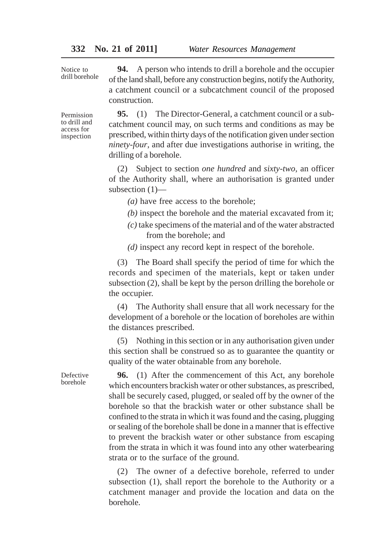Notice to drill borehole

**94.** A person who intends to drill a borehole and the occupier of the land shall, before any construction begins, notify the Authority, a catchment council or a subcatchment council of the proposed construction.

Permission to drill and access for inspection

**95.** (1) The Director-General, a catchment council or a subcatchment council may, on such terms and conditions as may be prescribed, within thirty days of the notification given under section *ninety-four*, and after due investigations authorise in writing, the drilling of a borehole.

(2) Subject to section *one hundred* and *sixty-two*, an officer of the Authority shall, where an authorisation is granted under subsection (1)—

*(a)* have free access to the borehole;

- *(b)* inspect the borehole and the material excavated from it;
- *(c)* take specimens of the material and of the water abstracted from the borehole; and
- *(d)* inspect any record kept in respect of the borehole.

(3) The Board shall specify the period of time for which the records and specimen of the materials, kept or taken under subsection (2), shall be kept by the person drilling the borehole or the occupier.

(4) The Authority shall ensure that all work necessary for the development of a borehole or the location of boreholes are within the distances prescribed.

(5) Nothing in this section or in any authorisation given under this section shall be construed so as to guarantee the quantity or quality of the water obtainable from any borehole.

**96.** (1) After the commencement of this Act, any borehole which encounters brackish water or other substances, as prescribed, shall be securely cased, plugged, or sealed off by the owner of the borehole so that the brackish water or other substance shall be confined to the strata in which it was found and the casing, plugging or sealing of the borehole shall be done in a manner that is effective to prevent the brackish water or other substance from escaping from the strata in which it was found into any other waterbearing strata or to the surface of the ground.

(2) The owner of a defective borehole, referred to under subsection (1), shall report the borehole to the Authority or a catchment manager and provide the location and data on the borehole.

Defective borehole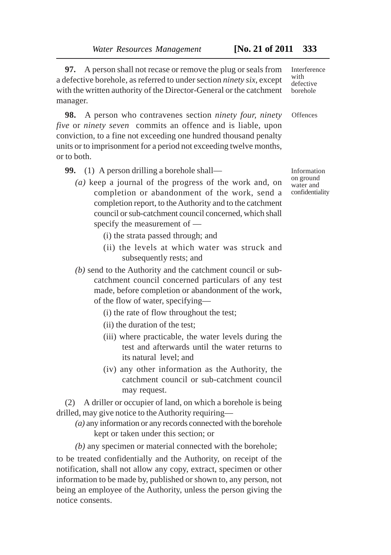**97.** A person shall not recase or remove the plug or seals from a defective borehole, as referred to under section *ninety six*, except with the written authority of the Director-General or the catchment manager.

**98.** A person who contravenes section *ninety four, ninety five* or *ninety seven* commits an offence and is liable, upon conviction, to a fine not exceeding one hundred thousand penalty units or to imprisonment for a period not exceeding twelve months, or to both.

- **99.** (1) A person drilling a borehole shall—
	- *(a)* keep a journal of the progress of the work and, on completion or abandonment of the work, send a completion report, to the Authority and to the catchment council or sub-catchment council concerned, which shall specify the measurement of —
		- (i) the strata passed through; and
		- (ii) the levels at which water was struck and subsequently rests; and
	- *(b)* send to the Authority and the catchment council or subcatchment council concerned particulars of any test made, before completion or abandonment of the work, of the flow of water, specifying—
		- (i) the rate of flow throughout the test;
		- (ii) the duration of the test;
		- (iii) where practicable, the water levels during the test and afterwards until the water returns to its natural level; and
		- (iv) any other information as the Authority, the catchment council or sub-catchment council may request.

(2) A driller or occupier of land, on which a borehole is being drilled, may give notice to the Authority requiring—

*(a)* any information or any records connected with the borehole kept or taken under this section; or

*(b)* any specimen or material connected with the borehole;

to be treated confidentially and the Authority, on receipt of the notification, shall not allow any copy, extract, specimen or other information to be made by, published or shown to, any person, not being an employee of the Authority, unless the person giving the notice consents.

Interference with defective borehole

**Offences** 

Information on ground water and confidentiality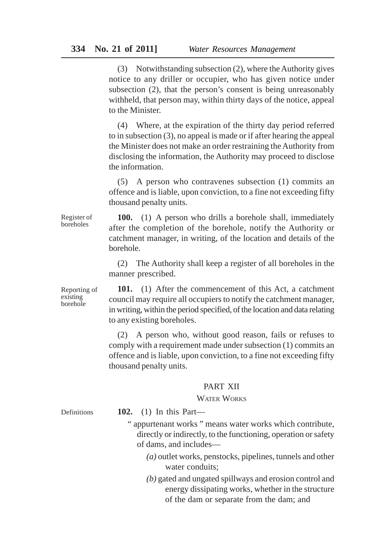(3) Notwithstanding subsection (2), where the Authority gives notice to any driller or occupier, who has given notice under subsection (2), that the person's consent is being unreasonably withheld, that person may, within thirty days of the notice, appeal to the Minister.

(4) Where, at the expiration of the thirty day period referred to in subsection (3), no appeal is made or if after hearing the appeal the Minister does not make an order restraining the Authority from disclosing the information, the Authority may proceed to disclose the information.

(5) A person who contravenes subsection (1) commits an offence and is liable, upon conviction, to a fine not exceeding fifty thousand penalty units.

**100.** (1) A person who drills a borehole shall, immediately after the completion of the borehole, notify the Authority or catchment manager, in writing, of the location and details of the borehole.

(2) The Authority shall keep a register of all boreholes in the manner prescribed.

Reporting of existing borehole

Register of boreholes

> **101.** (1) After the commencement of this Act, a catchment council may require all occupiers to notify the catchment manager, in writing, within the period specified, of the location and data relating to any existing boreholes.

> (2) A person who, without good reason, fails or refuses to comply with a requirement made under subsection (1) commits an offence and is liable, upon conviction, to a fine not exceeding fifty thousand penalty units.

## PART XII

## WATER WORKS

**102.** (1) In this Part— " appurtenant works " means water works which contribute, directly or indirectly, to the functioning, operation or safety of dams, and includes— *(a)* outlet works, penstocks, pipelines, tunnels and other water conduits; *(b)* gated and ungated spillways and erosion control and energy dissipating works, whether in the structure Definitions

of the dam or separate from the dam; and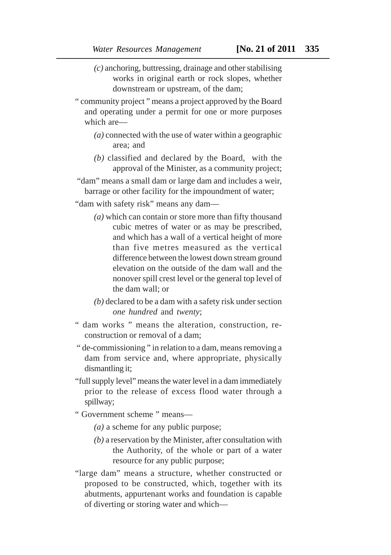- *(c)* anchoring, buttressing, drainage and other stabilising works in original earth or rock slopes, whether downstream or upstream, of the dam;
- " community project " means a project approved by the Board and operating under a permit for one or more purposes which are—
	- *(a)* connected with the use of water within a geographic area; and
	- *(b)* classified and declared by the Board, with the approval of the Minister, as a community project;

 "dam" means a small dam or large dam and includes a weir, barrage or other facility for the impoundment of water;

"dam with safety risk" means any dam—

- *(a)* which can contain or store more than fifty thousand cubic metres of water or as may be prescribed, and which has a wall of a vertical height of more than five metres measured as the vertical difference between the lowest down stream ground elevation on the outside of the dam wall and the nonover spill crest level or the general top level of the dam wall; or
- *(b)* declared to be a dam with a safety risk under section *one hundred* and *twenty*;
- " dam works " means the alteration, construction, reconstruction or removal of a dam;
- " de-commissioning " in relation to a dam, means removing a dam from service and, where appropriate, physically dismantling it;
- "full supply level" means the water level in a dam immediately prior to the release of excess flood water through a spillway;
- " Government scheme " means—
	- *(a)* a scheme for any public purpose;
	- *(b)* a reservation by the Minister, after consultation with the Authority, of the whole or part of a water resource for any public purpose;
- "large dam" means a structure, whether constructed or proposed to be constructed, which, together with its abutments, appurtenant works and foundation is capable of diverting or storing water and which—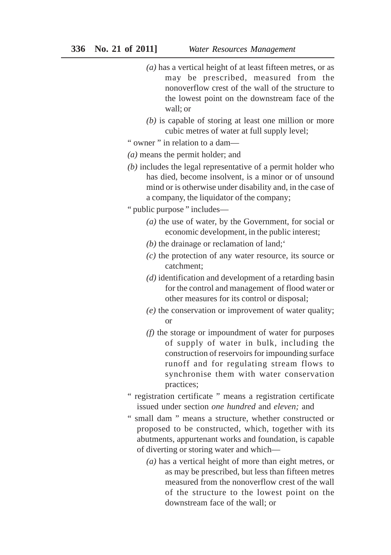- *(a)* has a vertical height of at least fifteen metres, or as may be prescribed, measured from the nonoverflow crest of the wall of the structure to the lowest point on the downstream face of the wall; or
- *(b)* is capable of storing at least one million or more cubic metres of water at full supply level;

" owner " in relation to a dam—

- *(a)* means the permit holder; and
- *(b)* includes the legal representative of a permit holder who has died, become insolvent, is a minor or of unsound mind or is otherwise under disability and, in the case of a company, the liquidator of the company;
- " public purpose " includes—
	- *(a)* the use of water, by the Government, for social or economic development, in the public interest;
	- *(b)* the drainage or reclamation of land;'
	- *(c)* the protection of any water resource, its source or catchment;
	- *(d)* identification and development of a retarding basin for the control and management of flood water or other measures for its control or disposal;
	- *(e)* the conservation or improvement of water quality; or
	- *(f)* the storage or impoundment of water for purposes of supply of water in bulk, including the construction of reservoirs for impounding surface runoff and for regulating stream flows to synchronise them with water conservation practices;
- " registration certificate " means a registration certificate issued under section *one hundred* and *eleven;* and
- " small dam " means a structure, whether constructed or proposed to be constructed, which, together with its abutments, appurtenant works and foundation, is capable of diverting or storing water and which—
	- *(a)* has a vertical height of more than eight metres, or as may be prescribed, but less than fifteen metres measured from the nonoverflow crest of the wall of the structure to the lowest point on the downstream face of the wall; or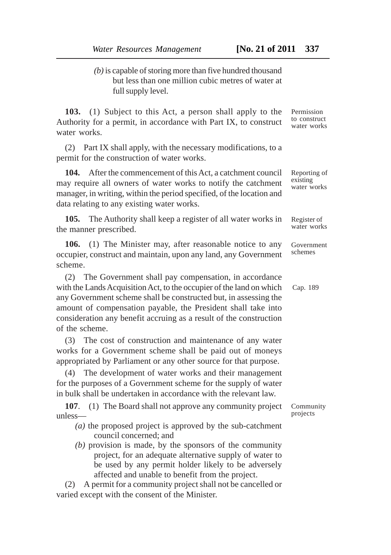*(b)* is capable of storing more than five hundred thousand but less than one million cubic metres of water at full supply level.

**103.** (1) Subject to this Act, a person shall apply to the Authority for a permit, in accordance with Part IX, to construct water works.

(2) Part IX shall apply, with the necessary modifications, to a permit for the construction of water works.

**104.** After the commencement of this Act, a catchment council may require all owners of water works to notify the catchment manager, in writing, within the period specified, of the location and data relating to any existing water works.

**105.** The Authority shall keep a register of all water works in the manner prescribed.

**106.** (1) The Minister may, after reasonable notice to any occupier, construct and maintain, upon any land, any Government scheme.

(2) The Government shall pay compensation, in accordance with the Lands Acquisition Act, to the occupier of the land on which any Government scheme shall be constructed but, in assessing the amount of compensation payable, the President shall take into consideration any benefit accruing as a result of the construction of the scheme.

(3) The cost of construction and maintenance of any water works for a Government scheme shall be paid out of moneys appropriated by Parliament or any other source for that purpose.

(4) The development of water works and their management for the purposes of a Government scheme for the supply of water in bulk shall be undertaken in accordance with the relevant law.

**107**. (1) The Board shall not approve any community project unless—

- *(a)* the proposed project is approved by the sub-catchment council concerned; and
- *(b)* provision is made, by the sponsors of the community project, for an adequate alternative supply of water to be used by any permit holder likely to be adversely affected and unable to benefit from the project.

(2) A permit for a community project shall not be cancelled or varied except with the consent of the Minister.

Permission to construct water works

Reporting of existing water works

Register of water works

Government schemes

Cap. 189

Community projects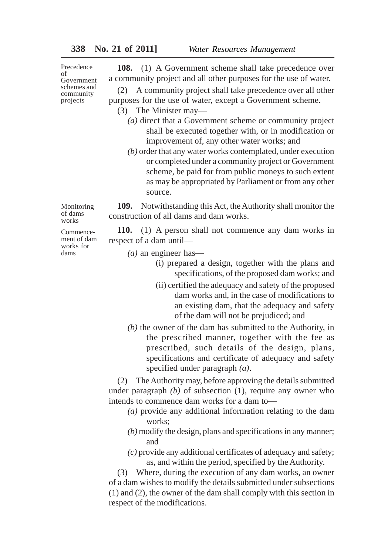Precedence of Government schemes and community projects

**108.** (1) A Government scheme shall take precedence over a community project and all other purposes for the use of water.

(2) A community project shall take precedence over all other purposes for the use of water, except a Government scheme.

- (3) The Minister may—
	- *(a)* direct that a Government scheme or community project shall be executed together with, or in modification or improvement of, any other water works; and
	- *(b)* order that any water works contemplated, under execution or completed under a community project or Government scheme, be paid for from public moneys to such extent as may be appropriated by Parliament or from any other source.

**109.** Notwithstanding this Act, the Authority shall monitor the construction of all dams and dam works.

**110.** (1) A person shall not commence any dam works in respect of a dam until—

*(a)* an engineer has—

- (i) prepared a design, together with the plans and specifications, of the proposed dam works; and
- (ii) certified the adequacy and safety of the proposed dam works and, in the case of modifications to an existing dam, that the adequacy and safety of the dam will not be prejudiced; and
- *(b)* the owner of the dam has submitted to the Authority, in the prescribed manner, together with the fee as prescribed, such details of the design, plans, specifications and certificate of adequacy and safety specified under paragraph *(a)*.

(2) The Authority may, before approving the details submitted under paragraph *(b)* of subsection (1), require any owner who intends to commence dam works for a dam to—

- *(a)* provide any additional information relating to the dam works;
- *(b)* modify the design, plans and specifications in any manner; and
- *(c)* provide any additional certificates of adequacy and safety; as, and within the period, specified by the Authority.

(3) Where, during the execution of any dam works, an owner of a dam wishes to modify the details submitted under subsections (1) and (2), the owner of the dam shall comply with this section in respect of the modifications.

works Commencement of dam works for

dams

Monitoring of dams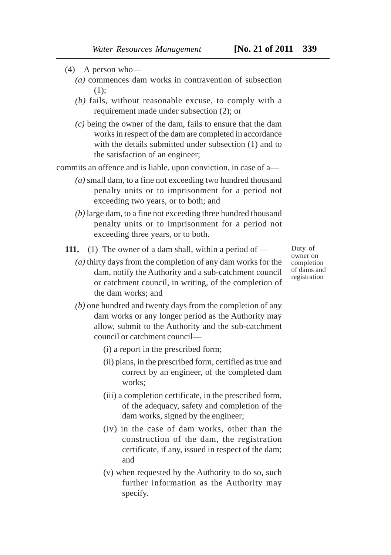- (4) A person who—
	- *(a)* commences dam works in contravention of subsection (1);
	- *(b)* fails, without reasonable excuse, to comply with a requirement made under subsection (2); or
	- *(c)* being the owner of the dam, fails to ensure that the dam works in respect of the dam are completed in accordance with the details submitted under subsection (1) and to the satisfaction of an engineer;

commits an offence and is liable, upon conviction, in case of a—

- *(a)* small dam, to a fine not exceeding two hundred thousand penalty units or to imprisonment for a period not exceeding two years, or to both; and
- *(b)* large dam, to a fine not exceeding three hundred thousand penalty units or to imprisonment for a period not exceeding three years, or to both.

**111.** (1) The owner of a dam shall, within a period of —

*(a)* thirty days from the completion of any dam works for the dam, notify the Authority and a sub-catchment council or catchment council, in writing, of the completion of the dam works; and

Duty of owner on completion of dams and registration

- *(b)* one hundred and twenty days from the completion of any dam works or any longer period as the Authority may allow, submit to the Authority and the sub-catchment council or catchment council—
	- (i) a report in the prescribed form;
	- (ii) plans, in the prescribed form, certified as true and correct by an engineer, of the completed dam works;
	- (iii) a completion certificate, in the prescribed form, of the adequacy, safety and completion of the dam works, signed by the engineer;
	- (iv) in the case of dam works, other than the construction of the dam, the registration certificate, if any, issued in respect of the dam; and
	- (v) when requested by the Authority to do so, such further information as the Authority may specify.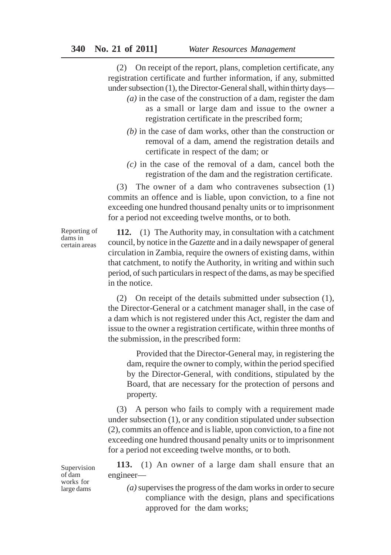(2) On receipt of the report, plans, completion certificate, any registration certificate and further information, if any, submitted under subsection (1), the Director-General shall, within thirty days—

- *(a)* in the case of the construction of a dam, register the dam as a small or large dam and issue to the owner a registration certificate in the prescribed form;
- *(b)* in the case of dam works, other than the construction or removal of a dam, amend the registration details and certificate in respect of the dam; or
- *(c)* in the case of the removal of a dam, cancel both the registration of the dam and the registration certificate.

(3) The owner of a dam who contravenes subsection (1) commits an offence and is liable, upon conviction, to a fine not exceeding one hundred thousand penalty units or to imprisonment for a period not exceeding twelve months, or to both.

Reporting of dams in certain areas

**112.** (1) The Authority may, in consultation with a catchment council, by notice in the *Gazette* and in a daily newspaper of general circulation in Zambia, require the owners of existing dams, within that catchment, to notify the Authority, in writing and within such period, of such particulars in respect of the dams, as may be specified in the notice.

(2) On receipt of the details submitted under subsection (1), the Director-General or a catchment manager shall, in the case of a dam which is not registered under this Act, register the dam and issue to the owner a registration certificate, within three months of the submission, in the prescribed form:

Provided that the Director-General may, in registering the dam, require the owner to comply, within the period specified by the Director-General, with conditions, stipulated by the Board, that are necessary for the protection of persons and property.

(3) A person who fails to comply with a requirement made under subsection (1), or any condition stipulated under subsection (2), commits an offence and is liable, upon conviction, to a fine not exceeding one hundred thousand penalty units or to imprisonment for a period not exceeding twelve months, or to both.

**113.** (1) An owner of a large dam shall ensure that an engineer—

*(a)* supervises the progress of the dam works in order to secure compliance with the design, plans and specifications approved for the dam works;

Supervision of dam works for large dams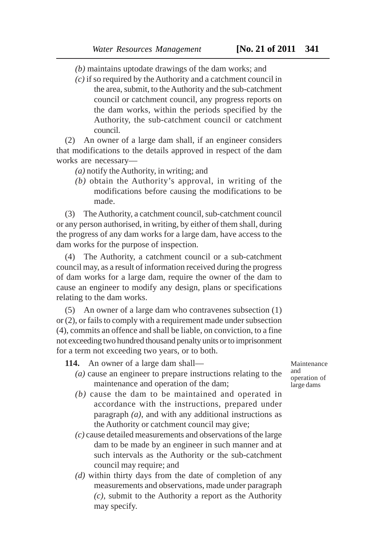*(b)* maintains uptodate drawings of the dam works; and

*(c)* if so required by the Authority and a catchment council in the area, submit, to the Authority and the sub-catchment council or catchment council, any progress reports on the dam works, within the periods specified by the Authority, the sub-catchment council or catchment council.

(2) An owner of a large dam shall, if an engineer considers that modifications to the details approved in respect of the dam works are necessary—

*(a)* notify the Authority, in writing; and

*(b)* obtain the Authority's approval, in writing of the modifications before causing the modifications to be made.

(3) The Authority, a catchment council, sub-catchment council or any person authorised, in writing, by either of them shall, during the progress of any dam works for a large dam, have access to the dam works for the purpose of inspection.

(4) The Authority, a catchment council or a sub-catchment council may, as a result of information received during the progress of dam works for a large dam, require the owner of the dam to cause an engineer to modify any design, plans or specifications relating to the dam works.

(5) An owner of a large dam who contravenes subsection (1) or (2), or fails to comply with a requirement made under subsection (4), commits an offence and shall be liable, on conviction, to a fine not exceeding two hundred thousand penalty units or to imprisonment for a term not exceeding two years, or to both.

**114.** An owner of a large dam shall—

*(a)* cause an engineer to prepare instructions relating to the maintenance and operation of the dam;

Maintenance and operation of large dams

- *(b)* cause the dam to be maintained and operated in accordance with the instructions, prepared under paragraph *(a)*, and with any additional instructions as the Authority or catchment council may give;
- *(c)* cause detailed measurements and observations of the large dam to be made by an engineer in such manner and at such intervals as the Authority or the sub-catchment council may require; and
- *(d)* within thirty days from the date of completion of any measurements and observations, made under paragraph *(c)*, submit to the Authority a report as the Authority may specify.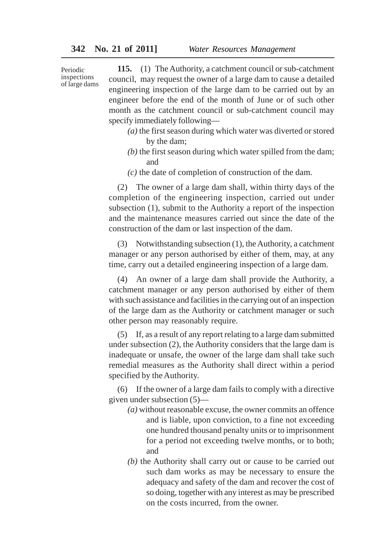Periodic inspections of large dams

**115.** (1) The Authority, a catchment council or sub-catchment council, may request the owner of a large dam to cause a detailed engineering inspection of the large dam to be carried out by an engineer before the end of the month of June or of such other month as the catchment council or sub-catchment council may specify immediately following—

- *(a)* the first season during which water was diverted or stored by the dam;
- *(b)* the first season during which water spilled from the dam; and
- *(c)* the date of completion of construction of the dam.

(2) The owner of a large dam shall, within thirty days of the completion of the engineering inspection, carried out under subsection (1), submit to the Authority a report of the inspection and the maintenance measures carried out since the date of the construction of the dam or last inspection of the dam.

(3) Notwithstanding subsection (1), the Authority, a catchment manager or any person authorised by either of them, may, at any time, carry out a detailed engineering inspection of a large dam.

(4) An owner of a large dam shall provide the Authority, a catchment manager or any person authorised by either of them with such assistance and facilities in the carrying out of an inspection of the large dam as the Authority or catchment manager or such other person may reasonably require.

(5) If, as a result of any report relating to a large dam submitted under subsection (2), the Authority considers that the large dam is inadequate or unsafe, the owner of the large dam shall take such remedial measures as the Authority shall direct within a period specified by the Authority.

(6) If the owner of a large dam fails to comply with a directive given under subsection (5)—

- *(a)* without reasonable excuse, the owner commits an offence and is liable, upon conviction, to a fine not exceeding one hundred thousand penalty units or to imprisonment for a period not exceeding twelve months, or to both; and
- *(b)* the Authority shall carry out or cause to be carried out such dam works as may be necessary to ensure the adequacy and safety of the dam and recover the cost of so doing, together with any interest as may be prescribed on the costs incurred, from the owner.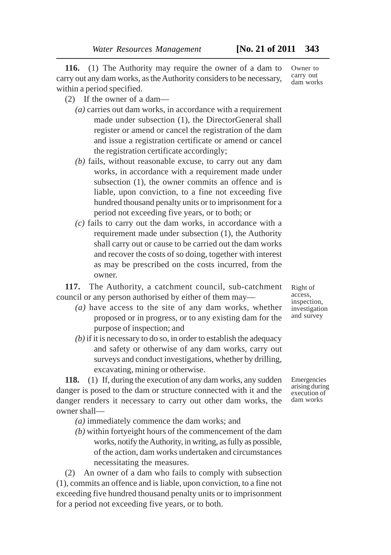**116.** (1) The Authority may require the owner of a dam to carry out any dam works, as the Authority considers to be necessary, within a period specified.

- (2) If the owner of a dam—
	- *(a)* carries out dam works, in accordance with a requirement made under subsection (1), the DirectorGeneral shall register or amend or cancel the registration of the dam and issue a registration certificate or amend or cancel the registration certificate accordingly;
	- *(b)* fails, without reasonable excuse, to carry out any dam works, in accordance with a requirement made under subsection (1), the owner commits an offence and is liable, upon conviction, to a fine not exceeding five hundred thousand penalty units or to imprisonment for a period not exceeding five years, or to both; or
	- *(c)* fails to carry out the dam works, in accordance with a requirement made under subsection (1), the Authority shall carry out or cause to be carried out the dam works and recover the costs of so doing, together with interest as may be prescribed on the costs incurred, from the owner.

**117.** The Authority, a catchment council, sub-catchment council or any person authorised by either of them may—

- *(a)* have access to the site of any dam works, whether proposed or in progress, or to any existing dam for the purpose of inspection; and
- *(b)* if it is necessary to do so, in order to establish the adequacy and safety or otherwise of any dam works, carry out surveys and conduct investigations, whether by drilling, excavating, mining or otherwise.

**118.** (1) If, during the execution of any dam works, any sudden danger is posed to the dam or structure connected with it and the danger renders it necessary to carry out other dam works, the owner shall—

*(a)* immediately commence the dam works; and

*(b)* within fortyeight hours of the commencement of the dam works, notify the Authority, in writing, as fully as possible, of the action, dam works undertaken and circumstances necessitating the measures.

(2) An owner of a dam who fails to comply with subsection (1), commits an offence and is liable, upon conviction, to a fine not exceeding five hundred thousand penalty units or to imprisonment for a period not exceeding five years, or to both.

Right of access, inspection, investigation and survey

Emergencies arising during execution of dam works

Owner to carry out dam works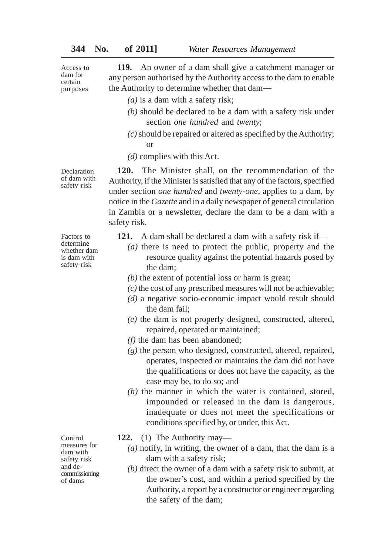**119.** An owner of a dam shall give a catchment manager or any person authorised by the Authority access to the dam to enable the Authority to determine whether that dam— Access to dam for certain purposes

- *(a)* is a dam with a safety risk;
- *(b)* should be declared to be a dam with a safety risk under section *one hundred* and *twenty*;
- *(c)* should be repaired or altered as specified by the Authority; or

**120.** The Minister shall, on the recommendation of the Authority, if the Minister is satisfied that any of the factors, specified under section *one hundred* and *twenty-one*, applies to a dam, by notice in the *Gazette* and in a daily newspaper of general circulation in Zambia or a newsletter, declare the dam to be a dam with a

*(d)* complies with this Act.

**Declaration** of dam with safety risk

Factors to determine whether dam is dam with safety risk

safety risk.

- **121.** A dam shall be declared a dam with a safety risk if—
	- *(a)* there is need to protect the public, property and the resource quality against the potential hazards posed by the dam;
	- *(b)* the extent of potential loss or harm is great;
	- *(c)* the cost of any prescribed measures will not be achievable;
	- *(d)* a negative socio-economic impact would result should the dam fail;
	- *(e)* the dam is not properly designed, constructed, altered, repaired, operated or maintained;
	- *(f)* the dam has been abandoned;
	- *(g)* the person who designed, constructed, altered, repaired, operates, inspected or maintains the dam did not have the qualifications or does not have the capacity, as the case may be, to do so; and
	- *(h)* the manner in which the water is contained, stored, impounded or released in the dam is dangerous, inadequate or does not meet the specifications or conditions specified by, or under, this Act.

Control measures for dam with safety risk and decommissioning of dams

- **122.** (1) The Authority may—
	- *(a)* notify, in writing, the owner of a dam, that the dam is a dam with a safety risk;
	- *(b)* direct the owner of a dam with a safety risk to submit, at the owner's cost, and within a period specified by the Authority, a report by a constructor or engineer regarding the safety of the dam;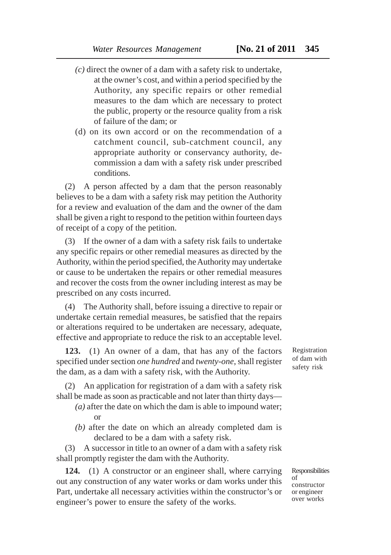- *(c)* direct the owner of a dam with a safety risk to undertake, at the owner's cost, and within a period specified by the Authority, any specific repairs or other remedial measures to the dam which are necessary to protect the public, property or the resource quality from a risk of failure of the dam; or
- (d) on its own accord or on the recommendation of a catchment council, sub-catchment council, any appropriate authority or conservancy authority, decommission a dam with a safety risk under prescribed conditions.

(2) A person affected by a dam that the person reasonably believes to be a dam with a safety risk may petition the Authority for a review and evaluation of the dam and the owner of the dam shall be given a right to respond to the petition within fourteen days of receipt of a copy of the petition.

(3) If the owner of a dam with a safety risk fails to undertake any specific repairs or other remedial measures as directed by the Authority, within the period specified, the Authority may undertake or cause to be undertaken the repairs or other remedial measures and recover the costs from the owner including interest as may be prescribed on any costs incurred.

(4) The Authority shall, before issuing a directive to repair or undertake certain remedial measures, be satisfied that the repairs or alterations required to be undertaken are necessary, adequate, effective and appropriate to reduce the risk to an acceptable level.

**123.** (1) An owner of a dam, that has any of the factors specified under section *one hundred* and *twenty-one*, shall register the dam, as a dam with a safety risk, with the Authority.

(2) An application for registration of a dam with a safety risk shall be made as soon as practicable and not later than thirty days—

- *(a)* after the date on which the dam is able to impound water; or
- *(b)* after the date on which an already completed dam is declared to be a dam with a safety risk.

(3) A successor in title to an owner of a dam with a safety risk shall promptly register the dam with the Authority.

**124.** (1) A constructor or an engineer shall, where carrying out any construction of any water works or dam works under this Part, undertake all necessary activities within the constructor's or engineer's power to ensure the safety of the works.

Registration of dam with safety risk

Responsibilities of constructor or engineer over works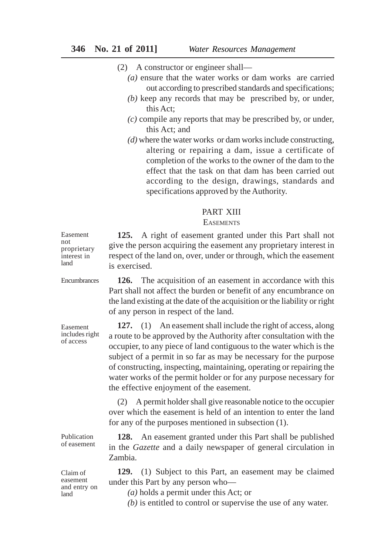(2) A constructor or engineer shall—

- *(a)* ensure that the water works or dam works are carried out according to prescribed standards and specifications;
- *(b)* keep any records that may be prescribed by, or under, this Act;
- *(c)* compile any reports that may be prescribed by, or under, this Act; and
- *(d)* where the water works or dam works include constructing, altering or repairing a dam, issue a certificate of completion of the works to the owner of the dam to the effect that the task on that dam has been carried out according to the design, drawings, standards and specifications approved by the Authority.

## PART XIII

#### **EASEMENTS**

**125.** A right of easement granted under this Part shall not give the person acquiring the easement any proprietary interest in respect of the land on, over, under or through, which the easement is exercised. proprietary

**Encumbrances** 

Easement not

interest in land

> **126.** The acquisition of an easement in accordance with this Part shall not affect the burden or benefit of any encumbrance on the land existing at the date of the acquisition or the liability or right of any person in respect of the land.

> **127.** (1) An easement shall include the right of access, along a route to be approved by the Authority after consultation with the occupier, to any piece of land contiguous to the water which is the subject of a permit in so far as may be necessary for the purpose of constructing, inspecting, maintaining, operating or repairing the water works of the permit holder or for any purpose necessary for the effective enjoyment of the easement.

> (2) A permit holder shall give reasonable notice to the occupier over which the easement is held of an intention to enter the land for any of the purposes mentioned in subsection (1).

**128.** An easement granted under this Part shall be published in the *Gazette* and a daily newspaper of general circulation in Zambia.

**129.** (1) Subject to this Part, an easement may be claimed under this Part by any person who—

*(a)* holds a permit under this Act; or

*(b)* is entitled to control or supervise the use of any water.

includes right of access

Easement

Publication of easement

Claim of easement and entry on land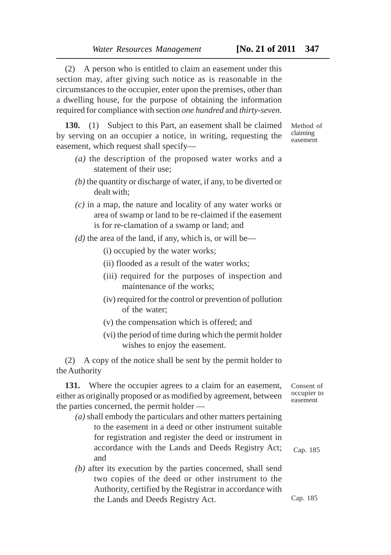(2) A person who is entitled to claim an easement under this section may, after giving such notice as is reasonable in the circumstances to the occupier, enter upon the premises, other than a dwelling house, for the purpose of obtaining the information required for compliance with section *one hundred* and *thirty-seven.*

**130.** (1) Subject to this Part, an easement shall be claimed by serving on an occupier a notice, in writing, requesting the easement, which request shall specify—

- *(a)* the description of the proposed water works and a statement of their use;
- *(b)* the quantity or discharge of water, if any, to be diverted or dealt with;
- *(c)* in a map, the nature and locality of any water works or area of swamp or land to be re-claimed if the easement is for re-clamation of a swamp or land; and
- $(d)$  the area of the land, if any, which is, or will be—
	- (i) occupied by the water works;
	- (ii) flooded as a result of the water works;
	- (iii) required for the purposes of inspection and maintenance of the works;
	- (iv) required for the control or prevention of pollution of the water;
	- (v) the compensation which is offered; and
	- (vi) the period of time during which the permit holder wishes to enjoy the easement.

(2) A copy of the notice shall be sent by the permit holder to the Authority

**131.** Where the occupier agrees to a claim for an easement, either as originally proposed or as modified by agreement, between the parties concerned, the permit holder —

- *(a)* shall embody the particulars and other matters pertaining to the easement in a deed or other instrument suitable for registration and register the deed or instrument in accordance with the Lands and Deeds Registry Act; and
- *(b)* after its execution by the parties concerned, shall send two copies of the deed or other instrument to the Authority, certified by the Registrar in accordance with the Lands and Deeds Registry Act.

Consent of occupier to easement

Cap. 185

Cap. 185

Method of claiming easement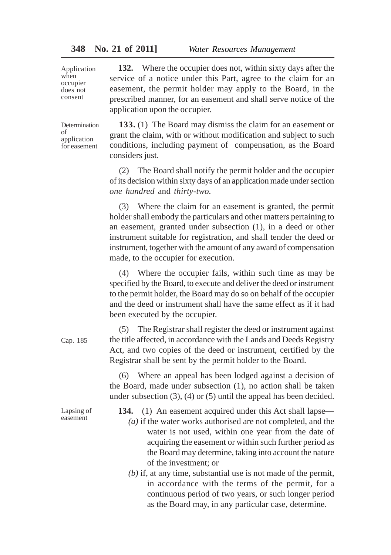Application when occupier does not consent

**132.** Where the occupier does not, within sixty days after the service of a notice under this Part, agree to the claim for an easement, the permit holder may apply to the Board, in the prescribed manner, for an easement and shall serve notice of the application upon the occupier.

Determination of application for easement

**133.** (1) The Board may dismiss the claim for an easement or grant the claim, with or without modification and subject to such conditions, including payment of compensation, as the Board considers just.

(2) The Board shall notify the permit holder and the occupier of its decision within sixty days of an application made under section *one hundred* and *thirty-two.*

(3) Where the claim for an easement is granted, the permit holder shall embody the particulars and other matters pertaining to an easement, granted under subsection (1), in a deed or other instrument suitable for registration, and shall tender the deed or instrument, together with the amount of any award of compensation made, to the occupier for execution.

(4) Where the occupier fails, within such time as may be specified by the Board, to execute and deliver the deed or instrument to the permit holder, the Board may do so on behalf of the occupier and the deed or instrument shall have the same effect as if it had been executed by the occupier.

(5) The Registrar shall register the deed or instrument against the title affected, in accordance with the Lands and Deeds Registry Act, and two copies of the deed or instrument, certified by the Registrar shall be sent by the permit holder to the Board.

(6) Where an appeal has been lodged against a decision of the Board, made under subsection (1), no action shall be taken under subsection (3), (4) or (5) until the appeal has been decided.

Lapsing of easement

Cap. 185

**134.** (1) An easement acquired under this Act shall lapse—

- *(a)* if the water works authorised are not completed, and the water is not used, within one year from the date of acquiring the easement or within such further period as the Board may determine, taking into account the nature of the investment; or
- *(b)* if, at any time, substantial use is not made of the permit, in accordance with the terms of the permit, for a continuous period of two years, or such longer period as the Board may, in any particular case, determine.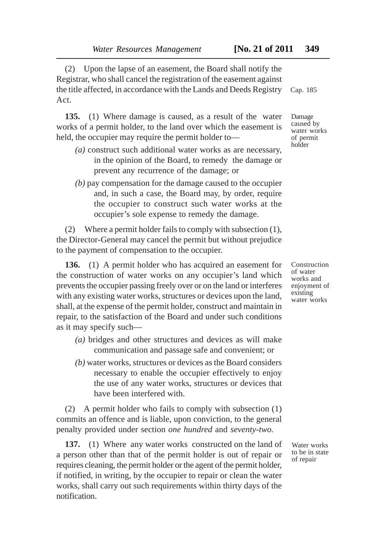(2) Upon the lapse of an easement, the Board shall notify the Registrar, who shall cancel the registration of the easement against the title affected, in accordance with the Lands and Deeds Registry Act.

**135.** (1) Where damage is caused, as a result of the water works of a permit holder, to the land over which the easement is held, the occupier may require the permit holder to—

- *(a)* construct such additional water works as are necessary, in the opinion of the Board, to remedy the damage or prevent any recurrence of the damage; or
- *(b)* pay compensation for the damage caused to the occupier and, in such a case, the Board may, by order, require the occupier to construct such water works at the occupier's sole expense to remedy the damage.

(2) Where a permit holder fails to comply with subsection (1), the Director-General may cancel the permit but without prejudice to the payment of compensation to the occupier.

**136.** (1) A permit holder who has acquired an easement for the construction of water works on any occupier's land which prevents the occupier passing freely over or on the land or interferes with any existing water works, structures or devices upon the land, shall, at the expense of the permit holder, construct and maintain in repair, to the satisfaction of the Board and under such conditions as it may specify such—

- *(a)* bridges and other structures and devices as will make communication and passage safe and convenient; or
- *(b)* water works, structures or devices as the Board considers necessary to enable the occupier effectively to enjoy the use of any water works, structures or devices that have been interfered with.

(2) A permit holder who fails to comply with subsection (1) commits an offence and is liable, upon conviction, to the general penalty provided under section *one hundred* and *seventy-two.*

**137.** (1) Where any water works constructed on the land of a person other than that of the permit holder is out of repair or requires cleaning, the permit holder or the agent of the permit holder, if notified, in writing, by the occupier to repair or clean the water works, shall carry out such requirements within thirty days of the notification.

Cap. 185

Damage caused by water works of permit holder

Construction of water works and enjoyment of existing water works

Water works to be in state of repair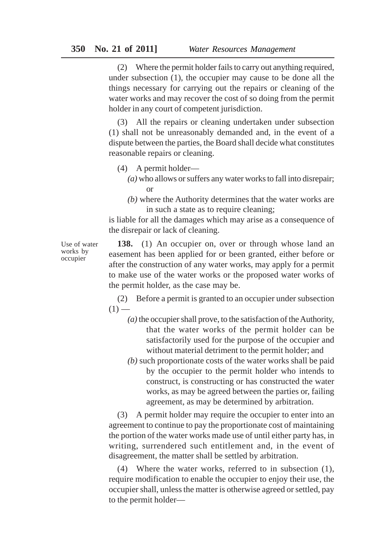(2) Where the permit holder fails to carry out anything required, under subsection (1), the occupier may cause to be done all the things necessary for carrying out the repairs or cleaning of the water works and may recover the cost of so doing from the permit holder in any court of competent jurisdiction.

(3) All the repairs or cleaning undertaken under subsection (1) shall not be unreasonably demanded and, in the event of a dispute between the parties, the Board shall decide what constitutes reasonable repairs or cleaning.

- (4) A permit holder—
	- *(a)* who allows or suffers any water works to fall into disrepair; or
	- *(b)* where the Authority determines that the water works are in such a state as to require cleaning;

is liable for all the damages which may arise as a consequence of the disrepair or lack of cleaning.

Use of water works by occupier

**138.** (1) An occupier on, over or through whose land an easement has been applied for or been granted, either before or after the construction of any water works, may apply for a permit to make use of the water works or the proposed water works of the permit holder, as the case may be.

(2) Before a permit is granted to an occupier under subsection  $(1)$  —

- *(a)* the occupier shall prove, to the satisfaction of the Authority, that the water works of the permit holder can be satisfactorily used for the purpose of the occupier and without material detriment to the permit holder; and
- *(b)* such proportionate costs of the water works shall be paid by the occupier to the permit holder who intends to construct, is constructing or has constructed the water works, as may be agreed between the parties or, failing agreement, as may be determined by arbitration.

(3) A permit holder may require the occupier to enter into an agreement to continue to pay the proportionate cost of maintaining the portion of the water works made use of until either party has, in writing, surrendered such entitlement and, in the event of disagreement, the matter shall be settled by arbitration.

(4) Where the water works, referred to in subsection (1), require modification to enable the occupier to enjoy their use, the occupier shall, unless the matter is otherwise agreed or settled, pay to the permit holder—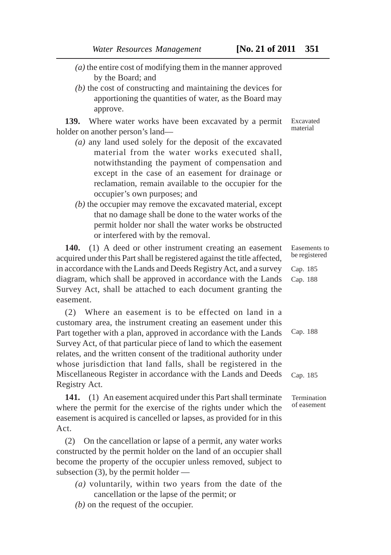- *(a)* the entire cost of modifying them in the manner approved by the Board; and
- *(b)* the cost of constructing and maintaining the devices for apportioning the quantities of water, as the Board may approve.

**139.** Where water works have been excavated by a permit holder on another person's land—

- *(a)* any land used solely for the deposit of the excavated material from the water works executed shall notwithstanding the payment of compensation and except in the case of an easement for drainage or reclamation, remain available to the occupier for the occupier's own purposes; and
- *(b)* the occupier may remove the excavated material, except that no damage shall be done to the water works of the permit holder nor shall the water works be obstructed or interfered with by the removal.

**140.** (1) A deed or other instrument creating an easement acquired under this Part shall be registered against the title affected, in accordance with the Lands and Deeds Registry Act, and a survey diagram, which shall be approved in accordance with the Lands Survey Act, shall be attached to each document granting the easement.

(2) Where an easement is to be effected on land in a customary area, the instrument creating an easement under this Part together with a plan, approved in accordance with the Lands Survey Act, of that particular piece of land to which the easement relates, and the written consent of the traditional authority under whose jurisdiction that land falls, shall be registered in the Miscellaneous Register in accordance with the Lands and Deeds Registry Act.

**141.** (1) An easement acquired under this Part shall terminate where the permit for the exercise of the rights under which the easement is acquired is cancelled or lapses, as provided for in this Act.

(2) On the cancellation or lapse of a permit, any water works constructed by the permit holder on the land of an occupier shall become the property of the occupier unless removed, subject to subsection  $(3)$ , by the permit holder —

- *(a)* voluntarily, within two years from the date of the cancellation or the lapse of the permit; or
- *(b)* on the request of the occupier.

Excavated material

Easements to be registered

Cap. 185 Cap. 188

Cap. 188

Cap. 185

Termination of easement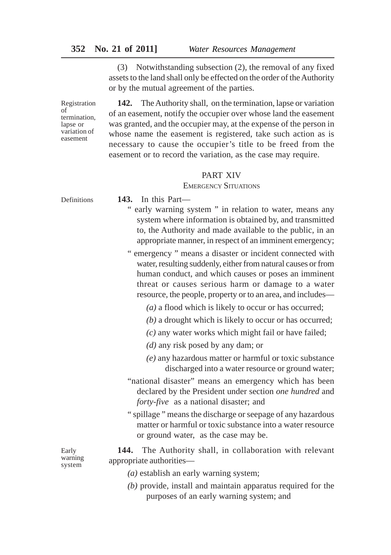(3) Notwithstanding subsection (2), the removal of any fixed assets to the land shall only be effected on the order of the Authority or by the mutual agreement of the parties.

Registration of termination, lapse or variation of easement

**142.** The Authority shall, on the termination, lapse or variation of an easement, notify the occupier over whose land the easement was granted, and the occupier may, at the expense of the person in whose name the easement is registered, take such action as is necessary to cause the occupier's title to be freed from the easement or to record the variation, as the case may require.

# PART XIV

## EMERGENCY SITUATIONS

Definitions

- **143.** In this Part—
	- " early warning system " in relation to water, means any system where information is obtained by, and transmitted to, the Authority and made available to the public, in an appropriate manner, in respect of an imminent emergency;
	- " emergency " means a disaster or incident connected with water, resulting suddenly, either from natural causes or from human conduct, and which causes or poses an imminent threat or causes serious harm or damage to a water resource, the people, property or to an area, and includes—
		- *(a)* a flood which is likely to occur or has occurred;
		- *(b)* a drought which is likely to occur or has occurred;
		- *(c)* any water works which might fail or have failed;
		- *(d)* any risk posed by any dam; or
		- *(e)* any hazardous matter or harmful or toxic substance discharged into a water resource or ground water;
	- "national disaster" means an emergency which has been declared by the President under section *one hundred* and *forty-five* as a national disaster; and
	- " spillage " means the discharge or seepage of any hazardous matter or harmful or toxic substance into a water resource or ground water, as the case may be.

**144.** The Authority shall, in collaboration with relevant appropriate authorities—

- *(a)* establish an early warning system;
- *(b)* provide, install and maintain apparatus required for the purposes of an early warning system; and

Early warning system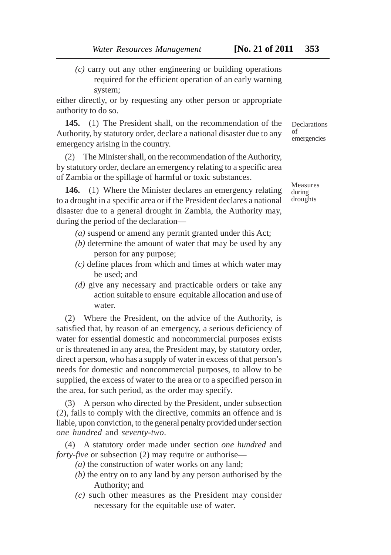*(c)* carry out any other engineering or building operations required for the efficient operation of an early warning system;

either directly, or by requesting any other person or appropriate authority to do so.

**145.** (1) The President shall, on the recommendation of the Authority, by statutory order, declare a national disaster due to any emergency arising in the country.

(2) The Minister shall, on the recommendation of the Authority, by statutory order, declare an emergency relating to a specific area of Zambia or the spillage of harmful or toxic substances.

**146.** (1) Where the Minister declares an emergency relating to a drought in a specific area or if the President declares a national disaster due to a general drought in Zambia, the Authority may, during the period of the declaration—

- *(a)* suspend or amend any permit granted under this Act;
- *(b)* determine the amount of water that may be used by any person for any purpose;
- *(c)* define places from which and times at which water may be used; and
- *(d)* give any necessary and practicable orders or take any action suitable to ensure equitable allocation and use of water.

(2) Where the President, on the advice of the Authority, is satisfied that, by reason of an emergency, a serious deficiency of water for essential domestic and noncommercial purposes exists or is threatened in any area, the President may, by statutory order, direct a person, who has a supply of water in excess of that person's needs for domestic and noncommercial purposes, to allow to be supplied, the excess of water to the area or to a specified person in the area, for such period, as the order may specify.

(3) A person who directed by the President, under subsection (2), fails to comply with the directive, commits an offence and is liable, upon conviction, to the general penalty provided under section *one hundred* and *seventy-two*.

(4) A statutory order made under section *one hundred* and *forty-five* or subsection (2) may require or authorise—

- *(a)* the construction of water works on any land;
- *(b)* the entry on to any land by any person authorised by the Authority; and
- *(c)* such other measures as the President may consider necessary for the equitable use of water.

**Declarations** of emergencies

Measures during droughts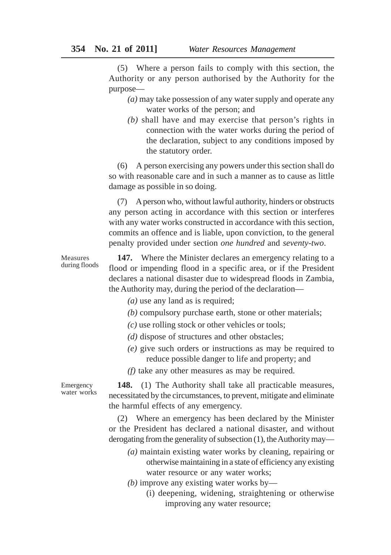(5) Where a person fails to comply with this section, the Authority or any person authorised by the Authority for the purpose—

- *(a)* may take possession of any water supply and operate any water works of the person; and
- *(b)* shall have and may exercise that person's rights in connection with the water works during the period of the declaration, subject to any conditions imposed by the statutory order.

(6) A person exercising any powers under this section shall do so with reasonable care and in such a manner as to cause as little damage as possible in so doing.

(7) A person who, without lawful authority, hinders or obstructs any person acting in accordance with this section or interferes with any water works constructed in accordance with this section, commits an offence and is liable, upon conviction, to the general penalty provided under section *one hundred* and *seventy-two*.

**147.** Where the Minister declares an emergency relating to a flood or impending flood in a specific area, or if the President declares a national disaster due to widespread floods in Zambia, the Authority may, during the period of the declaration—

- *(a)* use any land as is required;
- *(b)* compulsory purchase earth, stone or other materials;
- *(c)* use rolling stock or other vehicles or tools;
- *(d)* dispose of structures and other obstacles;
- *(e)* give such orders or instructions as may be required to reduce possible danger to life and property; and

*(f)* take any other measures as may be required.

**148.** (1) The Authority shall take all practicable measures, necessitated by the circumstances, to prevent, mitigate and eliminate the harmful effects of any emergency.

(2) Where an emergency has been declared by the Minister or the President has declared a national disaster, and without derogating from the generality of subsection (1), the Authority may—

- *(a)* maintain existing water works by cleaning, repairing or otherwise maintaining in a state of efficiency any existing water resource or any water works;
- *(b)* improve any existing water works by—
	- (i) deepening, widening, straightening or otherwise improving any water resource;

Emergency water works

Measures during floods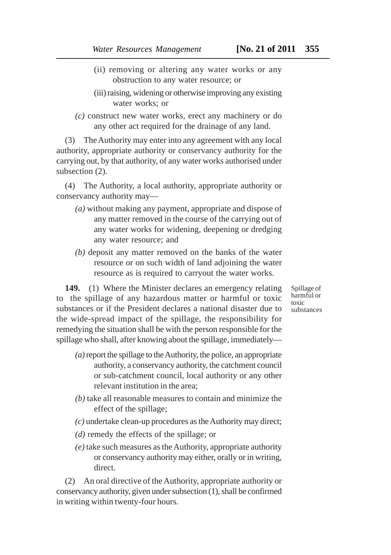- (ii) removing or altering any water works or any obstruction to any water resource; or
- (iii) raising, widening or otherwise improving any existing water works; or
- *(c)* construct new water works, erect any machinery or do any other act required for the drainage of any land.

(3) The Authority may enter into any agreement with any local authority, appropriate authority or conservancy authority for the carrying out, by that authority, of any water works authorised under subsection (2).

(4) The Authority, a local authority, appropriate authority or conservancy authority may—

- *(a)* without making any payment, appropriate and dispose of any matter removed in the course of the carrying out of any water works for widening, deepening or dredging any water resource; and
- *(b)* deposit any matter removed on the banks of the water resource or on such width of land adjoining the water resource as is required to carryout the water works.

**149.** (1) Where the Minister declares an emergency relating to the spillage of any hazardous matter or harmful or toxic substances or if the President declares a national disaster due to the wide-spread impact of the spillage, the responsibility for remedying the situation shall be with the person responsible for the spillage who shall, after knowing about the spillage, immediately—

- *(a)* report the spillage to the Authority, the police, an appropriate authority, a conservancy authority, the catchment council or sub-catchment council, local authority or any other relevant institution in the area;
- *(b)* take all reasonable measures to contain and minimize the effect of the spillage;
- *(c)* undertake clean-up procedures as the Authority may direct;
- *(d)* remedy the effects of the spillage; or
- *(e)* take such measures as the Authority, appropriate authority or conservancy authority may either, orally or in writing, direct.

(2) An oral directive of the Authority, appropriate authority or conservancy authority, given under subsection (1), shall be confirmed in writing within twenty-four hours.

Spillage of harmful or toxic substances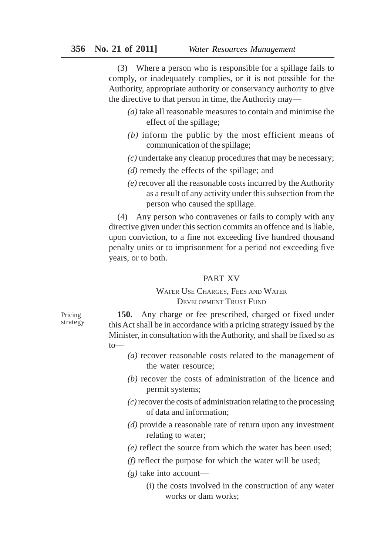(3) Where a person who is responsible for a spillage fails to comply, or inadequately complies, or it is not possible for the Authority, appropriate authority or conservancy authority to give the directive to that person in time, the Authority may—

- *(a)* take all reasonable measures to contain and minimise the effect of the spillage;
- *(b)* inform the public by the most efficient means of communication of the spillage;
- *(c)* undertake any cleanup procedures that may be necessary;
- *(d)* remedy the effects of the spillage; and
- *(e)* recover all the reasonable costs incurred by the Authority as a result of any activity under this subsection from the person who caused the spillage.

(4) Any person who contravenes or fails to comply with any directive given under this section commits an offence and is liable, upon conviction, to a fine not exceeding five hundred thousand penalty units or to imprisonment for a period not exceeding five years, or to both.

# PART XV

# WATER USE CHARGES, FEES AND WATER DEVELOPMENT TRUST FUND

Pricing strategy

**150.** Any charge or fee prescribed, charged or fixed under this Act shall be in accordance with a pricing strategy issued by the Minister, in consultation with the Authority, and shall be fixed so as to—

- *(a)* recover reasonable costs related to the management of the water resource;
- *(b)* recover the costs of administration of the licence and permit systems;
- *(c)* recover the costs of administration relating to the processing of data and information;
- *(d)* provide a reasonable rate of return upon any investment relating to water;
- *(e)* reflect the source from which the water has been used;
- *(f)* reflect the purpose for which the water will be used;
- *(g)* take into account—
	- (i) the costs involved in the construction of any water works or dam works;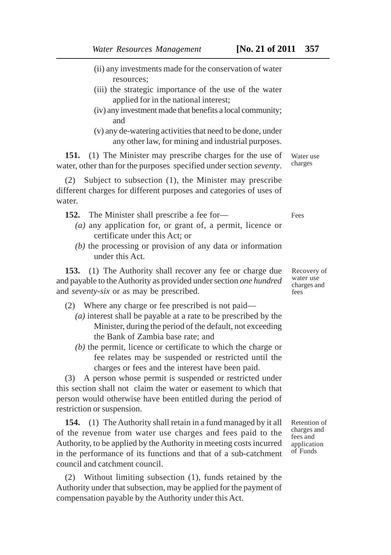resources;

- (ii) any investments made for the conservation of water
- (iii) the strategic importance of the use of the water applied for in the national interest;
- (iv) any investment made that benefits a local community; and
- (v) any de-watering activities that need to be done, under any other law, for mining and industrial purposes.

**151.** (1) The Minister may prescribe charges for the use of water, other than for the purposes specified under section *seventy*.

(2) Subject to subsection (1), the Minister may prescribe different charges for different purposes and categories of uses of water.

- **152.** The Minister shall prescribe a fee for—
	- *(a)* any application for, or grant of, a permit, licence or certificate under this Act; or
	- *(b)* the processing or provision of any data or information under this Act.

**153.** (1) The Authority shall recover any fee or charge due and payable to the Authority as provided under section *one hundred* and *seventy-six* or as may be prescribed.

- (2) Where any charge or fee prescribed is not paid—
	- *(a)* interest shall be payable at a rate to be prescribed by the Minister, during the period of the default, not exceeding the Bank of Zambia base rate; and
	- *(b)* the permit, licence or certificate to which the charge or fee relates may be suspended or restricted until the charges or fees and the interest have been paid.

(3) A person whose permit is suspended or restricted under this section shall not claim the water or easement to which that person would otherwise have been entitled during the period of restriction or suspension.

**154.** (1) The Authority shall retain in a fund managed by it all of the revenue from water use charges and fees paid to the Authority, to be applied by the Authority in meeting costs incurred in the performance of its functions and that of a sub-catchment council and catchment council.

(2) Without limiting subsection (1), funds retained by the Authority under that subsection, may be applied for the payment of compensation payable by the Authority under this Act.

Retention of charges and fees and application of Funds

Recovery of water use charges and fees

Fees

Water use charges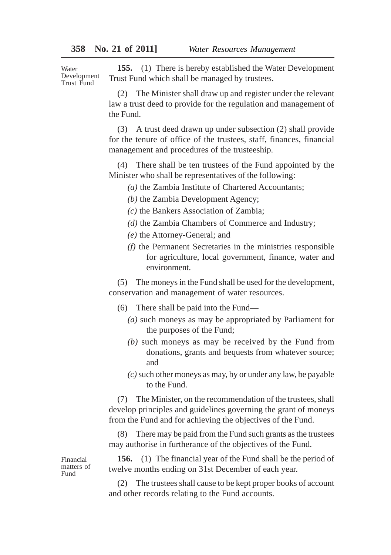Water Development Trust Fund

**155.** (1) There is hereby established the Water Development Trust Fund which shall be managed by trustees.

(2) The Minister shall draw up and register under the relevant law a trust deed to provide for the regulation and management of the Fund.

(3) A trust deed drawn up under subsection (2) shall provide for the tenure of office of the trustees, staff, finances, financial management and procedures of the trusteeship.

(4) There shall be ten trustees of the Fund appointed by the Minister who shall be representatives of the following:

*(a)* the Zambia Institute of Chartered Accountants;

*(b)* the Zambia Development Agency;

*(c)* the Bankers Association of Zambia;

- *(d)* the Zambia Chambers of Commerce and Industry;
- *(e)* the Attorney-General; and
- *(f)* the Permanent Secretaries in the ministries responsible for agriculture, local government, finance, water and environment.

(5) The moneys in the Fund shall be used for the development, conservation and management of water resources.

- (6) There shall be paid into the Fund—
	- *(a)* such moneys as may be appropriated by Parliament for the purposes of the Fund;
	- *(b)* such moneys as may be received by the Fund from donations, grants and bequests from whatever source; and
	- *(c)* such other moneys as may, by or under any law, be payable to the Fund.

(7) The Minister, on the recommendation of the trustees, shall develop principles and guidelines governing the grant of moneys from the Fund and for achieving the objectives of the Fund.

(8) There may be paid from the Fund such grants as the trustees may authorise in furtherance of the objectives of the Fund.

**156.** (1) The financial year of the Fund shall be the period of twelve months ending on 31st December of each year.

(2) The trustees shall cause to be kept proper books of account and other records relating to the Fund accounts.

Financial matters of Fund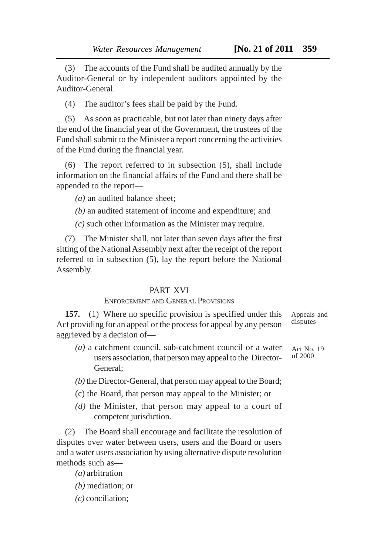(3) The accounts of the Fund shall be audited annually by the Auditor-General or by independent auditors appointed by the Auditor-General.

(4) The auditor's fees shall be paid by the Fund.

(5) As soon as practicable, but not later than ninety days after the end of the financial year of the Government, the trustees of the Fund shall submit to the Minister a report concerning the activities of the Fund during the financial year.

(6) The report referred to in subsection (5), shall include information on the financial affairs of the Fund and there shall be appended to the report—

*(a)* an audited balance sheet;

*(b)* an audited statement of income and expenditure; and

*(c)* such other information as the Minister may require.

(7) The Minister shall, not later than seven days after the first sitting of the National Assembly next after the receipt of the report referred to in subsection (5), lay the report before the National Assembly.

## PART XVI

# ENFORCEMENT AND GENERAL PROVISIONS

**157.** (1) Where no specific provision is specified under this Act providing for an appeal or the process for appeal by any person aggrieved by a decision of—

- *(a)* a catchment council, sub-catchment council or a water users association, that person may appeal to the Director-General;
- *(b)* the Director-General, that person may appeal to the Board;
- (c) the Board, that person may appeal to the Minister; or
- *(d)* the Minister, that person may appeal to a court of competent jurisdiction.

(2) The Board shall encourage and facilitate the resolution of disputes over water between users, users and the Board or users and a water users association by using alternative dispute resolution methods such as—

*(a)* arbitration

- *(b)* mediation; or
- *(c)* conciliation;

Appeals and disputes

Act No. 19 of 2000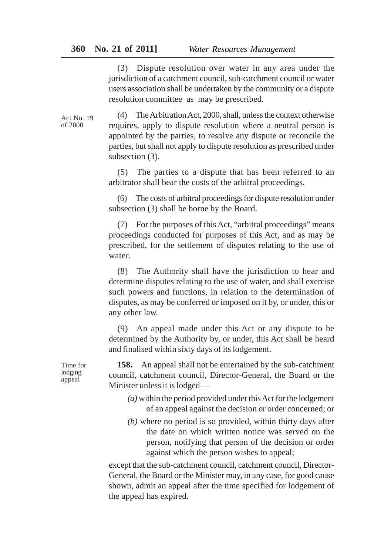(3) Dispute resolution over water in any area under the jurisdiction of a catchment council, sub-catchment council or water users association shall be undertaken by the community or a dispute resolution committee as may be prescribed.

Act No. 19 of 2000

(4) The Arbitration Act, 2000, shall, unless the context otherwise requires, apply to dispute resolution where a neutral person is appointed by the parties, to resolve any dispute or reconcile the parties, but shall not apply to dispute resolution as prescribed under subsection (3).

(5) The parties to a dispute that has been referred to an arbitrator shall bear the costs of the arbitral proceedings.

(6) The costs of arbitral proceedings for dispute resolution under subsection (3) shall be borne by the Board.

(7) For the purposes of this Act, "arbitral proceedings" means proceedings conducted for purposes of this Act, and as may be prescribed, for the settlement of disputes relating to the use of water.

(8) The Authority shall have the jurisdiction to hear and determine disputes relating to the use of water, and shall exercise such powers and functions, in relation to the determination of disputes, as may be conferred or imposed on it by, or under, this or any other law.

(9) An appeal made under this Act or any dispute to be determined by the Authority by, or under, this Act shall be heard and finalised within sixty days of its lodgement.

**158.** An appeal shall not be entertained by the sub-catchment council, catchment council, Director-General, the Board or the Minister unless it is lodged—

- *(a)* within the period provided under this Act for the lodgement of an appeal against the decision or order concerned; or
- *(b)* where no period is so provided, within thirty days after the date on which written notice was served on the person, notifying that person of the decision or order against which the person wishes to appeal;

except that the sub-catchment council, catchment council, Director-General, the Board or the Minister may, in any case, for good cause shown, admit an appeal after the time specified for lodgement of the appeal has expired.

Time for lodging appeal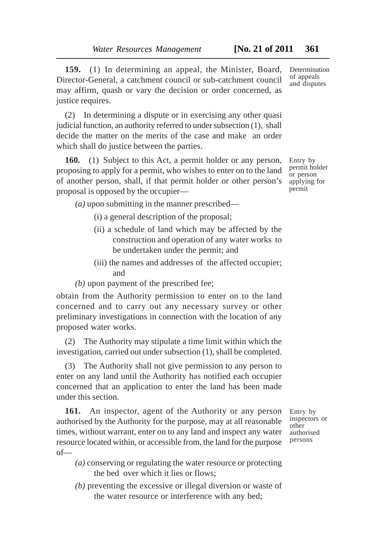**159.** (1) In determining an appeal, the Minister, Board, Director-General, a catchment council or sub-catchment council may affirm, quash or vary the decision or order concerned, as justice requires.

(2) In determining a dispute or in exercising any other quasi judicial function, an authority referred to under subsection (1), shall decide the matter on the merits of the case and make an order which shall do justice between the parties.

**160.** (1) Subject to this Act, a permit holder or any person, proposing to apply for a permit, who wishes to enter on to the land of another person, shall, if that permit holder or other person's proposal is opposed by the occupier—

*(a)* upon submitting in the manner prescribed—

(i) a general description of the proposal;

- (ii) a schedule of land which may be affected by the construction and operation of any water works to be undertaken under the permit; and
- (iii) the names and addresses of the affected occupier; and
- *(b)* upon payment of the prescribed fee;

obtain from the Authority permission to enter on to the land concerned and to carry out any necessary survey or other preliminary investigations in connection with the location of any proposed water works.

(2) The Authority may stipulate a time limit within which the investigation, carried out under subsection (1), shall be completed.

(3) The Authority shall not give permission to any person to enter on any land until the Authority has notified each occupier concerned that an application to enter the land has been made under this section.

**161.** An inspector, agent of the Authority or any person authorised by the Authority for the purpose, may at all reasonable times, without warrant, enter on to any land and inspect any water resource located within, or accessible from, the land for the purpose of—

- Entry by inspectors or other authorised persons
- *(a)* conserving or regulating the water resource or protecting the bed over which it lies or flows;
- *(b)* preventing the excessive or illegal diversion or waste of the water resource or interference with any bed;

**Determination** of appeals and disputes

Entry by permit holder or person applying for permit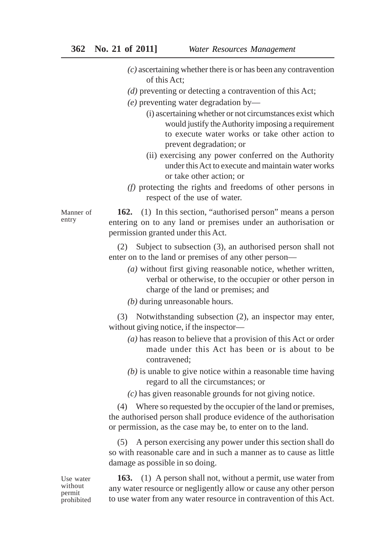- *(c)* ascertaining whether there is or has been any contravention of this Act;
- *(d)* preventing or detecting a contravention of this Act;
- *(e)* preventing water degradation by—
	- (i) ascertaining whether or not circumstances exist which would justify the Authority imposing a requirement to execute water works or take other action to prevent degradation; or
	- (ii) exercising any power conferred on the Authority under this Act to execute and maintain water works or take other action; or
- *(f)* protecting the rights and freedoms of other persons in respect of the use of water.

**162.** (1) In this section, "authorised person" means a person entering on to any land or premises under an authorisation or permission granted under this Act.

(2) Subject to subsection (3), an authorised person shall not enter on to the land or premises of any other person—

*(a)* without first giving reasonable notice, whether written, verbal or otherwise, to the occupier or other person in charge of the land or premises; and

*(b)* during unreasonable hours.

(3) Notwithstanding subsection (2), an inspector may enter, without giving notice, if the inspector—

- *(a)* has reason to believe that a provision of this Act or order made under this Act has been or is about to be contravened;
- *(b)* is unable to give notice within a reasonable time having regard to all the circumstances; or
- *(c)* has given reasonable grounds for not giving notice.

(4) Where so requested by the occupier of the land or premises, the authorised person shall produce evidence of the authorisation or permission, as the case may be, to enter on to the land.

(5) A person exercising any power under this section shall do so with reasonable care and in such a manner as to cause as little damage as possible in so doing.

**163.** (1) A person shall not, without a permit, use water from any water resource or negligently allow or cause any other person to use water from any water resource in contravention of this Act.

Manner of entry

Use water without permit prohibited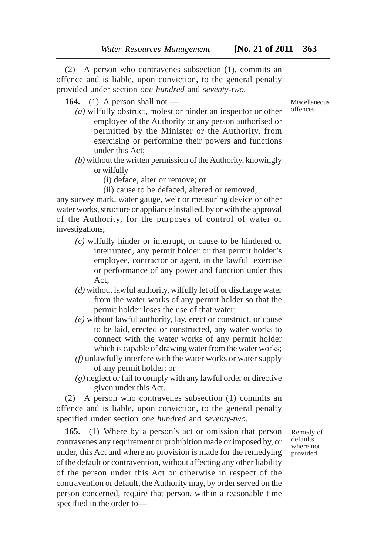(2) A person who contravenes subsection (1), commits an offence and is liable, upon conviction, to the general penalty provided under section *one hundred* and *seventy-two.*

**164.** (1) A person shall not —

- *(a)* wilfully obstruct, molest or hinder an inspector or other employee of the Authority or any person authorised or permitted by the Minister or the Authority, from exercising or performing their powers and functions under this Act;
- *(b)* without the written permission of the Authority, knowingly or wilfully—
	- (i) deface, alter or remove; or
	- (ii) cause to be defaced, altered or removed;

any survey mark, water gauge, weir or measuring device or other water works, structure or appliance installed, by or with the approval of the Authority, for the purposes of control of water or investigations;

- *(c)* wilfully hinder or interrupt, or cause to be hindered or interrupted, any permit holder or that permit holder's employee, contractor or agent, in the lawful exercise or performance of any power and function under this Act;
- *(d)* without lawful authority, wilfully let off or discharge water from the water works of any permit holder so that the permit holder loses the use of that water;
- *(e)* without lawful authority, lay, erect or construct, or cause to be laid, erected or constructed, any water works to connect with the water works of any permit holder which is capable of drawing water from the water works;
- *(f)* unlawfully interfere with the water works or water supply of any permit holder; or
- *(g)* neglect or fail to comply with any lawful order or directive given under this Act.

(2) A person who contravenes subsection (1) commits an offence and is liable, upon conviction, to the general penalty specified under section *one hundred* and *seventy-two.*

**165.** (1) Where by a person's act or omission that person contravenes any requirement or prohibition made or imposed by, or under, this Act and where no provision is made for the remedying of the default or contravention, without affecting any other liability of the person under this Act or otherwise in respect of the contravention or default, the Authority may, by order served on the person concerned, require that person, within a reasonable time specified in the order to—

Remedy of defaults where not provided

Miscellaneous offences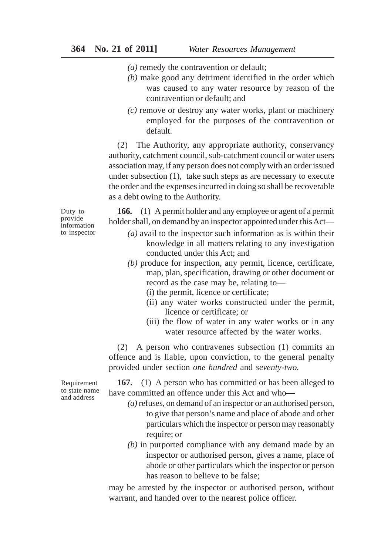- *(a)* remedy the contravention or default;
- *(b)* make good any detriment identified in the order which was caused to any water resource by reason of the contravention or default; and
- *(c)* remove or destroy any water works, plant or machinery employed for the purposes of the contravention or default.

(2) The Authority, any appropriate authority, conservancy authority, catchment council, sub-catchment council or water users association may, if any person does not comply with an order issued under subsection (1), take such steps as are necessary to execute the order and the expenses incurred in doing so shall be recoverable as a debt owing to the Authority.

Duty to provide information to inspector

**166.** (1) A permit holder and any employee or agent of a permit holder shall, on demand by an inspector appointed under this Act—

- *(a)* avail to the inspector such information as is within their knowledge in all matters relating to any investigation conducted under this Act; and
- *(b)* produce for inspection, any permit, licence, certificate, map, plan, specification, drawing or other document or record as the case may be, relating to—
	- (i) the permit, licence or certificate;
	- (ii) any water works constructed under the permit, licence or certificate; or
	- (iii) the flow of water in any water works or in any water resource affected by the water works.

(2) A person who contravenes subsection (1) commits an offence and is liable, upon conviction, to the general penalty provided under section *one hundred* and *seventy-two.*

**167.** (1) A person who has committed or has been alleged to have committed an offence under this Act and who—

- *(a)* refuses, on demand of an inspector or an authorised person, to give that person's name and place of abode and other particulars which the inspector or person may reasonably require; or
- *(b)* in purported compliance with any demand made by an inspector or authorised person, gives a name, place of abode or other particulars which the inspector or person has reason to believe to be false;

may be arrested by the inspector or authorised person, without warrant, and handed over to the nearest police officer.

Requirement to state name and address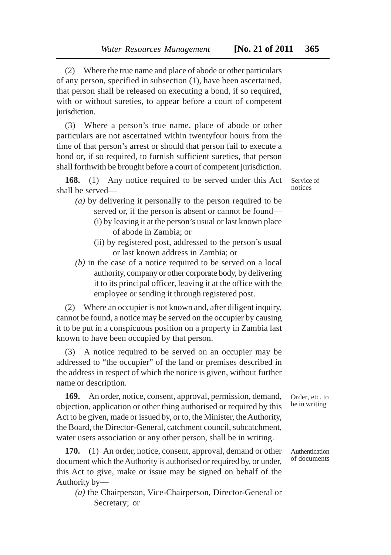(2) Where the true name and place of abode or other particulars of any person, specified in subsection (1), have been ascertained, that person shall be released on executing a bond, if so required, with or without sureties, to appear before a court of competent jurisdiction.

(3) Where a person's true name, place of abode or other particulars are not ascertained within twentyfour hours from the time of that person's arrest or should that person fail to execute a bond or, if so required, to furnish sufficient sureties, that person shall forthwith be brought before a court of competent jurisdiction.

**168.** (1) Any notice required to be served under this Act shall be served—

- *(a)* by delivering it personally to the person required to be served or, if the person is absent or cannot be found—
	- (i) by leaving it at the person's usual or last known place of abode in Zambia; or
	- (ii) by registered post, addressed to the person's usual or last known address in Zambia; or
- *(b)* in the case of a notice required to be served on a local authority, company or other corporate body, by delivering it to its principal officer, leaving it at the office with the employee or sending it through registered post.

(2) Where an occupier is not known and, after diligent inquiry, cannot be found, a notice may be served on the occupier by causing it to be put in a conspicuous position on a property in Zambia last known to have been occupied by that person.

(3) A notice required to be served on an occupier may be addressed to "the occupier" of the land or premises described in the address in respect of which the notice is given, without further name or description.

**169.** An order, notice, consent, approval, permission, demand, objection, application or other thing authorised or required by this Act to be given, made or issued by, or to, the Minister, the Authority, the Board, the Director-General, catchment council, subcatchment, water users association or any other person, shall be in writing.

**170.** (1) An order, notice, consent, approval, demand or other document which the Authority is authorised or required by, or under, this Act to give, make or issue may be signed on behalf of the Authority by—

*(a)* the Chairperson, Vice-Chairperson, Director-General or Secretary; or

Service of notices

Order, etc. to be in writing

Authentication of documents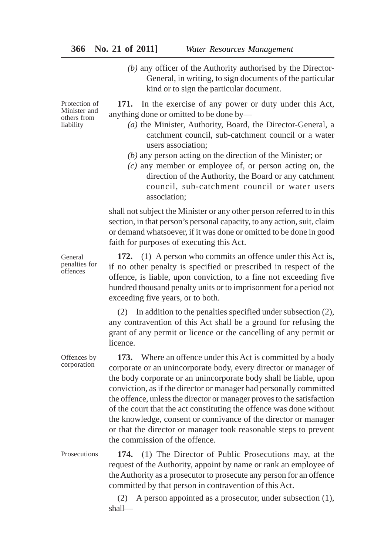# **366 No. 21 of 2011]** *Water Resources Management*

*(b)* any officer of the Authority authorised by the Director-General, in writing, to sign documents of the particular kind or to sign the particular document.

Protection of Minister and others from liability

**171.** In the exercise of any power or duty under this Act, anything done or omitted to be done by—

- *(a)* the Minister, Authority, Board, the Director-General, a catchment council, sub-catchment council or a water users association;
- *(b)* any person acting on the direction of the Minister; or
- *(c)* any member or employee of, or person acting on, the direction of the Authority, the Board or any catchment council, sub-catchment council or water users association;

shall not subject the Minister or any other person referred to in this section, in that person's personal capacity, to any action, suit, claim or demand whatsoever, if it was done or omitted to be done in good faith for purposes of executing this Act.

General penalties for offences

**172.** (1) A person who commits an offence under this Act is, if no other penalty is specified or prescribed in respect of the offence, is liable, upon conviction, to a fine not exceeding five hundred thousand penalty units or to imprisonment for a period not exceeding five years, or to both.

(2) In addition to the penalties specified under subsection (2), any contravention of this Act shall be a ground for refusing the grant of any permit or licence or the cancelling of any permit or licence.

**173.** Where an offence under this Act is committed by a body corporate or an unincorporate body, every director or manager of the body corporate or an unincorporate body shall be liable, upon conviction, as if the director or manager had personally committed the offence, unless the director or manager proves to the satisfaction of the court that the act constituting the offence was done without the knowledge, consent or connivance of the director or manager or that the director or manager took reasonable steps to prevent the commission of the offence.

**174.** (1) The Director of Public Prosecutions may, at the request of the Authority, appoint by name or rank an employee of the Authority as a prosecutor to prosecute any person for an offence committed by that person in contravention of this Act. **Prosecutions** 

> (2) A person appointed as a prosecutor, under subsection (1), shall—

Offences by corporation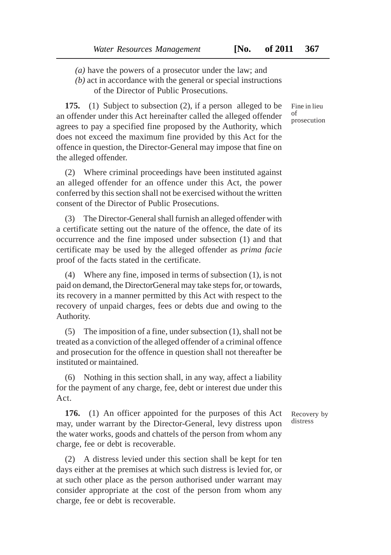- *(a)* have the powers of a prosecutor under the law; and
- *(b)* act in accordance with the general or special instructions of the Director of Public Prosecutions.

**175.** (1) Subject to subsection (2), if a person alleged to be an offender under this Act hereinafter called the alleged offender agrees to pay a specified fine proposed by the Authority, which does not exceed the maximum fine provided by this Act for the offence in question, the Director-General may impose that fine on the alleged offender.

(2) Where criminal proceedings have been instituted against an alleged offender for an offence under this Act, the power conferred by this section shall not be exercised without the written consent of the Director of Public Prosecutions.

(3) The Director-General shall furnish an alleged offender with a certificate setting out the nature of the offence, the date of its occurrence and the fine imposed under subsection (1) and that certificate may be used by the alleged offender as *prima facie* proof of the facts stated in the certificate.

(4) Where any fine, imposed in terms of subsection (1), is not paid on demand, the DirectorGeneral may take steps for, or towards, its recovery in a manner permitted by this Act with respect to the recovery of unpaid charges, fees or debts due and owing to the Authority.

(5) The imposition of a fine, under subsection (1), shall not be treated as a conviction of the alleged offender of a criminal offence and prosecution for the offence in question shall not thereafter be instituted or maintained.

(6) Nothing in this section shall, in any way, affect a liability for the payment of any charge, fee, debt or interest due under this Act.

**176.** (1) An officer appointed for the purposes of this Act may, under warrant by the Director-General, levy distress upon the water works, goods and chattels of the person from whom any charge, fee or debt is recoverable.

(2) A distress levied under this section shall be kept for ten days either at the premises at which such distress is levied for, or at such other place as the person authorised under warrant may consider appropriate at the cost of the person from whom any charge, fee or debt is recoverable.

Fine in lieu of prosecution

Recovery by distress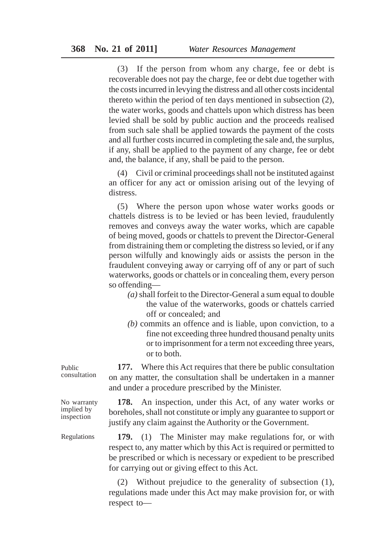(3) If the person from whom any charge, fee or debt is recoverable does not pay the charge, fee or debt due together with the costs incurred in levying the distress and all other costs incidental thereto within the period of ten days mentioned in subsection (2), the water works, goods and chattels upon which distress has been levied shall be sold by public auction and the proceeds realised from such sale shall be applied towards the payment of the costs and all further costs incurred in completing the sale and, the surplus, if any, shall be applied to the payment of any charge, fee or debt and, the balance, if any, shall be paid to the person.

(4) Civil or criminal proceedings shall not be instituted against an officer for any act or omission arising out of the levying of distress.

(5) Where the person upon whose water works goods or chattels distress is to be levied or has been levied, fraudulently removes and conveys away the water works, which are capable of being moved, goods or chattels to prevent the Director-General from distraining them or completing the distress so levied, or if any person wilfully and knowingly aids or assists the person in the fraudulent conveying away or carrying off of any or part of such waterworks, goods or chattels or in concealing them, every person so offending—

- *(a)* shall forfeit to the Director-General a sum equal to double the value of the waterworks, goods or chattels carried off or concealed; and
- *(b)* commits an offence and is liable, upon conviction, to a fine not exceeding three hundred thousand penalty units or to imprisonment for a term not exceeding three years, or to both.

**177.** Where this Act requires that there be public consultation on any matter, the consultation shall be undertaken in a manner and under a procedure prescribed by the Minister.

**178.** An inspection, under this Act, of any water works or boreholes, shall not constitute or imply any guarantee to support or justify any claim against the Authority or the Government.

**179.** (1) The Minister may make regulations for, or with respect to, any matter which by this Act is required or permitted to be prescribed or which is necessary or expedient to be prescribed for carrying out or giving effect to this Act.

(2) Without prejudice to the generality of subsection (1), regulations made under this Act may make provision for, or with respect to—

Public consultation

No warranty implied by inspection

Regulations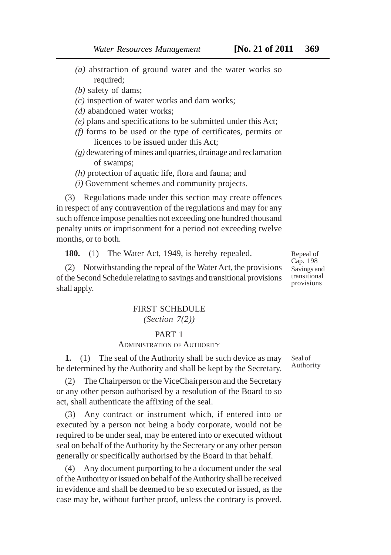- *(a)* abstraction of ground water and the water works so required:
- *(b)* safety of dams;
- *(c)* inspection of water works and dam works;
- *(d)* abandoned water works;
- *(e)* plans and specifications to be submitted under this Act;
- *(f)* forms to be used or the type of certificates, permits or licences to be issued under this Act;
- *(g)* dewatering of mines and quarries, drainage and reclamation of swamps;
- *(h)* protection of aquatic life, flora and fauna; and
- *(i)* Government schemes and community projects.

(3) Regulations made under this section may create offences in respect of any contravention of the regulations and may for any such offence impose penalties not exceeding one hundred thousand penalty units or imprisonment for a period not exceeding twelve months, or to both.

**180.** (1) The Water Act, 1949, is hereby repealed.

(2) Notwithstanding the repeal of the Water Act, the provisions of the Second Schedule relating to savings and transitional provisions shall apply.

# FIRST SCHEDULE

# *(Section 7(2))*

### PART 1

## ADMINISTRATION OF AUTHORITY

**1.** (1) The seal of the Authority shall be such device as may be determined by the Authority and shall be kept by the Secretary.

(2) The Chairperson or the ViceChairperson and the Secretary or any other person authorised by a resolution of the Board to so act, shall authenticate the affixing of the seal.

(3) Any contract or instrument which, if entered into or executed by a person not being a body corporate, would not be required to be under seal, may be entered into or executed without seal on behalf of the Authority by the Secretary or any other person generally or specifically authorised by the Board in that behalf.

(4) Any document purporting to be a document under the seal of the Authority or issued on behalf of the Authority shall be received in evidence and shall be deemed to be so executed or issued, as the case may be, without further proof, unless the contrary is proved. Seal of Authority

Repeal of Cap. 198 Savings and transitional provisions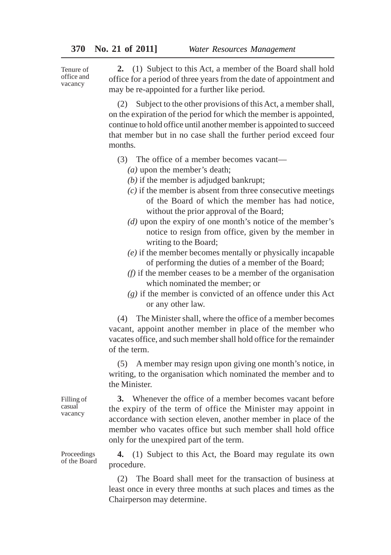Tenure of office and vacancy

**2.** (1) Subject to this Act, a member of the Board shall hold office for a period of three years from the date of appointment and may be re-appointed for a further like period.

(2) Subject to the other provisions of this Act, a member shall, on the expiration of the period for which the member is appointed, continue to hold office until another member is appointed to succeed that member but in no case shall the further period exceed four months.

- (3) The office of a member becomes vacant—
	- *(a)* upon the member's death;
	- *(b)* if the member is adjudged bankrupt;
	- *(c)* if the member is absent from three consecutive meetings of the Board of which the member has had notice, without the prior approval of the Board;
	- *(d)* upon the expiry of one month's notice of the member's notice to resign from office, given by the member in writing to the Board;
	- *(e)* if the member becomes mentally or physically incapable of performing the duties of a member of the Board;
	- *(f)* if the member ceases to be a member of the organisation which nominated the member; or
	- *(g)* if the member is convicted of an offence under this Act or any other law.

(4) The Minister shall, where the office of a member becomes vacant, appoint another member in place of the member who vacates office, and such member shall hold office for the remainder of the term.

(5) A member may resign upon giving one month's notice, in writing, to the organisation which nominated the member and to the Minister.

**3.** Whenever the office of a member becomes vacant before the expiry of the term of office the Minister may appoint in accordance with section eleven, another member in place of the member who vacates office but such member shall hold office only for the unexpired part of the term.

**4.** (1) Subject to this Act, the Board may regulate its own procedure.

(2) The Board shall meet for the transaction of business at least once in every three months at such places and times as the Chairperson may determine.

Filling of casual vacancy

Proceedings of the Board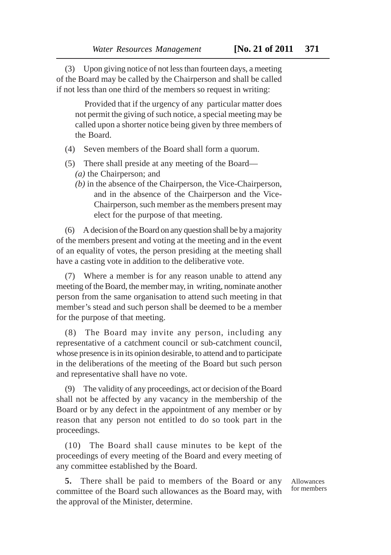(3) Upon giving notice of not less than fourteen days, a meeting of the Board may be called by the Chairperson and shall be called if not less than one third of the members so request in writing:

Provided that if the urgency of any particular matter does not permit the giving of such notice, a special meeting may be called upon a shorter notice being given by three members of the Board.

- (4) Seven members of the Board shall form a quorum.
- (5) There shall preside at any meeting of the Board—
	- *(a)* the Chairperson; and
	- *(b)* in the absence of the Chairperson, the Vice-Chairperson, and in the absence of the Chairperson and the Vice-Chairperson, such member as the members present may elect for the purpose of that meeting.

(6) A decision of the Board on any question shall be by a majority of the members present and voting at the meeting and in the event of an equality of votes, the person presiding at the meeting shall have a casting vote in addition to the deliberative vote.

(7) Where a member is for any reason unable to attend any meeting of the Board, the member may, in writing, nominate another person from the same organisation to attend such meeting in that member's stead and such person shall be deemed to be a member for the purpose of that meeting.

(8) The Board may invite any person, including any representative of a catchment council or sub-catchment council, whose presence is in its opinion desirable, to attend and to participate in the deliberations of the meeting of the Board but such person and representative shall have no vote.

(9) The validity of any proceedings, act or decision of the Board shall not be affected by any vacancy in the membership of the Board or by any defect in the appointment of any member or by reason that any person not entitled to do so took part in the proceedings.

(10) The Board shall cause minutes to be kept of the proceedings of every meeting of the Board and every meeting of any committee established by the Board.

**5.** There shall be paid to members of the Board or any committee of the Board such allowances as the Board may, with the approval of the Minister, determine.

Allowances for members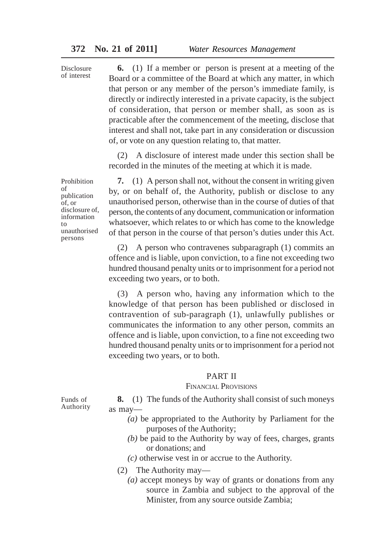Disclosure of interest

**6.** (1) If a member or person is present at a meeting of the Board or a committee of the Board at which any matter, in which that person or any member of the person's immediate family, is directly or indirectly interested in a private capacity, is the subject of consideration, that person or member shall, as soon as is practicable after the commencement of the meeting, disclose that interest and shall not, take part in any consideration or discussion of, or vote on any question relating to, that matter.

(2) A disclosure of interest made under this section shall be recorded in the minutes of the meeting at which it is made.

**7.** (1) A person shall not, without the consent in writing given by, or on behalf of, the Authority, publish or disclose to any unauthorised person, otherwise than in the course of duties of that person, the contents of any document, communication or information whatsoever, which relates to or which has come to the knowledge of that person in the course of that person's duties under this Act.

(2) A person who contravenes subparagraph (1) commits an offence and is liable, upon conviction, to a fine not exceeding two hundred thousand penalty units or to imprisonment for a period not exceeding two years, or to both.

(3) A person who, having any information which to the knowledge of that person has been published or disclosed in contravention of sub-paragraph (1), unlawfully publishes or communicates the information to any other person, commits an offence and is liable, upon conviction, to a fine not exceeding two hundred thousand penalty units or to imprisonment for a period not exceeding two years, or to both.

#### PART II

### FINANCIAL PROVISIONS

**8.** (1) The funds of the Authority shall consist of such moneys as may—

- *(a)* be appropriated to the Authority by Parliament for the purposes of the Authority;
- *(b)* be paid to the Authority by way of fees, charges, grants or donations; and
- *(c)* otherwise vest in or accrue to the Authority.
- (2) The Authority may—
	- *(a)* accept moneys by way of grants or donations from any source in Zambia and subject to the approval of the Minister, from any source outside Zambia;

Prohibition of publication of, or disclosure of, information to unauthorised persons

Funds of Authority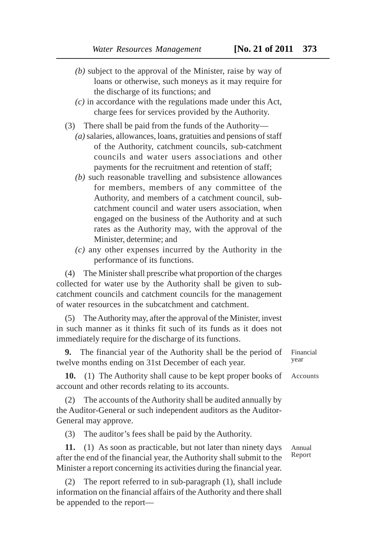- *(b)* subject to the approval of the Minister, raise by way of loans or otherwise, such moneys as it may require for the discharge of its functions; and
- *(c)* in accordance with the regulations made under this Act, charge fees for services provided by the Authority.
- (3) There shall be paid from the funds of the Authority—
	- *(a)* salaries, allowances, loans, gratuities and pensions of staff of the Authority, catchment councils, sub-catchment councils and water users associations and other payments for the recruitment and retention of staff;
	- *(b)* such reasonable travelling and subsistence allowances for members, members of any committee of the Authority, and members of a catchment council, subcatchment council and water users association, when engaged on the business of the Authority and at such rates as the Authority may, with the approval of the Minister, determine; and
	- *(c)* any other expenses incurred by the Authority in the performance of its functions.

(4) The Minister shall prescribe what proportion of the charges collected for water use by the Authority shall be given to subcatchment councils and catchment councils for the management of water resources in the subcatchment and catchment.

(5) The Authority may, after the approval of the Minister, invest in such manner as it thinks fit such of its funds as it does not immediately require for the discharge of its functions.

**9.** The financial year of the Authority shall be the period of twelve months ending on 31st December of each year. Financial

**10.** (1) The Authority shall cause to be kept proper books of account and other records relating to its accounts. Accounts

(2) The accounts of the Authority shall be audited annually by the Auditor-General or such independent auditors as the Auditor-General may approve.

(3) The auditor's fees shall be paid by the Authority.

**11.** (1) As soon as practicable, but not later than ninety days after the end of the financial year, the Authority shall submit to the Minister a report concerning its activities during the financial year.

(2) The report referred to in sub-paragraph (1), shall include information on the financial affairs of the Authority and there shall be appended to the report—

Annual Report

year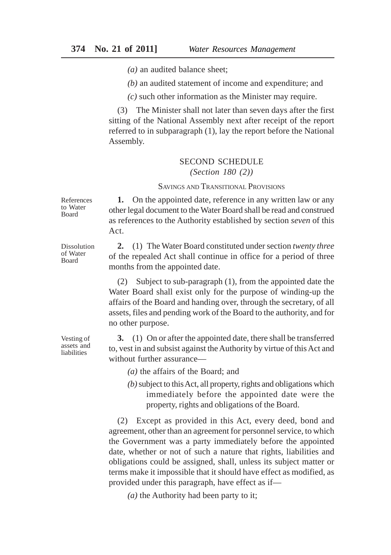*(a)* an audited balance sheet;

*(b)* an audited statement of income and expenditure; and

*(c)* such other information as the Minister may require.

(3) The Minister shall not later than seven days after the first sitting of the National Assembly next after receipt of the report referred to in subparagraph (1), lay the report before the National Assembly.

### SECOND SCHEDULE

```
(Section 180 (2))
```
## SAVINGS AND TRANSITIONAL PROVISIONS

References to Water Board

**1.** On the appointed date, reference in any written law or any other legal document to the Water Board shall be read and construed as references to the Authority established by section *seven* of this Act.

**2.** (1) The Water Board constituted under section *twenty three* of the repealed Act shall continue in office for a period of three months from the appointed date.

(2) Subject to sub-paragraph (1), from the appointed date the Water Board shall exist only for the purpose of winding-up the affairs of the Board and handing over, through the secretary, of all assets, files and pending work of the Board to the authority, and for no other purpose.

**3.** (1) On or after the appointed date, there shall be transferred to, vest in and subsist against the Authority by virtue of this Act and without further assurance—

*(a)* the affairs of the Board; and

*(b)* subject to this Act, all property, rights and obligations which immediately before the appointed date were the property, rights and obligations of the Board.

(2) Except as provided in this Act, every deed, bond and agreement, other than an agreement for personnel service, to which the Government was a party immediately before the appointed date, whether or not of such a nature that rights, liabilities and obligations could be assigned, shall, unless its subject matter or terms make it impossible that it should have effect as modified, as provided under this paragraph, have effect as if—

*(a)* the Authority had been party to it;

Dissolution of Water Board

Vesting of assets and liabilities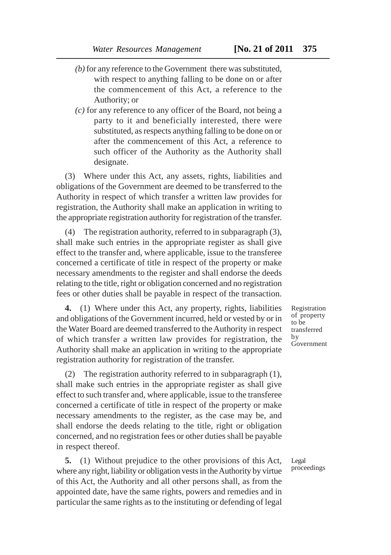- 
- *(b)* for any reference to the Government there was substituted, with respect to anything falling to be done on or after the commencement of this Act, a reference to the Authority; or
- *(c)* for any reference to any officer of the Board, not being a party to it and beneficially interested, there were substituted, as respects anything falling to be done on or after the commencement of this Act, a reference to such officer of the Authority as the Authority shall designate.

(3) Where under this Act, any assets, rights, liabilities and obligations of the Government are deemed to be transferred to the Authority in respect of which transfer a written law provides for registration, the Authority shall make an application in writing to the appropriate registration authority for registration of the transfer.

(4) The registration authority, referred to in subparagraph (3), shall make such entries in the appropriate register as shall give effect to the transfer and, where applicable, issue to the transferee concerned a certificate of title in respect of the property or make necessary amendments to the register and shall endorse the deeds relating to the title, right or obligation concerned and no registration fees or other duties shall be payable in respect of the transaction.

**4.** (1) Where under this Act, any property, rights, liabilities and obligations of the Government incurred, held or vested by or in the Water Board are deemed transferred to the Authority in respect of which transfer a written law provides for registration, the Authority shall make an application in writing to the appropriate registration authority for registration of the transfer.

(2) The registration authority referred to in subparagraph (1), shall make such entries in the appropriate register as shall give effect to such transfer and, where applicable, issue to the transferee concerned a certificate of title in respect of the property or make necessary amendments to the register, as the case may be, and shall endorse the deeds relating to the title, right or obligation concerned, and no registration fees or other duties shall be payable in respect thereof.

**5.** (1) Without prejudice to the other provisions of this Act, where any right, liability or obligation vests in the Authority by virtue of this Act, the Authority and all other persons shall, as from the appointed date, have the same rights, powers and remedies and in particular the same rights as to the instituting or defending of legal Registration of property to be transferred by Government

Legal proceedings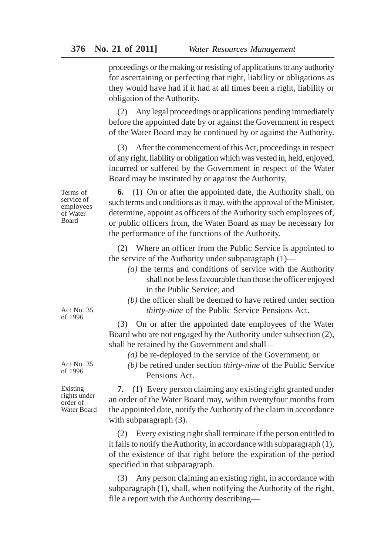proceedings or the making or resisting of applications to any authority for ascertaining or perfecting that right, liability or obligations as they would have had if it had at all times been a right, liability or obligation of the Authority.

(2) Any legal proceedings or applications pending immediately before the appointed date by or against the Government in respect of the Water Board may be continued by or against the Authority.

(3) After the commencement of this Act, proceedings in respect of any right, liability or obligation which was vested in, held, enjoyed, incurred or suffered by the Government in respect of the Water Board may be instituted by or against the Authority.

**6.** (1) On or after the appointed date, the Authority shall, on such terms and conditions as it may, with the approval of the Minister, determine, appoint as officers of the Authority such employees of, or public officers from, the Water Board as may be necessary for the performance of the functions of the Authority.

(2) Where an officer from the Public Service is appointed to the service of the Authority under subparagraph (1)—

- *(a)* the terms and conditions of service with the Authority shall not be less favourable than those the officer enjoyed in the Public Service; and
- *(b)* the officer shall be deemed to have retired under section *thirty-nine* of the Public Service Pensions Act.

(3) On or after the appointed date employees of the Water Board who are not engaged by the Authority under subsection (2), shall be retained by the Government and shall—

*(a)* be re-deployed in the service of the Government; or

*(b)* be retired under section *thirty-nine* of the Public Service Pensions Act.

**7.** (1) Every person claiming any existing right granted under an order of the Water Board may, within twentyfour months from the appointed date, notify the Authority of the claim in accordance with subparagraph  $(3)$ .

(2) Every existing right shall terminate if the person entitled to it fails to notify the Authority, in accordance with subparagraph (1), of the existence of that right before the expiration of the period specified in that subparagraph.

(3) Any person claiming an existing right, in accordance with subparagraph (1), shall, when notifying the Authority of the right, file a report with the Authority describing—

of Water Board

Terms of service of employees

Act No. 35 of 1996

Act No. 35 of 1996

Existing rights under order of Water Board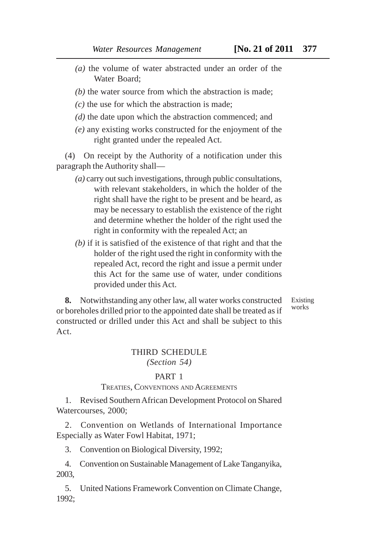- *(a)* the volume of water abstracted under an order of the Water Board;
- *(b)* the water source from which the abstraction is made;
- *(c)* the use for which the abstraction is made;
- *(d)* the date upon which the abstraction commenced; and
- *(e)* any existing works constructed for the enjoyment of the right granted under the repealed Act.

(4) On receipt by the Authority of a notification under this paragraph the Authority shall—

- *(a)* carry out such investigations, through public consultations, with relevant stakeholders, in which the holder of the right shall have the right to be present and be heard, as may be necessary to establish the existence of the right and determine whether the holder of the right used the right in conformity with the repealed Act; an
- *(b)* if it is satisfied of the existence of that right and that the holder of the right used the right in conformity with the repealed Act, record the right and issue a permit under this Act for the same use of water, under conditions provided under this Act.

Existing works

**8.** Notwithstanding any other law, all water works constructed or boreholes drilled prior to the appointed date shall be treated as if constructed or drilled under this Act and shall be subject to this Act.

### THIRD SCHEDULE *(Section 54)*

#### PART 1

#### TREATIES, CONVENTIONS AND AGREEMENTS

1. Revised Southern African Development Protocol on Shared Watercourses, 2000;

2. Convention on Wetlands of International Importance Especially as Water Fowl Habitat, 1971;

3. Convention on Biological Diversity, 1992;

4. Convention on Sustainable Management of Lake Tanganyika, 2003,

5. United Nations Framework Convention on Climate Change, 1992;